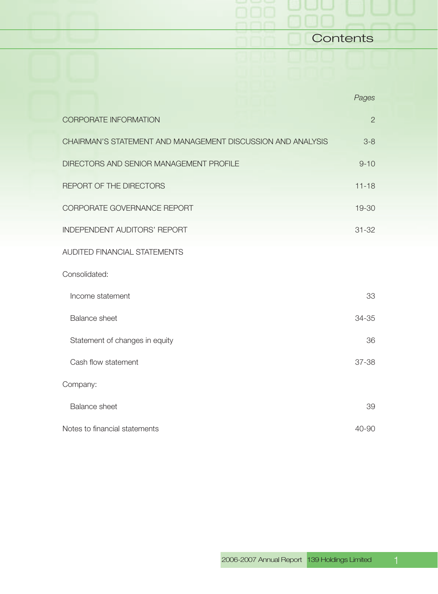**Contents** 

|                                                             | Pages          |
|-------------------------------------------------------------|----------------|
| <b>CORPORATE INFORMATION</b>                                | $\overline{2}$ |
| CHAIRMAN'S STATEMENT AND MANAGEMENT DISCUSSION AND ANALYSIS | $3 - 8$        |
| DIRECTORS AND SENIOR MANAGEMENT PROFILE                     | $9 - 10$       |
| REPORT OF THE DIRECTORS                                     | $11 - 18$      |
| CORPORATE GOVERNANCE REPORT                                 | 19-30          |
| INDEPENDENT AUDITORS' REPORT                                | $31 - 32$      |
| AUDITED FINANCIAL STATEMENTS                                |                |
| Consolidated:                                               |                |
| Income statement                                            | 33             |
| <b>Balance sheet</b>                                        | 34-35          |
| Statement of changes in equity                              | 36             |
| Cash flow statement                                         | 37-38          |
| Company:                                                    |                |
| <b>Balance sheet</b>                                        | 39             |
| Notes to financial statements                               | 40-90          |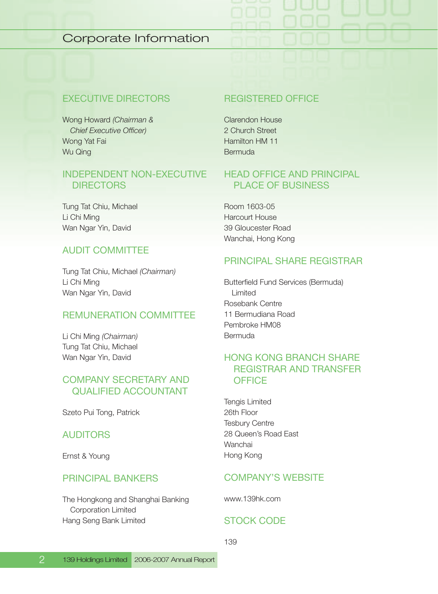# Corporate Information

### EXECUTIVE DIRECTORS

Wong Howard *(Chairman & Chief Executive Officer)* Wong Yat Fai Wu Qing

### INDEPENDENT NON-EXECUTIVE **DIRECTORS**

Tung Tat Chiu, Michael Li Chi Ming Wan Ngar Yin, David

### AUDIT COMMITTEE

Tung Tat Chiu, Michael *(Chairman)* Li Chi Ming Wan Ngar Yin, David

#### REMUNERATION COMMITTEE

Li Chi Ming *(Chairman)* Tung Tat Chiu, Michael Wan Ngar Yin, David

### COMPANY SECRETARY AND QUALIFIED ACCOUNTANT

Szeto Pui Tong, Patrick

### AUDITORS

Ernst & Young

#### PRINCIPAL BANKERS

The Hongkong and Shanghai Banking Corporation Limited Hang Seng Bank Limited

### REGISTERED OFFICE

Clarendon House 2 Church Street Hamilton HM 11 **Bermuda** 

# HEAD OFFICE AND PRINCIPAL PLACE OF BUSINESS

Room 1603-05 Harcourt House 39 Gloucester Road Wanchai, Hong Kong

#### PRINCIPAL SHARE REGISTRAR

Butterfield Fund Services (Bermuda) Limited Rosebank Centre 11 Bermudiana Road Pembroke HM08 **Bermuda** 

## HONG KONG BRANCH SHARE REGISTRAR AND TRANSFER **OFFICE**

Tengis Limited 26th Floor Tesbury Centre 28 Queen's Road East **Wanchai** Hong Kong

### COMPANY'S WEBSITE

www.139hk.com

#### STOCK CODE

139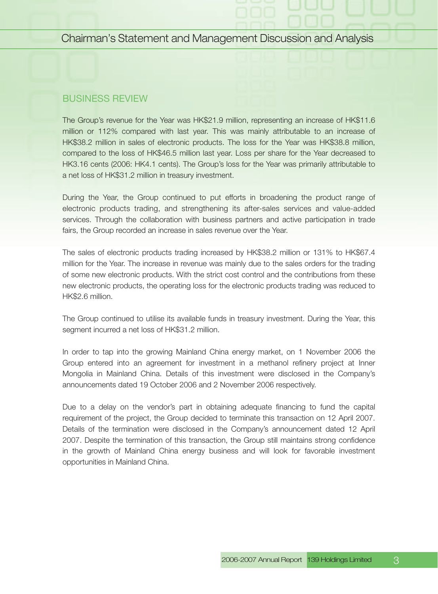#### BUSINESS REVIEW

The Group's revenue for the Year was HK\$21.9 million, representing an increase of HK\$11.6 million or 112% compared with last year. This was mainly attributable to an increase of HK\$38.2 million in sales of electronic products. The loss for the Year was HK\$38.8 million, compared to the loss of HK\$46.5 million last year. Loss per share for the Year decreased to HK3.16 cents (2006: HK4.1 cents). The Group's loss for the Year was primarily attributable to a net loss of HK\$31.2 million in treasury investment.

During the Year, the Group continued to put efforts in broadening the product range of electronic products trading, and strengthening its after-sales services and value-added services. Through the collaboration with business partners and active participation in trade fairs, the Group recorded an increase in sales revenue over the Year.

The sales of electronic products trading increased by HK\$38.2 million or 131% to HK\$67.4 million for the Year. The increase in revenue was mainly due to the sales orders for the trading of some new electronic products. With the strict cost control and the contributions from these new electronic products, the operating loss for the electronic products trading was reduced to HK\$2.6 million.

The Group continued to utilise its available funds in treasury investment. During the Year, this segment incurred a net loss of HK\$31.2 million.

In order to tap into the growing Mainland China energy market, on 1 November 2006 the Group entered into an agreement for investment in a methanol refinery project at Inner Mongolia in Mainland China. Details of this investment were disclosed in the Company's announcements dated 19 October 2006 and 2 November 2006 respectively.

Due to a delay on the vendor's part in obtaining adequate financing to fund the capital requirement of the project, the Group decided to terminate this transaction on 12 April 2007. Details of the termination were disclosed in the Company's announcement dated 12 April 2007. Despite the termination of this transaction, the Group still maintains strong confidence in the growth of Mainland China energy business and will look for favorable investment opportunities in Mainland China.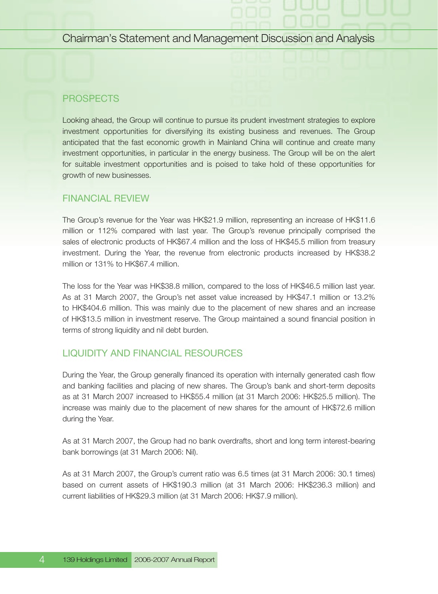### PROSPECTS

Looking ahead, the Group will continue to pursue its prudent investment strategies to explore investment opportunities for diversifying its existing business and revenues. The Group anticipated that the fast economic growth in Mainland China will continue and create many investment opportunities, in particular in the energy business. The Group will be on the alert for suitable investment opportunities and is poised to take hold of these opportunities for growth of new businesses.

#### FINANCIAL REVIEW

The Group's revenue for the Year was HK\$21.9 million, representing an increase of HK\$11.6 million or 112% compared with last year. The Group's revenue principally comprised the sales of electronic products of HK\$67.4 million and the loss of HK\$45.5 million from treasury investment. During the Year, the revenue from electronic products increased by HK\$38.2 million or 131% to HK\$67.4 million.

The loss for the Year was HK\$38.8 million, compared to the loss of HK\$46.5 million last year. As at 31 March 2007, the Group's net asset value increased by HK\$47.1 million or 13.2% to HK\$404.6 million. This was mainly due to the placement of new shares and an increase of HK\$13.5 million in investment reserve. The Group maintained a sound financial position in terms of strong liquidity and nil debt burden.

### LIQUIDITY AND FINANCIAL RESOURCES

During the Year, the Group generally financed its operation with internally generated cash flow and banking facilities and placing of new shares. The Group's bank and short-term deposits as at 31 March 2007 increased to HK\$55.4 million (at 31 March 2006: HK\$25.5 million). The increase was mainly due to the placement of new shares for the amount of HK\$72.6 million during the Year.

As at 31 March 2007, the Group had no bank overdrafts, short and long term interest-bearing bank borrowings (at 31 March 2006: Nil).

As at 31 March 2007, the Group's current ratio was 6.5 times (at 31 March 2006: 30.1 times) based on current assets of HK\$190.3 million (at 31 March 2006: HK\$236.3 million) and current liabilities of HK\$29.3 million (at 31 March 2006: HK\$7.9 million).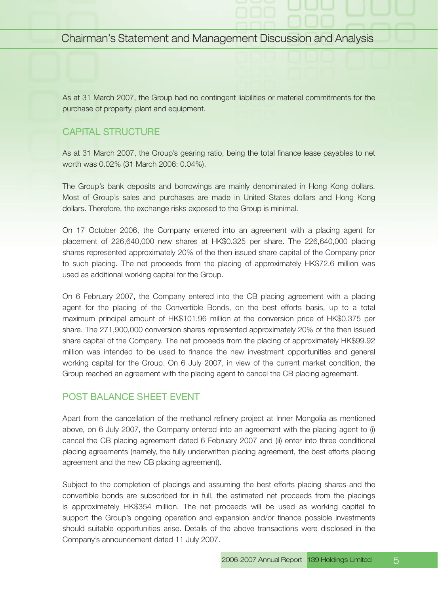As at 31 March 2007, the Group had no contingent liabilities or material commitments for the purchase of property, plant and equipment.

### CAPITAL STRUCTURE

As at 31 March 2007, the Group's gearing ratio, being the total finance lease payables to net worth was 0.02% (31 March 2006: 0.04%).

The Group's bank deposits and borrowings are mainly denominated in Hong Kong dollars. Most of Group's sales and purchases are made in United States dollars and Hong Kong dollars. Therefore, the exchange risks exposed to the Group is minimal.

On 17 October 2006, the Company entered into an agreement with a placing agent for placement of 226,640,000 new shares at HK\$0.325 per share. The 226,640,000 placing shares represented approximately 20% of the then issued share capital of the Company prior to such placing. The net proceeds from the placing of approximately HK\$72.6 million was used as additional working capital for the Group.

On 6 February 2007, the Company entered into the CB placing agreement with a placing agent for the placing of the Convertible Bonds, on the best efforts basis, up to a total maximum principal amount of HK\$101.96 million at the conversion price of HK\$0.375 per share. The 271,900,000 conversion shares represented approximately 20% of the then issued share capital of the Company. The net proceeds from the placing of approximately HK\$99.92 million was intended to be used to finance the new investment opportunities and general working capital for the Group. On 6 July 2007, in view of the current market condition, the Group reached an agreement with the placing agent to cancel the CB placing agreement.

#### POST BALANCE SHEET EVENT

Apart from the cancellation of the methanol refinery project at Inner Mongolia as mentioned above, on 6 July 2007, the Company entered into an agreement with the placing agent to (i) cancel the CB placing agreement dated 6 February 2007 and (ii) enter into three conditional placing agreements (namely, the fully underwritten placing agreement, the best efforts placing agreement and the new CB placing agreement).

Subject to the completion of placings and assuming the best efforts placing shares and the convertible bonds are subscribed for in full, the estimated net proceeds from the placings is approximately HK\$354 million. The net proceeds will be used as working capital to support the Group's ongoing operation and expansion and/or finance possible investments should suitable opportunities arise. Details of the above transactions were disclosed in the Company's announcement dated 11 July 2007.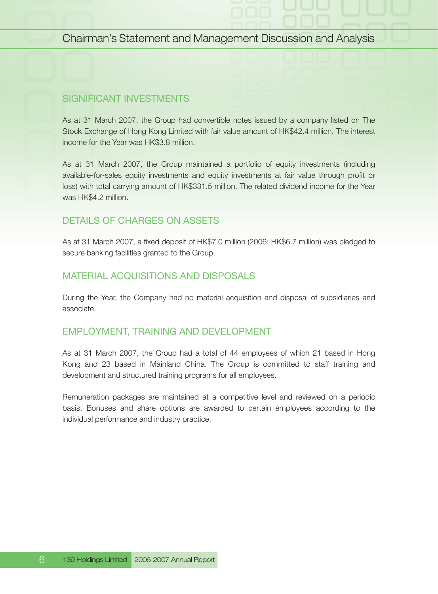### SIGNIFICANT INVESTMENTS

As at 31 March 2007, the Group had convertible notes issued by a company listed on The Stock Exchange of Hong Kong Limited with fair value amount of HK\$42.4 million. The interest income for the Year was HK\$3.8 million.

As at 31 March 2007, the Group maintained a portfolio of equity investments (including available-for-sales equity investments and equity investments at fair value through profit or loss) with total carrying amount of HK\$331.5 million. The related dividend income for the Year was HK\$4.2 million.

### DETAILS OF CHARGES ON ASSETS

As at 31 March 2007, a fixed deposit of HK\$7.0 million (2006: HK\$6.7 million) was pledged to secure banking facilities granted to the Group.

### MATERIAL ACQUISITIONS AND DISPOSALS

During the Year, the Company had no material acquisition and disposal of subsidiaries and associate.

#### EMPLOYMENT, TRAINING AND DEVELOPMENT

As at 31 March 2007, the Group had a total of 44 employees of which 21 based in Hong Kong and 23 based in Mainland China. The Group is committed to staff training and development and structured training programs for all employees.

Remuneration packages are maintained at a competitive level and reviewed on a periodic basis. Bonuses and share options are awarded to certain employees according to the individual performance and industry practice.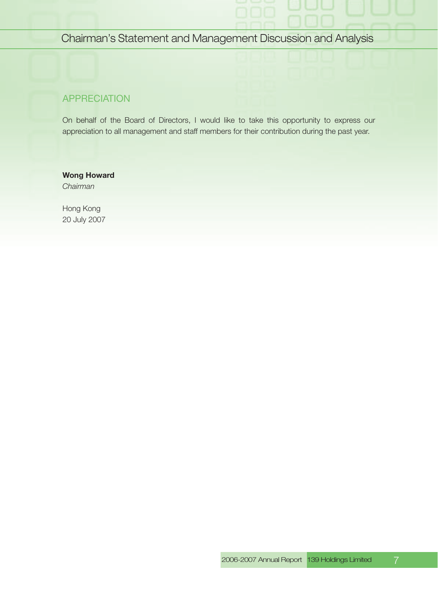# APPRECIATION

On behalf of the Board of Directors, I would like to take this opportunity to express our appreciation to all management and staff members for their contribution during the past year.

**Wong Howard** *Chairman*

Hong Kong 20 July 2007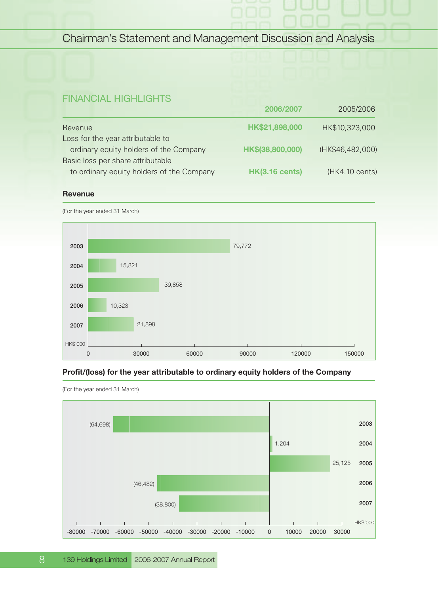## FINANCIAL HIGHLIGHTS

|                                           | 2006/2007             | 2005/2006        |
|-------------------------------------------|-----------------------|------------------|
| Revenue                                   | HK\$21,898,000        | HK\$10,323,000   |
| Loss for the year attributable to         |                       |                  |
| ordinary equity holders of the Company    | HK\$(38,800,000)      | (HK\$46,482,000) |
| Basic loss per share attributable         |                       |                  |
| to ordinary equity holders of the Company | <b>HK(3.16 cents)</b> | (HK4.10 cents)   |
|                                           |                       |                  |

#### **Revenue**

(For the year ended 31 March)



#### Profit/(loss) for the year attributable to ordinary equity holders of the Company



(For the year ended 31 March)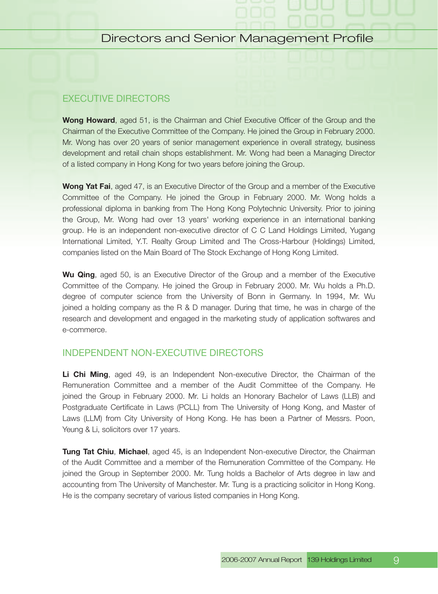# Directors and Senior Management Profile

### EXECUTIVE DIRECTORS

**Wong Howard**, aged 51, is the Chairman and Chief Executive Officer of the Group and the Chairman of the Executive Committee of the Company. He joined the Group in February 2000. Mr. Wong has over 20 years of senior management experience in overall strategy, business development and retail chain shops establishment. Mr. Wong had been a Managing Director of a listed company in Hong Kong for two years before joining the Group.

**Wong Yat Fai**, aged 47, is an Executive Director of the Group and a member of the Executive Committee of the Company. He joined the Group in February 2000. Mr. Wong holds a professional diploma in banking from The Hong Kong Polytechnic University. Prior to joining the Group, Mr. Wong had over 13 years' working experience in an international banking group. He is an independent non-executive director of C C Land Holdings Limited, Yugang International Limited, Y.T. Realty Group Limited and The Cross-Harbour (Holdings) Limited, companies listed on the Main Board of The Stock Exchange of Hong Kong Limited.

**Wu Qing**, aged 50, is an Executive Director of the Group and a member of the Executive Committee of the Company. He joined the Group in February 2000. Mr. Wu holds a Ph.D. degree of computer science from the University of Bonn in Germany. In 1994, Mr. Wu joined a holding company as the R & D manager. During that time, he was in charge of the research and development and engaged in the marketing study of application softwares and e-commerce.

### INDEPENDENT NON-EXECUTIVE DIRECTORS

**Li Chi Ming**, aged 49, is an Independent Non-executive Director, the Chairman of the Remuneration Committee and a member of the Audit Committee of the Company. He joined the Group in February 2000. Mr. Li holds an Honorary Bachelor of Laws (LLB) and Postgraduate Certificate in Laws (PCLL) from The University of Hong Kong, and Master of Laws (LLM) from City University of Hong Kong. He has been a Partner of Messrs. Poon, Yeung & Li, solicitors over 17 years.

**Tung Tat Chiu**, **Michael**, aged 45, is an Independent Non-executive Director, the Chairman of the Audit Committee and a member of the Remuneration Committee of the Company. He joined the Group in September 2000. Mr. Tung holds a Bachelor of Arts degree in law and accounting from The University of Manchester. Mr. Tung is a practicing solicitor in Hong Kong. He is the company secretary of various listed companies in Hong Kong.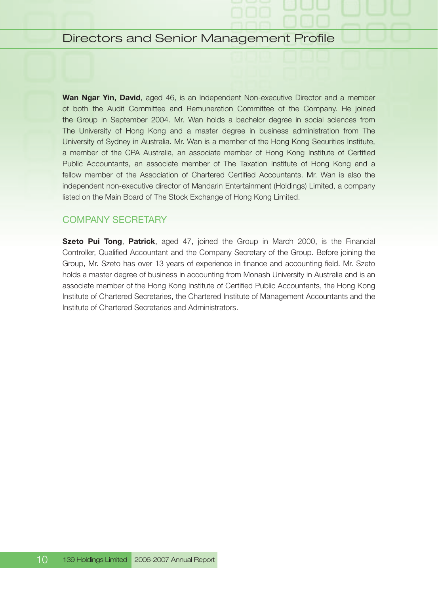# Directors and Senior Management Profile

**Wan Ngar Yin, David**, aged 46, is an Independent Non-executive Director and a member of both the Audit Committee and Remuneration Committee of the Company. He joined the Group in September 2004. Mr. Wan holds a bachelor degree in social sciences from The University of Hong Kong and a master degree in business administration from The University of Sydney in Australia. Mr. Wan is a member of the Hong Kong Securities Institute, a member of the CPA Australia, an associate member of Hong Kong Institute of Certified Public Accountants, an associate member of The Taxation Institute of Hong Kong and a fellow member of the Association of Chartered Certified Accountants. Mr. Wan is also the independent non-executive director of Mandarin Entertainment (Holdings) Limited, a company listed on the Main Board of The Stock Exchange of Hong Kong Limited.

### COMPANY SECRETARY

**Szeto Pui Tong**, **Patrick**, aged 47, joined the Group in March 2000, is the Financial Controller, Qualified Accountant and the Company Secretary of the Group. Before joining the Group, Mr. Szeto has over 13 years of experience in finance and accounting field. Mr. Szeto holds a master degree of business in accounting from Monash University in Australia and is an associate member of the Hong Kong Institute of Certified Public Accountants, the Hong Kong Institute of Chartered Secretaries, the Chartered Institute of Management Accountants and the Institute of Chartered Secretaries and Administrators.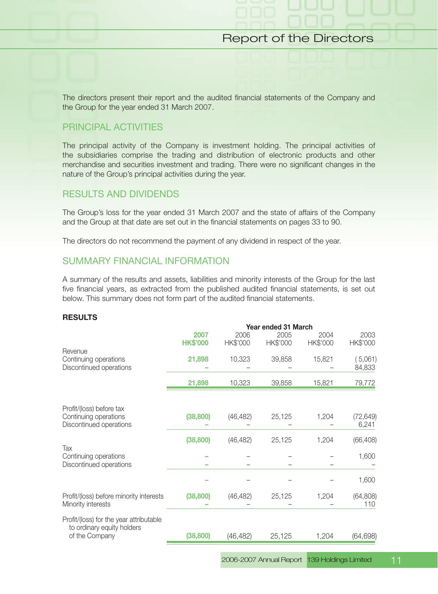The directors present their report and the audited financial statements of the Company and the Group for the year ended 31 March 2007.

#### PRINCIPAL ACTIVITIES

The principal activity of the Company is investment holding. The principal activities of the subsidiaries comprise the trading and distribution of electronic products and other merchandise and securities investment and trading. There were no significant changes in the nature of the Group's principal activities during the year.

### RESULTS AND DIVIDENDS

The Group's loss for the year ended 31 March 2007 and the state of affairs of the Company and the Group at that date are set out in the financial statements on pages 33 to 90.

The directors do not recommend the payment of any dividend in respect of the year.

#### SUMMARY FINANCIAL INFORMATION

A summary of the results and assets, liabilities and minority interests of the Group for the last five financial years, as extracted from the published audited financial statements, is set out below. This summary does not form part of the audited financial statements.

#### **RESULTS**

|                                                                       |                         |                  | Year ended 31 March |                  |                    |
|-----------------------------------------------------------------------|-------------------------|------------------|---------------------|------------------|--------------------|
|                                                                       | 2007<br><b>HK\$'000</b> | 2006<br>HK\$'000 | 2005<br>HK\$'000    | 2004<br>HK\$'000 | 2003<br>HK\$'000   |
| Revenue<br>Continuing operations<br>Discontinued operations           | 21,898                  | 10,323           | 39,858              | 15,821           | (5,061)<br>84,833  |
|                                                                       | 21,898                  | 10,323           | 39,858              | 15,821           | 79,772             |
| Profit/(loss) before tax                                              |                         |                  |                     |                  |                    |
| Continuing operations<br>Discontinued operations                      | (38, 800)               | (46, 482)        | 25,125              | 1,204            | (72, 649)<br>6,241 |
| Tax                                                                   | (38, 800)               | (46, 482)        | 25,125              | 1,204            | (66, 408)          |
| Continuing operations<br>Discontinued operations                      |                         |                  |                     |                  | 1,600              |
|                                                                       |                         |                  |                     |                  | 1,600              |
| Profit/(loss) before minority interests<br>Minority interests         | (38, 800)               | (46, 482)        | 25,125              | 1,204            | (64, 808)<br>110   |
| Profit/(loss) for the year attributable<br>to ordinary equity holders |                         |                  |                     |                  |                    |
| of the Company                                                        | (38, 800)               | (46, 482)        | 25,125              | 1,204            | (64, 698)          |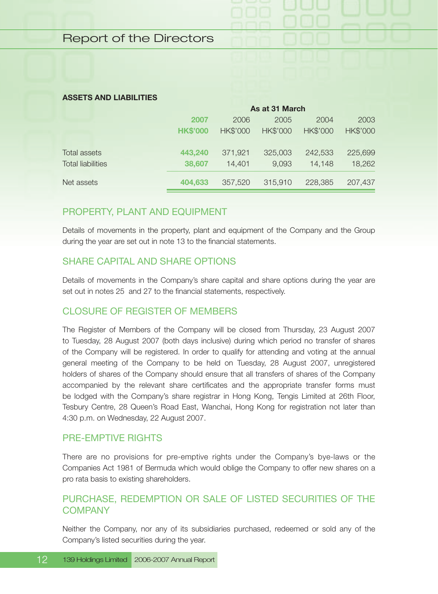#### **ASSETS AND LIABILITIES**

|                          |                 | As at 31 March  |                 |                 |                 |  |  |
|--------------------------|-----------------|-----------------|-----------------|-----------------|-----------------|--|--|
|                          | 2007            | 2006            | 2005            | 2004            | 2003            |  |  |
|                          | <b>HK\$'000</b> | <b>HK\$'000</b> | <b>HK\$'000</b> | <b>HK\$'000</b> | <b>HK\$'000</b> |  |  |
| Total assets             | 443,240         | 371,921         | 325,003         | 242,533         | 225,699         |  |  |
| <b>Total liabilities</b> | 38,607          | 14,401          | 9,093           | 14,148          | 18,262          |  |  |
| Net assets               | 404,633         | 357,520         | 315,910         | 228,385         | 207,437         |  |  |

### PROPERTY, PLANT AND EQUIPMENT

Details of movements in the property, plant and equipment of the Company and the Group during the year are set out in note 13 to the financial statements.

### SHARE CAPITAL AND SHARE OPTIONS

Details of movements in the Company's share capital and share options during the year are set out in notes 25 and 27 to the financial statements, respectively.

### CLOSURE OF REGISTER OF MEMBERS

The Register of Members of the Company will be closed from Thursday, 23 August 2007 to Tuesday, 28 August 2007 (both days inclusive) during which period no transfer of shares of the Company will be registered. In order to qualify for attending and voting at the annual general meeting of the Company to be held on Tuesday, 28 August 2007, unregistered holders of shares of the Company should ensure that all transfers of shares of the Company accompanied by the relevant share certificates and the appropriate transfer forms must be lodged with the Company's share registrar in Hong Kong, Tengis Limited at 26th Floor, Tesbury Centre, 28 Queen's Road East, Wanchai, Hong Kong for registration not later than 4:30 p.m. on Wednesday, 22 August 2007.

### PRE-EMPTIVE RIGHTS

There are no provisions for pre-emptive rights under the Company's bye-laws or the Companies Act 1981 of Bermuda which would oblige the Company to offer new shares on a pro rata basis to existing shareholders.

### PURCHASE, REDEMPTION OR SALE OF LISTED SECURITIES OF THE **COMPANY**

Neither the Company, nor any of its subsidiaries purchased, redeemed or sold any of the Company's listed securities during the year.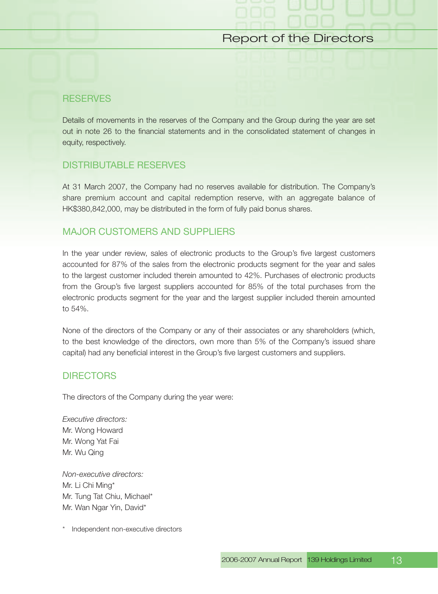#### **RESERVES**

Details of movements in the reserves of the Company and the Group during the year are set out in note 26 to the financial statements and in the consolidated statement of changes in equity, respectively.

### DISTRIBUTABLE RESERVES

At 31 March 2007, the Company had no reserves available for distribution. The Company's share premium account and capital redemption reserve, with an aggregate balance of HK\$380,842,000, may be distributed in the form of fully paid bonus shares.

### MAJOR CUSTOMERS AND SUPPLIERS

In the year under review, sales of electronic products to the Group's five largest customers accounted for 87% of the sales from the electronic products segment for the year and sales to the largest customer included therein amounted to 42%. Purchases of electronic products from the Group's five largest suppliers accounted for 85% of the total purchases from the electronic products segment for the year and the largest supplier included therein amounted to 54%.

None of the directors of the Company or any of their associates or any shareholders (which, to the best knowledge of the directors, own more than 5% of the Company's issued share capital) had any beneficial interest in the Group's five largest customers and suppliers.

#### **DIRECTORS**

The directors of the Company during the year were:

*Executive directors:* Mr. Wong Howard Mr. Wong Yat Fai Mr. Wu Qing

*Non-executive directors:* Mr. Li Chi Ming\* Mr. Tung Tat Chiu, Michael\* Mr. Wan Ngar Yin, David\*

\* Independent non-executive directors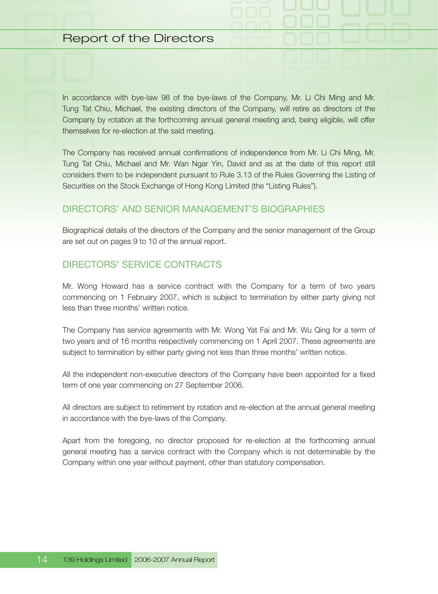In accordance with bye-law 98 of the bye-laws of the Company, Mr. Li Chi Ming and Mr. Tung Tat Chiu, Michael, the existing directors of the Company, will retire as directors of the Company by rotation at the forthcoming annual general meeting and, being eligible, will offer themselves for re-election at the said meeting.

The Company has received annual confirmations of independence from Mr. Li Chi Ming, Mr. Tung Tat Chiu, Michael and Mr. Wan Ngar Yin, David and as at the date of this report still considers them to be independent pursuant to Rule 3.13 of the Rules Governing the Listing of Securities on the Stock Exchange of Hong Kong Limited (the "Listing Rules").

### DIRECTORS' AND SENIOR MANAGEMENT'S BIOGRAPHIES

Biographical details of the directors of the Company and the senior management of the Group are set out on pages 9 to 10 of the annual report.

### DIRECTORS' SERVICE CONTRACTS

Mr. Wong Howard has a service contract with the Company for a term of two years commencing on 1 February 2007, which is subject to termination by either party giving not less than three months' written notice.

The Company has service agreements with Mr. Wong Yat Fai and Mr. Wu Qing for a term of two years and of 16 months respectively commencing on 1 April 2007. These agreements are subject to termination by either party giving not less than three months' written notice.

All the independent non-executive directors of the Company have been appointed for a fixed term of one year commencing on 27 September 2006.

All directors are subject to retirement by rotation and re-election at the annual general meeting in accordance with the bye-laws of the Company.

Apart from the foregoing, no director proposed for re-election at the forthcoming annual general meeting has a service contract with the Company which is not determinable by the Company within one year without payment, other than statutory compensation.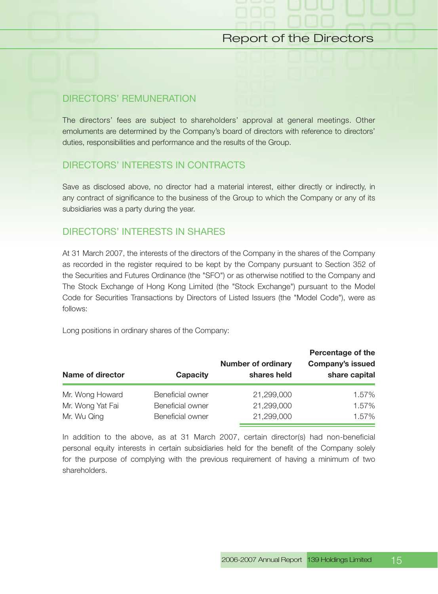## DIRECTORS' REMUNERATION

The directors' fees are subject to shareholders' approval at general meetings. Other emoluments are determined by the Company's board of directors with reference to directors' duties, responsibilities and performance and the results of the Group.

### DIRECTORS' INTERESTS IN CONTRACTS

Save as disclosed above, no director had a material interest, either directly or indirectly, in any contract of significance to the business of the Group to which the Company or any of its subsidiaries was a party during the year.

### DIRECTORS' INTERESTS IN SHARES

At 31 March 2007, the interests of the directors of the Company in the shares of the Company as recorded in the register required to be kept by the Company pursuant to Section 352 of the Securities and Futures Ordinance (the "SFO") or as otherwise notified to the Company and The Stock Exchange of Hong Kong Limited (the "Stock Exchange") pursuant to the Model Code for Securities Transactions by Directors of Listed Issuers (the "Model Code"), were as follows:

Long positions in ordinary shares of the Company:

| Name of director | <b>Capacity</b>  | <b>Number of ordinary</b><br>shares held | Percentage of the<br><b>Company's issued</b><br>share capital |
|------------------|------------------|------------------------------------------|---------------------------------------------------------------|
| Mr. Wong Howard  | Beneficial owner | 21,299,000                               | 1.57%                                                         |
| Mr. Wong Yat Fai | Beneficial owner | 21,299,000                               | 1.57%                                                         |
| Mr. Wu Qing      | Beneficial owner | 21,299,000                               | 1.57%                                                         |

In addition to the above, as at 31 March 2007, certain director(s) had non-beneficial personal equity interests in certain subsidiaries held for the benefit of the Company solely for the purpose of complying with the previous requirement of having a minimum of two shareholders.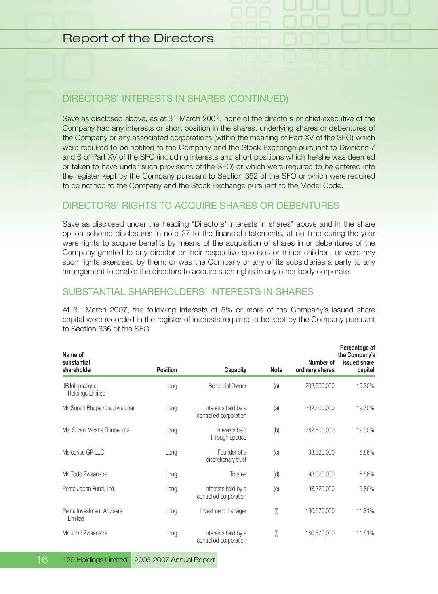## DIRECTORS' INTERESTS IN SHARES (CONTINUED)

Save as disclosed above, as at 31 March 2007, none of the directors or chief executive of the Company had any interests or short position in the shares, underlying shares or debentures of the Company or any associated corporations (within the meaning of Part XV of the SFO) which were required to be notified to the Company and the Stock Exchange pursuant to Divisions 7 and 8 of Part XV of the SFO (including interests and short positions which he/she was deemed or taken to have under such provisions of the SFO) or which were required to be entered into the register kept by the Company pursuant to Section 352 of the SFO or which were required to be notified to the Company and the Stock Exchange pursuant to the Model Code.

### DIRECTORS' RIGHTS TO ACQUIRE SHARES OR DEBENTURES

Save as disclosed under the heading "Directors' interests in shares" above and in the share option scheme disclosures in note 27 to the financial statements, at no time during the year were rights to acquire benefits by means of the acquisition of shares in or debentures of the Company granted to any director or their respective spouses or minor children, or were any such rights exercised by them; or was the Company or any of its subsidiaries a party to any arrangement to enable the directors to acquire such rights in any other body corporate.

### SUBSTANTIAL SHAREHOLDERS' INTERESTS IN SHARES

At 31 March 2007, the following interests of 5% or more of the Company's issued share capital were recorded in the register of interests required to be kept by the Company pursuant to Section 336 of the SFO:

| Name of<br>substantial<br>shareholder       | <b>Position</b> | <b>Capacity</b>                               | <b>Note</b> | Number of<br>ordinary shares | Percentage of<br>the Company's<br>issued share<br>capital |
|---------------------------------------------|-----------------|-----------------------------------------------|-------------|------------------------------|-----------------------------------------------------------|
| <b>JB</b> International<br>Holdings Limited | Long            | <b>Beneficial Owner</b>                       | (a)         | 262,500,000                  | 19.30%                                                    |
| Mr. Surani Bhupendra Jivrajbhai             | Long            | Interests held by a<br>controlled corporation | (a)         | 262,500,000                  | 19.30%                                                    |
| Ms. Surani Varsha Bhupendra                 | Long            | Interests held<br>through spouse              | (b)         | 262,500,000                  | 19,30%                                                    |
| Mercurius GP LLC                            | Long            | Founder of a<br>discretionary trust           | (c)         | 93,320,000                   | 6.86%                                                     |
| Mr. Todd Zwaanstra                          | Long            | Trustee                                       | (d)         | 93,320,000                   | 6.86%                                                     |
| Penta Japan Fund, Ltd.                      | Long            | Interests held by a<br>controlled corporation | (e)         | 93,320,000                   | 6.86%                                                     |
| Penta Investment Advisers<br>Limited        | Long            | Investment manager                            | (f)         | 160,670,000                  | 11.81%                                                    |
| Mr. John Zwaanstra                          | Long            | Interests held by a<br>controlled corporation | (f)         | 160,670,000                  | 11.81%                                                    |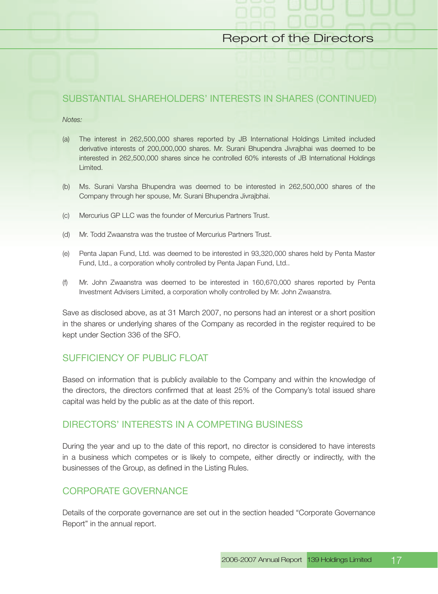#### SUBSTANTIAL SHAREHOLDERS' INTERESTS IN SHARES (CONTINUED)

#### *Notes:*

- (a) The interest in 262,500,000 shares reported by JB International Holdings Limited included derivative interests of 200,000,000 shares. Mr. Surani Bhupendra Jivrajbhai was deemed to be interested in 262,500,000 shares since he controlled 60% interests of JB International Holdings Limited.
- (b) Ms. Surani Varsha Bhupendra was deemed to be interested in 262,500,000 shares of the Company through her spouse, Mr. Surani Bhupendra Jivrajbhai.
- (c) Mercurius GP LLC was the founder of Mercurius Partners Trust.
- (d) Mr. Todd Zwaanstra was the trustee of Mercurius Partners Trust.
- (e) Penta Japan Fund, Ltd. was deemed to be interested in 93,320,000 shares held by Penta Master Fund, Ltd., a corporation wholly controlled by Penta Japan Fund, Ltd..
- (f) Mr. John Zwaanstra was deemed to be interested in 160,670,000 shares reported by Penta Investment Advisers Limited, a corporation wholly controlled by Mr. John Zwaanstra.

Save as disclosed above, as at 31 March 2007, no persons had an interest or a short position in the shares or underlying shares of the Company as recorded in the register required to be kept under Section 336 of the SFO.

### SUFFICIENCY OF PUBLIC FLOAT

Based on information that is publicly available to the Company and within the knowledge of the directors, the directors confirmed that at least 25% of the Company's total issued share capital was held by the public as at the date of this report.

### DIRECTORS' INTERESTS IN A COMPETING BUSINESS

During the year and up to the date of this report, no director is considered to have interests in a business which competes or is likely to compete, either directly or indirectly, with the businesses of the Group, as defined in the Listing Rules.

### CORPORATE GOVERNANCE

Details of the corporate governance are set out in the section headed "Corporate Governance Report" in the annual report.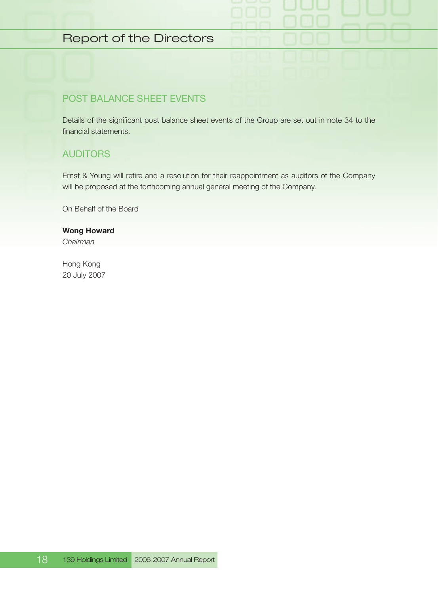# POST BALANCE SHEET EVENTS

Details of the significant post balance sheet events of the Group are set out in note 34 to the financial statements.

# AUDITORS

Ernst & Young will retire and a resolution for their reappointment as auditors of the Company will be proposed at the forthcoming annual general meeting of the Company.

On Behalf of the Board

#### **Wong Howard**

*Chairman*

Hong Kong 20 July 2007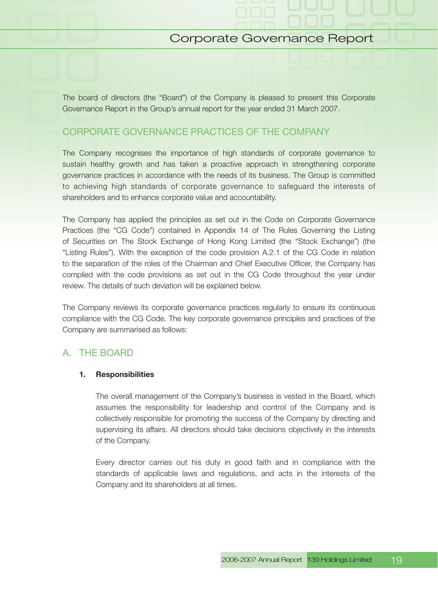The board of directors (the "Board") of the Company is pleased to present this Corporate Governance Report in the Group's annual report for the year ended 31 March 2007.

#### CORPORATE GOVERNANCE PRACTICES OF THE COMPANY

The Company recognises the importance of high standards of corporate governance to sustain healthy growth and has taken a proactive approach in strengthening corporate governance practices in accordance with the needs of its business. The Group is committed to achieving high standards of corporate governance to safeguard the interests of shareholders and to enhance corporate value and accountability.

The Company has applied the principles as set out in the Code on Corporate Governance Practices (the "CG Code") contained in Appendix 14 of The Rules Governing the Listing of Securities on The Stock Exchange of Hong Kong Limited (the "Stock Exchange") (the "Listing Rules"). With the exception of the code provision A.2.1 of the CG Code in relation to the separation of the roles of the Chairman and Chief Executive Officer, the Company has complied with the code provisions as set out in the CG Code throughout the year under review. The details of such deviation will be explained below.

The Company reviews its corporate governance practices regularly to ensure its continuous compliance with the CG Code. The key corporate governance principles and practices of the Company are summarised as follows:

#### A. THE BOARD

#### **1. Responsibilities**

The overall management of the Company's business is vested in the Board, which assumes the responsibility for leadership and control of the Company and is collectively responsible for promoting the success of the Company by directing and supervising its affairs. All directors should take decisions objectively in the interests of the Company.

Every director carries out his duty in good faith and in compliance with the standards of applicable laws and regulations, and acts in the interests of the Company and its shareholders at all times.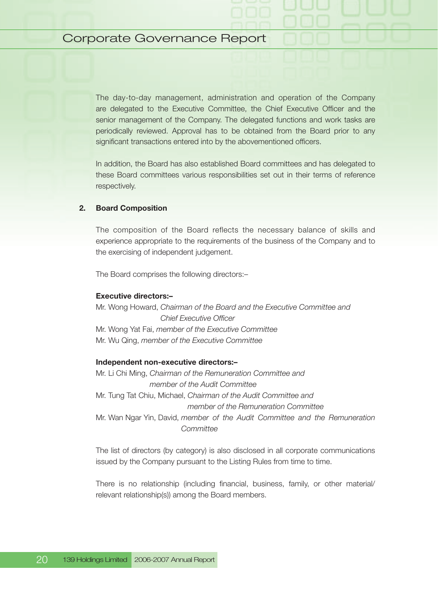The day-to-day management, administration and operation of the Company are delegated to the Executive Committee, the Chief Executive Officer and the senior management of the Company. The delegated functions and work tasks are periodically reviewed. Approval has to be obtained from the Board prior to any significant transactions entered into by the abovementioned officers.

In addition, the Board has also established Board committees and has delegated to these Board committees various responsibilities set out in their terms of reference respectively.

#### **2. Board Composition**

The composition of the Board reflects the necessary balance of skills and experience appropriate to the requirements of the business of the Company and to the exercising of independent judgement.

The Board comprises the following directors:–

#### **Executive directors:–**

Mr. Wong Howard, *Chairman of the Board and the Executive Committee and Chief Executive Officer* Mr. Wong Yat Fai, *member of the Executive Committee* Mr. Wu Qing, *member of the Executive Committee*

#### **Independent non-executive directors:–**

Mr. Li Chi Ming, *Chairman of the Remuneration Committee and member of the Audit Committee* Mr. Tung Tat Chiu, Michael, *Chairman of the Audit Committee and member of the Remuneration Committee* Mr. Wan Ngar Yin, David, *member of the Audit Committee and the Remuneration Committee*

The list of directors (by category) is also disclosed in all corporate communications issued by the Company pursuant to the Listing Rules from time to time.

There is no relationship (including financial, business, family, or other material/ relevant relationship(s)) among the Board members.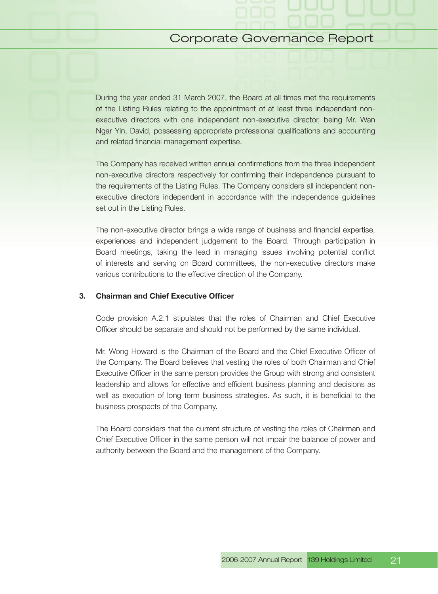During the year ended 31 March 2007, the Board at all times met the requirements of the Listing Rules relating to the appointment of at least three independent nonexecutive directors with one independent non-executive director, being Mr. Wan Ngar Yin, David, possessing appropriate professional qualifications and accounting and related financial management expertise.

The Company has received written annual confirmations from the three independent non-executive directors respectively for confirming their independence pursuant to the requirements of the Listing Rules. The Company considers all independent nonexecutive directors independent in accordance with the independence guidelines set out in the Listing Rules.

The non-executive director brings a wide range of business and financial expertise, experiences and independent judgement to the Board. Through participation in Board meetings, taking the lead in managing issues involving potential conflict of interests and serving on Board committees, the non-executive directors make various contributions to the effective direction of the Company.

#### **3. Chairman and Chief Executive Officer**

Code provision A.2.1 stipulates that the roles of Chairman and Chief Executive Officer should be separate and should not be performed by the same individual.

Mr. Wong Howard is the Chairman of the Board and the Chief Executive Officer of the Company. The Board believes that vesting the roles of both Chairman and Chief Executive Officer in the same person provides the Group with strong and consistent leadership and allows for effective and efficient business planning and decisions as well as execution of long term business strategies. As such, it is beneficial to the business prospects of the Company.

The Board considers that the current structure of vesting the roles of Chairman and Chief Executive Officer in the same person will not impair the balance of power and authority between the Board and the management of the Company.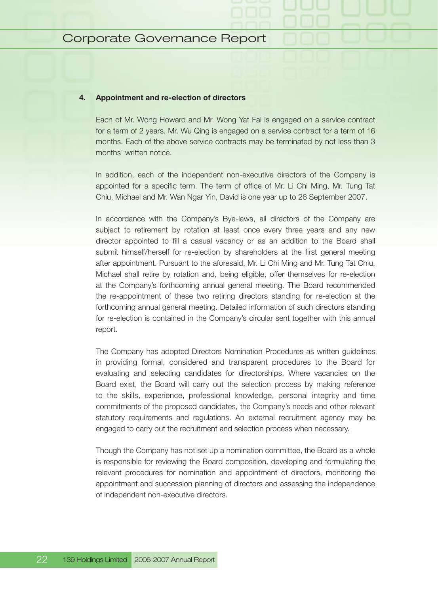#### **4. Appointment and re-election of directors**

Each of Mr. Wong Howard and Mr. Wong Yat Fai is engaged on a service contract for a term of 2 years. Mr. Wu Qing is engaged on a service contract for a term of 16 months. Each of the above service contracts may be terminated by not less than 3 months' written notice.

In addition, each of the independent non-executive directors of the Company is appointed for a specific term. The term of office of Mr. Li Chi Ming, Mr. Tung Tat Chiu, Michael and Mr. Wan Ngar Yin, David is one year up to 26 September 2007.

In accordance with the Company's Bye-laws, all directors of the Company are subject to retirement by rotation at least once every three years and any new director appointed to fill a casual vacancy or as an addition to the Board shall submit himself/herself for re-election by shareholders at the first general meeting after appointment. Pursuant to the aforesaid, Mr. Li Chi Ming and Mr. Tung Tat Chiu, Michael shall retire by rotation and, being eligible, offer themselves for re-election at the Company's forthcoming annual general meeting. The Board recommended the re-appointment of these two retiring directors standing for re-election at the forthcoming annual general meeting. Detailed information of such directors standing for re-election is contained in the Company's circular sent together with this annual report.

The Company has adopted Directors Nomination Procedures as written guidelines in providing formal, considered and transparent procedures to the Board for evaluating and selecting candidates for directorships. Where vacancies on the Board exist, the Board will carry out the selection process by making reference to the skills, experience, professional knowledge, personal integrity and time commitments of the proposed candidates, the Company's needs and other relevant statutory requirements and regulations. An external recruitment agency may be engaged to carry out the recruitment and selection process when necessary.

Though the Company has not set up a nomination committee, the Board as a whole is responsible for reviewing the Board composition, developing and formulating the relevant procedures for nomination and appointment of directors, monitoring the appointment and succession planning of directors and assessing the independence of independent non-executive directors.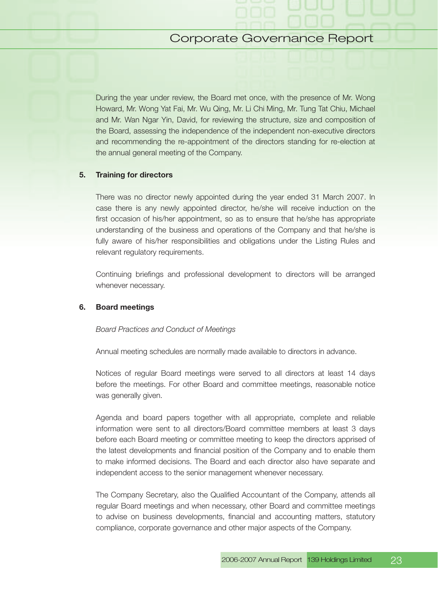During the year under review, the Board met once, with the presence of Mr. Wong Howard, Mr. Wong Yat Fai, Mr. Wu Qing, Mr. Li Chi Ming, Mr. Tung Tat Chiu, Michael and Mr. Wan Ngar Yin, David, for reviewing the structure, size and composition of the Board, assessing the independence of the independent non-executive directors and recommending the re-appointment of the directors standing for re-election at the annual general meeting of the Company.

#### **5. Training for directors**

There was no director newly appointed during the year ended 31 March 2007. In case there is any newly appointed director, he/she will receive induction on the first occasion of his/her appointment, so as to ensure that he/she has appropriate understanding of the business and operations of the Company and that he/she is fully aware of his/her responsibilities and obligations under the Listing Rules and relevant regulatory requirements.

Continuing briefings and professional development to directors will be arranged whenever necessary.

#### **6. Board meetings**

#### *Board Practices and Conduct of Meetings*

Annual meeting schedules are normally made available to directors in advance.

Notices of regular Board meetings were served to all directors at least 14 days before the meetings. For other Board and committee meetings, reasonable notice was generally given.

Agenda and board papers together with all appropriate, complete and reliable information were sent to all directors/Board committee members at least 3 days before each Board meeting or committee meeting to keep the directors apprised of the latest developments and financial position of the Company and to enable them to make informed decisions. The Board and each director also have separate and independent access to the senior management whenever necessary.

The Company Secretary, also the Qualified Accountant of the Company, attends all regular Board meetings and when necessary, other Board and committee meetings to advise on business developments, financial and accounting matters, statutory compliance, corporate governance and other major aspects of the Company.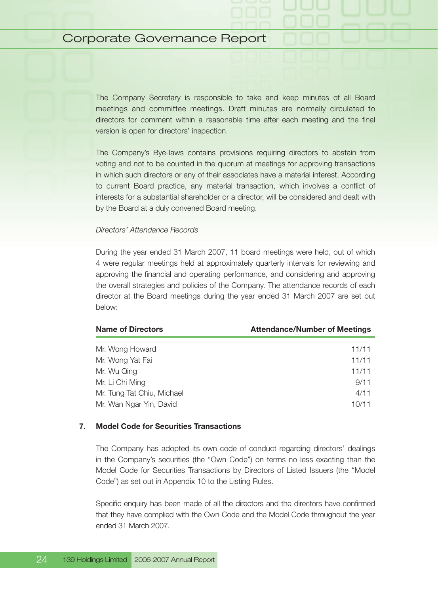The Company Secretary is responsible to take and keep minutes of all Board meetings and committee meetings. Draft minutes are normally circulated to directors for comment within a reasonable time after each meeting and the final version is open for directors' inspection.

The Company's Bye-laws contains provisions requiring directors to abstain from voting and not to be counted in the quorum at meetings for approving transactions in which such directors or any of their associates have a material interest. According to current Board practice, any material transaction, which involves a conflict of interests for a substantial shareholder or a director, will be considered and dealt with by the Board at a duly convened Board meeting.

#### *Directors' Attendance Records*

During the year ended 31 March 2007, 11 board meetings were held, out of which 4 were regular meetings held at approximately quarterly intervals for reviewing and approving the financial and operating performance, and considering and approving the overall strategies and policies of the Company. The attendance records of each director at the Board meetings during the year ended 31 March 2007 are set out below:

| <b>Name of Directors</b>            | <b>Attendance/Number of Meetings</b> |
|-------------------------------------|--------------------------------------|
|                                     | 11/11                                |
| Mr. Wong Howard<br>Mr. Wong Yat Fai | 11/11                                |
| Mr. Wu Qing                         | 11/11                                |
| Mr. Li Chi Ming                     | 9/11                                 |
| Mr. Tung Tat Chiu, Michael          | 4/11                                 |
| Mr. Wan Ngar Yin, David             | 10/11                                |

#### **7. Model Code for Securities Transactions**

The Company has adopted its own code of conduct regarding directors' dealings in the Company's securities (the "Own Code") on terms no less exacting than the Model Code for Securities Transactions by Directors of Listed Issuers (the "Model Code") as set out in Appendix 10 to the Listing Rules.

Specific enquiry has been made of all the directors and the directors have confirmed that they have complied with the Own Code and the Model Code throughout the year ended 31 March 2007.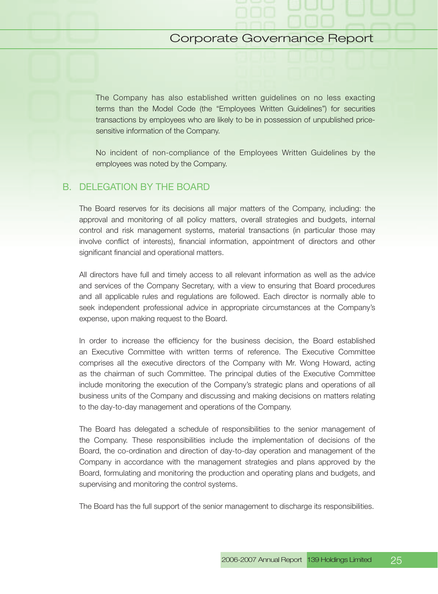The Company has also established written guidelines on no less exacting terms than the Model Code (the "Employees Written Guidelines") for securities transactions by employees who are likely to be in possession of unpublished pricesensitive information of the Company.

No incident of non-compliance of the Employees Written Guidelines by the employees was noted by the Company.

#### B. DELEGATION BY THE BOARD

The Board reserves for its decisions all major matters of the Company, including: the approval and monitoring of all policy matters, overall strategies and budgets, internal control and risk management systems, material transactions (in particular those may involve conflict of interests), financial information, appointment of directors and other significant financial and operational matters.

All directors have full and timely access to all relevant information as well as the advice and services of the Company Secretary, with a view to ensuring that Board procedures and all applicable rules and regulations are followed. Each director is normally able to seek independent professional advice in appropriate circumstances at the Company's expense, upon making request to the Board.

In order to increase the efficiency for the business decision, the Board established an Executive Committee with written terms of reference. The Executive Committee comprises all the executive directors of the Company with Mr. Wong Howard, acting as the chairman of such Committee. The principal duties of the Executive Committee include monitoring the execution of the Company's strategic plans and operations of all business units of the Company and discussing and making decisions on matters relating to the day-to-day management and operations of the Company.

The Board has delegated a schedule of responsibilities to the senior management of the Company. These responsibilities include the implementation of decisions of the Board, the co-ordination and direction of day-to-day operation and management of the Company in accordance with the management strategies and plans approved by the Board, formulating and monitoring the production and operating plans and budgets, and supervising and monitoring the control systems.

The Board has the full support of the senior management to discharge its responsibilities.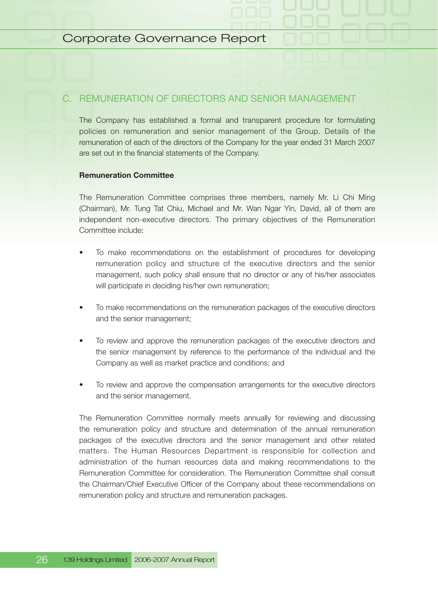### C. REMUNERATION OF DIRECTORS AND SENIOR MANAGEMENT

The Company has established a formal and transparent procedure for formulating policies on remuneration and senior management of the Group. Details of the remuneration of each of the directors of the Company for the year ended 31 March 2007 are set out in the financial statements of the Company.

#### **Remuneration Committee**

The Remuneration Committee comprises three members, namely Mr. Li Chi Ming (Chairman), Mr. Tung Tat Chiu, Michael and Mr. Wan Ngar Yin, David, all of them are independent non-executive directors. The primary objectives of the Remuneration Committee include:

- To make recommendations on the establishment of procedures for developing remuneration policy and structure of the executive directors and the senior management, such policy shall ensure that no director or any of his/her associates will participate in deciding his/her own remuneration;
- To make recommendations on the remuneration packages of the executive directors and the senior management;
- To review and approve the remuneration packages of the executive directors and the senior management by reference to the performance of the individual and the Company as well as market practice and conditions; and
- To review and approve the compensation arrangements for the executive directors and the senior management.

The Remuneration Committee normally meets annually for reviewing and discussing the remuneration policy and structure and determination of the annual remuneration packages of the executive directors and the senior management and other related matters. The Human Resources Department is responsible for collection and administration of the human resources data and making recommendations to the Remuneration Committee for consideration. The Remuneration Committee shall consult the Chairman/Chief Executive Officer of the Company about these recommendations on remuneration policy and structure and remuneration packages.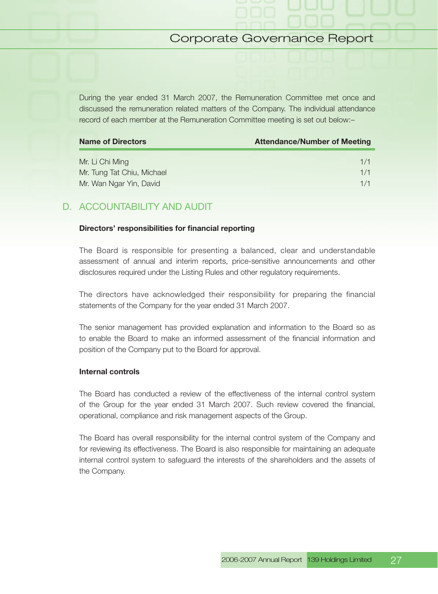During the year ended 31 March 2007, the Remuneration Committee met once and discussed the remuneration related matters of the Company. The individual attendance record of each member at the Remuneration Committee meeting is set out below:–

| <b>Name of Directors</b>   | <b>Attendance/Number of Meeting</b> |
|----------------------------|-------------------------------------|
| Mr. Li Chi Ming            | 1/1                                 |
| Mr. Tung Tat Chiu, Michael | 1/1                                 |
| Mr. Wan Ngar Yin, David    | 1/1                                 |

#### D. ACCOUNTABILITY AND AUDIT

#### **Directors' responsibilities for financial reporting**

The Board is responsible for presenting a balanced, clear and understandable assessment of annual and interim reports, price-sensitive announcements and other disclosures required under the Listing Rules and other regulatory requirements.

The directors have acknowledged their responsibility for preparing the financial statements of the Company for the year ended 31 March 2007.

The senior management has provided explanation and information to the Board so as to enable the Board to make an informed assessment of the financial information and position of the Company put to the Board for approval.

#### **Internal controls**

The Board has conducted a review of the effectiveness of the internal control system of the Group for the year ended 31 March 2007. Such review covered the financial, operational, compliance and risk management aspects of the Group.

The Board has overall responsibility for the internal control system of the Company and for reviewing its effectiveness. The Board is also responsible for maintaining an adequate internal control system to safeguard the interests of the shareholders and the assets of the Company.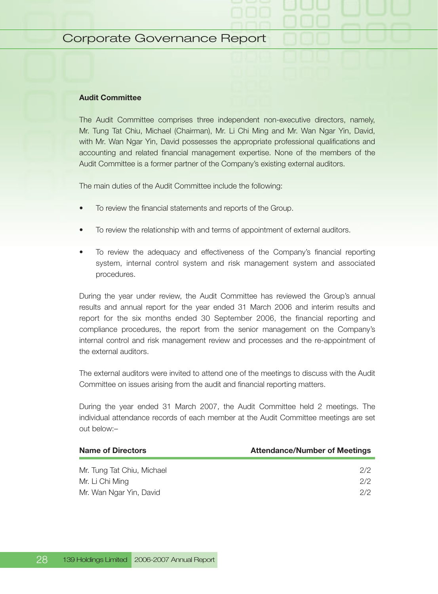#### **Audit Committee**

The Audit Committee comprises three independent non-executive directors, namely, Mr. Tung Tat Chiu, Michael (Chairman), Mr. Li Chi Ming and Mr. Wan Ngar Yin, David, with Mr. Wan Ngar Yin, David possesses the appropriate professional qualifications and accounting and related financial management expertise. None of the members of the Audit Committee is a former partner of the Company's existing external auditors.

The main duties of the Audit Committee include the following:

- To review the financial statements and reports of the Group.
- To review the relationship with and terms of appointment of external auditors.
- To review the adequacy and effectiveness of the Company's financial reporting system, internal control system and risk management system and associated procedures.

During the year under review, the Audit Committee has reviewed the Group's annual results and annual report for the year ended 31 March 2006 and interim results and report for the six months ended 30 September 2006, the financial reporting and compliance procedures, the report from the senior management on the Company's internal control and risk management review and processes and the re-appointment of the external auditors.

The external auditors were invited to attend one of the meetings to discuss with the Audit Committee on issues arising from the audit and financial reporting matters.

During the year ended 31 March 2007, the Audit Committee held 2 meetings. The individual attendance records of each member at the Audit Committee meetings are set out below:–

| <b>Name of Directors</b>   | <b>Attendance/Number of Meetings</b> |
|----------------------------|--------------------------------------|
|                            |                                      |
| Mr. Tung Tat Chiu, Michael | 2/2                                  |
| Mr. Li Chi Ming            | 2/2                                  |
| Mr. Wan Ngar Yin, David    | 2/2                                  |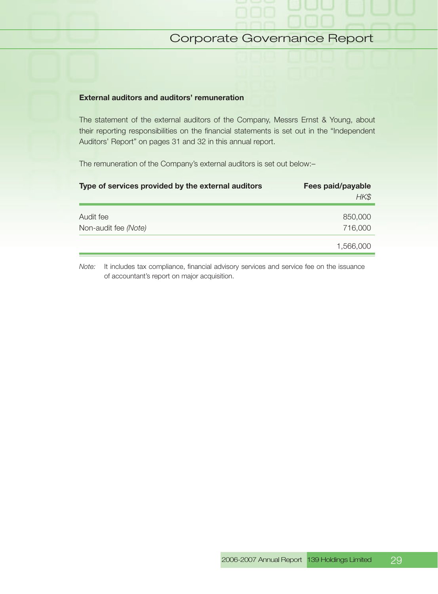#### **External auditors and auditors' remuneration**

The statement of the external auditors of the Company, Messrs Ernst & Young, about their reporting responsibilities on the financial statements is set out in the "Independent Auditors' Report" on pages 31 and 32 in this annual report.

The remuneration of the Company's external auditors is set out below:–

| Type of services provided by the external auditors | Fees paid/payable |  |  |
|----------------------------------------------------|-------------------|--|--|
|                                                    | HK\$              |  |  |
| Audit fee                                          | 850,000           |  |  |
| Non-audit fee (Note)                               | 716,000           |  |  |
|                                                    | 1,566,000         |  |  |

*Note:* It includes tax compliance, financial advisory services and service fee on the issuance of accountant's report on major acquisition.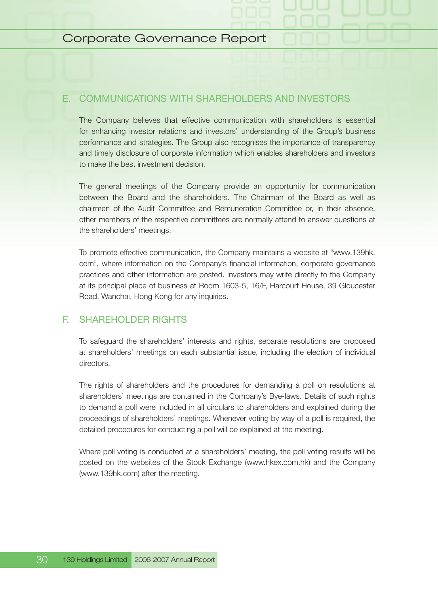### E. COMMUNICATIONS WITH SHAREHOLDERS AND INVESTORS

The Company believes that effective communication with shareholders is essential for enhancing investor relations and investors' understanding of the Group's business performance and strategies. The Group also recognises the importance of transparency and timely disclosure of corporate information which enables shareholders and investors to make the best investment decision.

The general meetings of the Company provide an opportunity for communication between the Board and the shareholders. The Chairman of the Board as well as chairmen of the Audit Committee and Remuneration Committee or, in their absence, other members of the respective committees are normally attend to answer questions at the shareholders' meetings.

To promote effective communication, the Company maintains a website at "www.139hk. com", where information on the Company's financial information, corporate governance practices and other information are posted. Investors may write directly to the Company at its principal place of business at Room 1603-5, 16/F, Harcourt House, 39 Gloucester Road, Wanchai, Hong Kong for any inquiries.

#### F. SHAREHOLDER RIGHTS

To safeguard the shareholders' interests and rights, separate resolutions are proposed at shareholders' meetings on each substantial issue, including the election of individual directors.

The rights of shareholders and the procedures for demanding a poll on resolutions at shareholders' meetings are contained in the Company's Bye-laws. Details of such rights to demand a poll were included in all circulars to shareholders and explained during the proceedings of shareholders' meetings. Whenever voting by way of a poll is required, the detailed procedures for conducting a poll will be explained at the meeting.

Where poll voting is conducted at a shareholders' meeting, the poll voting results will be posted on the websites of the Stock Exchange (www.hkex.com.hk) and the Company (www.139hk.com) after the meeting.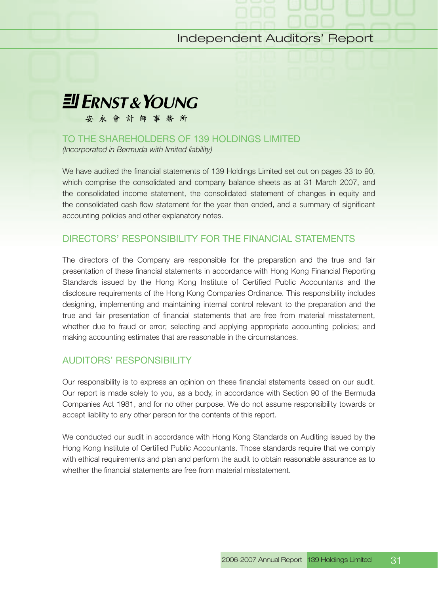# Independent Auditors' Report



安永會計師事務所

TO THE SHAREHOLDERS OF 139 HOLDINGS LIMITED *(Incorporated in Bermuda with limited liability)*

We have audited the financial statements of 139 Holdings Limited set out on pages 33 to 90, which comprise the consolidated and company balance sheets as at 31 March 2007, and the consolidated income statement, the consolidated statement of changes in equity and the consolidated cash flow statement for the year then ended, and a summary of significant accounting policies and other explanatory notes.

### DIRECTORS' RESPONSIBILITY FOR THE FINANCIAL STATEMENTS

The directors of the Company are responsible for the preparation and the true and fair presentation of these financial statements in accordance with Hong Kong Financial Reporting Standards issued by the Hong Kong Institute of Certified Public Accountants and the disclosure requirements of the Hong Kong Companies Ordinance. This responsibility includes designing, implementing and maintaining internal control relevant to the preparation and the true and fair presentation of financial statements that are free from material misstatement, whether due to fraud or error; selecting and applying appropriate accounting policies; and making accounting estimates that are reasonable in the circumstances.

### AUDITORS' RESPONSIBILITY

Our responsibility is to express an opinion on these financial statements based on our audit. Our report is made solely to you, as a body, in accordance with Section 90 of the Bermuda Companies Act 1981, and for no other purpose. We do not assume responsibility towards or accept liability to any other person for the contents of this report.

We conducted our audit in accordance with Hong Kong Standards on Auditing issued by the Hong Kong Institute of Certified Public Accountants. Those standards require that we comply with ethical requirements and plan and perform the audit to obtain reasonable assurance as to whether the financial statements are free from material misstatement.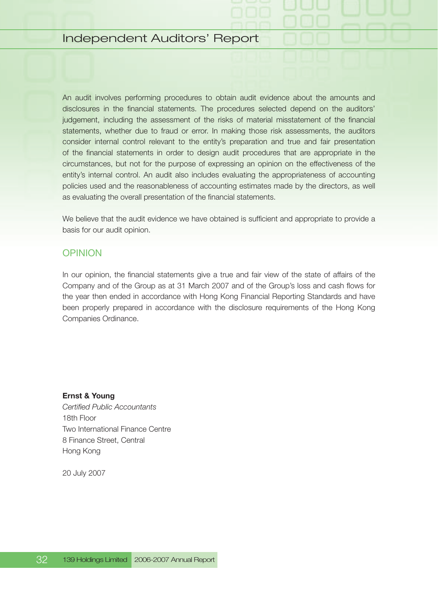## Independent Auditors' Report

An audit involves performing procedures to obtain audit evidence about the amounts and disclosures in the financial statements. The procedures selected depend on the auditors' judgement, including the assessment of the risks of material misstatement of the financial statements, whether due to fraud or error. In making those risk assessments, the auditors consider internal control relevant to the entity's preparation and true and fair presentation of the financial statements in order to design audit procedures that are appropriate in the circumstances, but not for the purpose of expressing an opinion on the effectiveness of the entity's internal control. An audit also includes evaluating the appropriateness of accounting policies used and the reasonableness of accounting estimates made by the directors, as well as evaluating the overall presentation of the financial statements.

We believe that the audit evidence we have obtained is sufficient and appropriate to provide a basis for our audit opinion.

#### **OPINION**

In our opinion, the financial statements give a true and fair view of the state of affairs of the Company and of the Group as at 31 March 2007 and of the Group's loss and cash flows for the year then ended in accordance with Hong Kong Financial Reporting Standards and have been properly prepared in accordance with the disclosure requirements of the Hong Kong Companies Ordinance.

**Ernst & Young Certified Public Accountants** 18th Floor Two International Finance Centre 8 Finance Street, Central Hong Kong

20 July 2007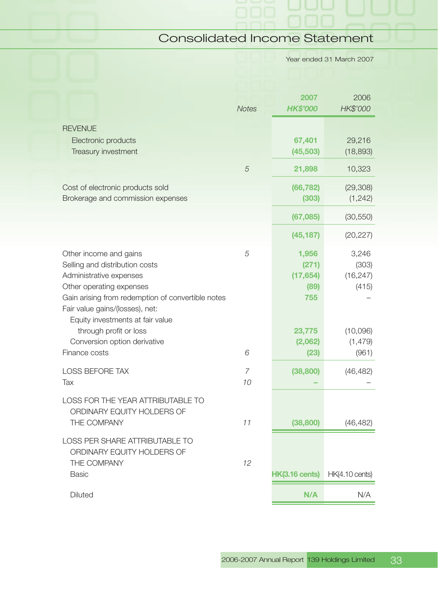# Consolidated Income Statement

Year ended 31 March 2007

|                                                                                                                                                                                                                                                                                                       | <b>Notes</b>         | 2007<br><b>HK\$'000</b>                                         | 2006<br>HK\$'000                                             |
|-------------------------------------------------------------------------------------------------------------------------------------------------------------------------------------------------------------------------------------------------------------------------------------------------------|----------------------|-----------------------------------------------------------------|--------------------------------------------------------------|
| <b>REVENUE</b><br>Electronic products<br>Treasury investment                                                                                                                                                                                                                                          |                      | 67,401<br>(45, 503)                                             | 29,216<br>(18, 893)                                          |
|                                                                                                                                                                                                                                                                                                       | 5                    | 21,898                                                          | 10,323                                                       |
| Cost of electronic products sold<br>Brokerage and commission expenses                                                                                                                                                                                                                                 |                      | (66, 782)<br>(303)                                              | (29, 308)<br>(1,242)                                         |
|                                                                                                                                                                                                                                                                                                       |                      | (67,085)                                                        | (30, 550)                                                    |
|                                                                                                                                                                                                                                                                                                       |                      | (45, 187)                                                       | (20, 227)                                                    |
| Other income and gains<br>Selling and distribution costs<br>Administrative expenses<br>Other operating expenses<br>Gain arising from redemption of convertible notes<br>Fair value gains/(losses), net:<br>Equity investments at fair value<br>through profit or loss<br>Conversion option derivative | 5                    | 1,956<br>(271)<br>(17, 654)<br>(89)<br>755<br>23,775<br>(2,062) | 3,246<br>(303)<br>(16, 247)<br>(415)<br>(10,096)<br>(1, 479) |
| Finance costs                                                                                                                                                                                                                                                                                         | 6                    | (23)                                                            | (961)                                                        |
| <b>LOSS BEFORE TAX</b><br>Tax                                                                                                                                                                                                                                                                         | $\overline{7}$<br>10 | (38, 800)                                                       | (46, 482)                                                    |
| LOSS FOR THE YEAR ATTRIBUTABLE TO<br>ORDINARY EQUITY HOLDERS OF<br>THE COMPANY                                                                                                                                                                                                                        | 11                   | (38, 800)                                                       | (46, 482)                                                    |
| LOSS PER SHARE ATTRIBUTABLE TO<br>ORDINARY EQUITY HOLDERS OF<br>THE COMPANY<br><b>Basic</b>                                                                                                                                                                                                           | 12                   | <b>HK(3.16 cents)</b>                                           | <b>HK(4.10 cents)</b>                                        |
| <b>Diluted</b>                                                                                                                                                                                                                                                                                        |                      | N/A                                                             | N/A                                                          |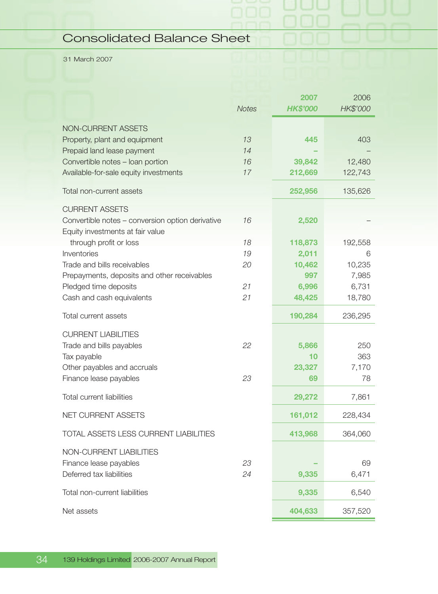# Consolidated Balance Sheet

31 March 2007

|                                                                                      | <b>Notes</b> | 2007<br><b>HK\$'000</b> | 2006<br>HK\$'000 |
|--------------------------------------------------------------------------------------|--------------|-------------------------|------------------|
| NON-CURRENT ASSETS                                                                   |              |                         |                  |
| Property, plant and equipment                                                        | 13           | 445                     | 403              |
| Prepaid land lease payment                                                           | 14           |                         |                  |
| Convertible notes - loan portion                                                     | 16           | 39,842                  | 12,480           |
| Available-for-sale equity investments                                                | 17           | 212,669                 | 122,743          |
| Total non-current assets                                                             |              | 252,956                 | 135,626          |
| <b>CURRENT ASSETS</b>                                                                |              |                         |                  |
| Convertible notes - conversion option derivative<br>Equity investments at fair value | 16           | 2,520                   |                  |
| through profit or loss                                                               | 18           | 118,873                 | 192,558          |
| Inventories                                                                          | 19           | 2,011                   | 6                |
| Trade and bills receivables                                                          | 20           | 10,462                  | 10,235           |
| Prepayments, deposits and other receivables                                          |              | 997                     | 7,985            |
| Pledged time deposits                                                                | 21           | 6,996                   | 6,731            |
| Cash and cash equivalents                                                            | 21           | 48,425                  | 18,780           |
| Total current assets                                                                 |              | 190,284                 | 236,295          |
| <b>CURRENT LIABILITIES</b>                                                           |              |                         |                  |
| Trade and bills payables                                                             | 22           | 5,866                   | 250              |
| Tax payable                                                                          |              | 10                      | 363              |
| Other payables and accruals                                                          |              | 23,327                  | 7,170            |
| Finance lease payables                                                               | 23           | 69                      | 78               |
| <b>Total current liabilities</b>                                                     |              | 29,272                  | 7,861            |
| <b>NET CURRENT ASSETS</b>                                                            |              | 161,012                 | 228,434          |
| TOTAL ASSETS LESS CURRENT LIABILITIES                                                |              | 413,968                 | 364,060          |
| NON-CURRENT LIABILITIES                                                              |              |                         |                  |
| Finance lease payables                                                               | 23           |                         | 69               |
| Deferred tax liabilities                                                             | 24           | 9,335                   | 6,471            |
| Total non-current liabilities                                                        |              | 9,335                   | 6,540            |
| Net assets                                                                           |              | 404,633                 | 357,520          |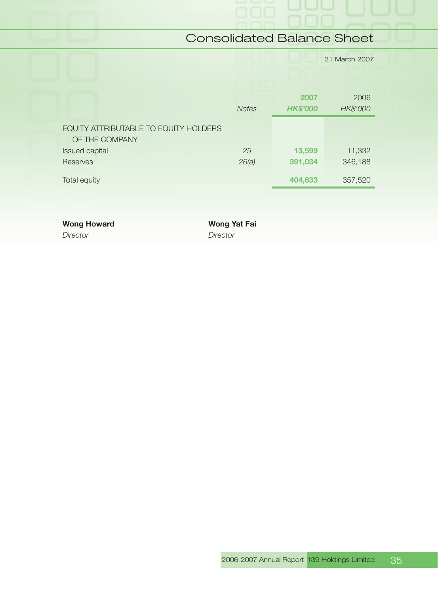# Consolidated Balance Sheet

|                                       |              |                         | 31 March 2007    |
|---------------------------------------|--------------|-------------------------|------------------|
|                                       | <b>Notes</b> | 2007<br><b>HK\$'000</b> | 2006<br>HK\$'000 |
| EQUITY ATTRIBUTABLE TO EQUITY HOLDERS |              |                         |                  |
| OF THE COMPANY                        |              |                         |                  |
| <b>Issued capital</b>                 | 25           | 13,599                  | 11,332           |
| Reserves                              | 26(a)        | 391,034                 | 346,188          |
| Total equity                          |              | 404,633                 | 357,520          |

| <b>Wong Howard</b> | <b>Wong Yat Fai</b> |  |  |
|--------------------|---------------------|--|--|
| Director           | Director            |  |  |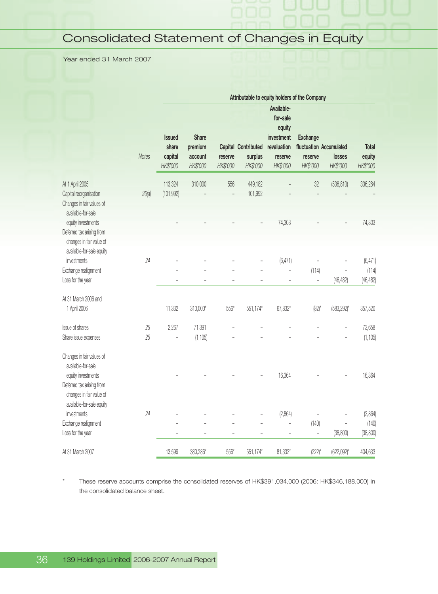# Consolidated Statement of Changes in Equity

### Year ended 31 March 2007

|                                                                                                                                                             |          | Attributable to equity holders of the Company |                                                |                     |                                            |                                                                                      |                                        |                                               |                                    |
|-------------------------------------------------------------------------------------------------------------------------------------------------------------|----------|-----------------------------------------------|------------------------------------------------|---------------------|--------------------------------------------|--------------------------------------------------------------------------------------|----------------------------------------|-----------------------------------------------|------------------------------------|
|                                                                                                                                                             | Notes    | <b>Issued</b><br>share<br>capital<br>HK\$'000 | <b>Share</b><br>premium<br>account<br>HK\$'000 | reserve<br>HK\$'000 | Capital Contributed<br>surplus<br>HK\$'000 | Available-<br>for-sale<br>equity<br>investment<br>revaluation<br>reserve<br>HK\$'000 | <b>Exchange</b><br>reserve<br>HK\$'000 | fluctuation Accumulated<br>losses<br>HK\$'000 | <b>Total</b><br>equity<br>HK\$'000 |
| At 1 April 2005                                                                                                                                             |          | 113,324                                       | 310,000                                        | 556                 | 449,182                                    |                                                                                      | 32                                     | (536, 810)                                    | 336,284                            |
| Capital reorganisation<br>Changes in fair values of<br>available-for-sale                                                                                   | 26(a)    | (101, 992)                                    |                                                |                     | 101,992                                    |                                                                                      |                                        |                                               |                                    |
| equity investments<br>Deferred tax arising from<br>changes in fair value of                                                                                 |          |                                               |                                                |                     |                                            | 74,303                                                                               |                                        |                                               | 74,303                             |
| available-for-sale equity<br>investments<br>Exchange realignment<br>Loss for the year                                                                       | 24       |                                               |                                                |                     | $\overline{a}$                             | (6, 471)<br>$\overline{a}$<br>$\overline{a}$                                         | (114)<br>$\qquad \qquad -$             | (46, 482)                                     | (6, 471)<br>(114)<br>(46, 482)     |
| At 31 March 2006 and<br>1 April 2006                                                                                                                        |          | 11,332                                        | 310,000*                                       | $556*$              | 551,174*                                   | 67,832*                                                                              | $(82)^{*}$                             | $(583, 292)^*$                                | 357,520                            |
| Issue of shares<br>Share issue expenses                                                                                                                     | 25<br>25 | 2,267                                         | 71,391<br>(1, 105)                             |                     |                                            |                                                                                      |                                        |                                               | 73,658<br>(1, 105)                 |
| Changes in fair values of<br>available-for-sale<br>equity investments<br>Deferred tax arising from<br>changes in fair value of<br>available-for-sale equity |          |                                               |                                                |                     |                                            | 16,364                                                                               |                                        |                                               | 16,364                             |
| investments                                                                                                                                                 | 24       |                                               |                                                |                     |                                            | (2,864)                                                                              | $\overline{a}$                         |                                               | (2,864)                            |
| Exchange realignment<br>Loss for the year                                                                                                                   |          |                                               |                                                |                     | $\overline{a}$                             | $\overline{a}$<br>$\overline{a}$                                                     | (140)<br>$\overline{a}$                | $\overline{a}$<br>(38, 800)                   | (140)<br>(38, 800)                 |
| At 31 March 2007                                                                                                                                            |          | 13,599                                        | 380,286*                                       | $556*$              | 551,174*                                   | 81,332*                                                                              | $(222)^{*}$                            | $(622,092)^*$                                 | 404,633                            |

\* These reserve accounts comprise the consolidated reserves of HK\$391,034,000 (2006: HK\$346,188,000) in the consolidated balance sheet.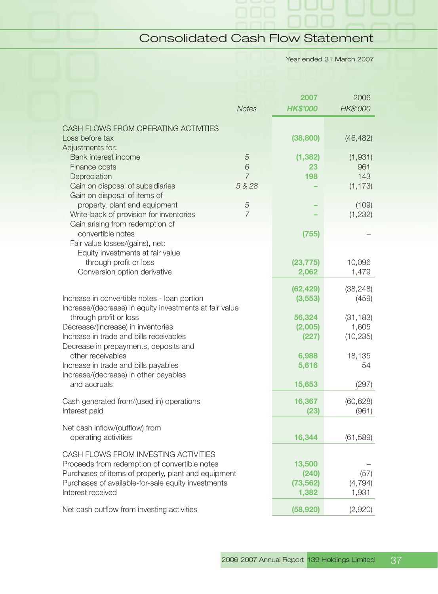# Consolidated Cash Flow Statement

Year ended 31 March 2007

|                                                         | <b>Notes</b>   | 2007<br><b>HK\$'000</b> | 2006<br>HK\$'000 |
|---------------------------------------------------------|----------------|-------------------------|------------------|
| CASH FLOWS FROM OPERATING ACTIVITIES                    |                |                         |                  |
| Loss before tax                                         |                | (38, 800)               | (46, 482)        |
| Adjustments for:                                        |                |                         |                  |
| <b>Bank interest income</b>                             | 5              | (1, 382)                | (1,931)          |
| Finance costs                                           | 6              | 23                      | 961              |
| Depreciation                                            | $\overline{7}$ | 198                     | 143              |
| Gain on disposal of subsidiaries                        | 5 & 28         |                         | (1, 173)         |
| Gain on disposal of items of                            |                |                         |                  |
| property, plant and equipment                           | 5              |                         | (109)            |
| Write-back of provision for inventories                 | $\overline{7}$ |                         | (1,232)          |
| Gain arising from redemption of                         |                |                         |                  |
| convertible notes                                       |                | (755)                   |                  |
| Fair value losses/(gains), net:                         |                |                         |                  |
| Equity investments at fair value                        |                |                         |                  |
| through profit or loss                                  |                | (23, 775)               | 10,096           |
| Conversion option derivative                            |                | 2,062                   | 1,479            |
|                                                         |                |                         |                  |
|                                                         |                | (62, 429)               | (38, 248)        |
| Increase in convertible notes - loan portion            |                | (3, 553)                | (459)            |
| Increase/(decrease) in equity investments at fair value |                |                         |                  |
| through profit or loss                                  |                | 56,324                  | (31, 183)        |
| Decrease/(increase) in inventories                      |                | (2,005)                 | 1,605            |
| Increase in trade and bills receivables                 |                | (227)                   | (10, 235)        |
| Decrease in prepayments, deposits and                   |                |                         |                  |
| other receivables                                       |                | 6,988                   | 18,135           |
| Increase in trade and bills payables                    |                | 5,616                   | 54               |
| Increase/(decrease) in other payables                   |                |                         |                  |
| and accruals                                            |                | 15,653                  | (297)            |
| Cash generated from/(used in) operations                |                | 16,367                  | (60, 628)        |
| Interest paid                                           |                | (23)                    | (961)            |
|                                                         |                |                         |                  |
| Net cash inflow/(outflow) from                          |                |                         |                  |
| operating activities                                    |                | 16,344                  | (61, 589)        |
|                                                         |                |                         |                  |
| CASH FLOWS FROM INVESTING ACTIVITIES                    |                |                         |                  |
| Proceeds from redemption of convertible notes           |                | 13,500                  |                  |
| Purchases of items of property, plant and equipment     |                | (240)                   | (57)             |
| Purchases of available-for-sale equity investments      |                | (73, 562)               | (4, 794)         |
| Interest received                                       |                | 1,382                   | 1,931            |
| Net cash outflow from investing activities              |                | (58, 920)               | (2,920)          |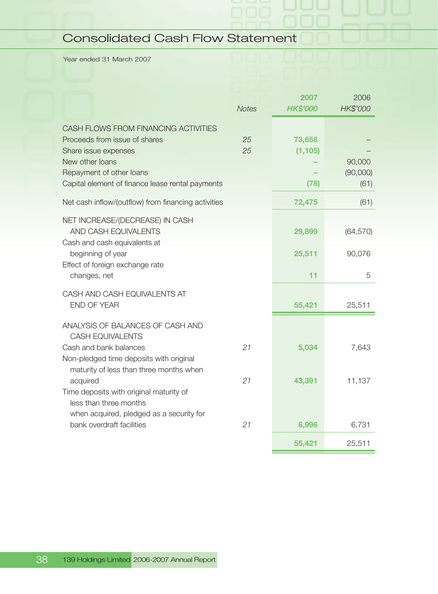# Consolidated Cash Flow Statement

Year ended 31 March 2007

|                                                                                                                                                                                                  | <b>Notes</b> | 2007<br><b>HK\$'000</b>    | 2006<br>HK\$'000           |
|--------------------------------------------------------------------------------------------------------------------------------------------------------------------------------------------------|--------------|----------------------------|----------------------------|
| CASH FLOWS FROM FINANCING ACTIVITIES<br>Proceeds from issue of shares<br>Share issue expenses<br>New other loans<br>Repayment of other loans<br>Capital element of finance lease rental payments | 25<br>25     | 73,658<br>(1, 105)<br>(78) | 90,000<br>(90,000)<br>(61) |
| Net cash inflow/(outflow) from financing activities                                                                                                                                              |              | 72,475                     | (61)                       |
| NET INCREASE/(DECREASE) IN CASH<br>AND CASH EQUIVALENTS<br>Cash and cash equivalents at                                                                                                          |              | 29,899                     | (64, 570)                  |
| beginning of year<br>Effect of foreign exchange rate<br>changes, net                                                                                                                             |              | 25,511<br>11               | 90,076<br>5                |
| CASH AND CASH EQUIVALENTS AT<br><b>END OF YEAR</b>                                                                                                                                               |              | 55,421                     | 25,511                     |
| ANALYSIS OF BALANCES OF CASH AND<br><b>CASH EQUIVALENTS</b>                                                                                                                                      |              |                            |                            |
| Cash and bank balances<br>Non-pledged time deposits with original<br>maturity of less than three months when                                                                                     | 21           | 5,034                      | 7,643                      |
| acquired<br>Time deposits with original maturity of<br>less than three months<br>when acquired, pledged as a security for                                                                        | 21           | 43,391                     | 11,137                     |
| bank overdraft facilities                                                                                                                                                                        | 21           | 6,996                      | 6,731                      |
|                                                                                                                                                                                                  |              | 55,421                     | 25,511                     |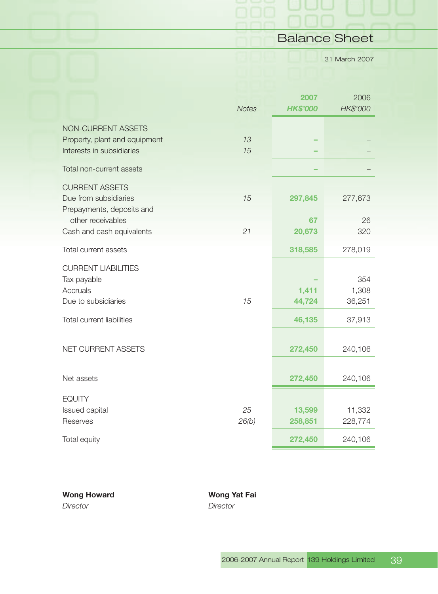# Balance Sheet

31 March 2007

|                                  | <b>Notes</b> | 2007<br><b>HK\$'000</b> | 2006<br>HK\$'000 |
|----------------------------------|--------------|-------------------------|------------------|
| NON-CURRENT ASSETS               |              |                         |                  |
| Property, plant and equipment    | 13           |                         |                  |
| Interests in subsidiaries        | 15           |                         |                  |
| Total non-current assets         |              |                         |                  |
| <b>CURRENT ASSETS</b>            |              |                         |                  |
| Due from subsidiaries            | 15           | 297,845                 | 277,673          |
| Prepayments, deposits and        |              |                         |                  |
| other receivables                | 21           | 67<br>20,673            | 26<br>320        |
| Cash and cash equivalents        |              |                         |                  |
| Total current assets             |              | 318,585                 | 278,019          |
| <b>CURRENT LIABILITIES</b>       |              |                         |                  |
| Tax payable                      |              |                         | 354              |
| Accruals                         |              | 1,411                   | 1,308            |
| Due to subsidiaries              | 15           | 44,724                  | 36,251           |
| <b>Total current liabilities</b> |              | 46,135                  | 37,913           |
|                                  |              |                         |                  |
| NET CURRENT ASSETS               |              | 272,450                 | 240,106          |
|                                  |              |                         |                  |
| Net assets                       |              | 272,450                 | 240,106          |
| <b>EQUITY</b>                    |              |                         |                  |
| Issued capital                   | 25           | 13,599                  | 11,332           |
| Reserves                         | 26(b)        | 258,851                 | 228,774          |
| Total equity                     |              | 272,450                 | 240,106          |
|                                  |              |                         |                  |

Wong Howard **Wong Yat Fai** 

*Director Director*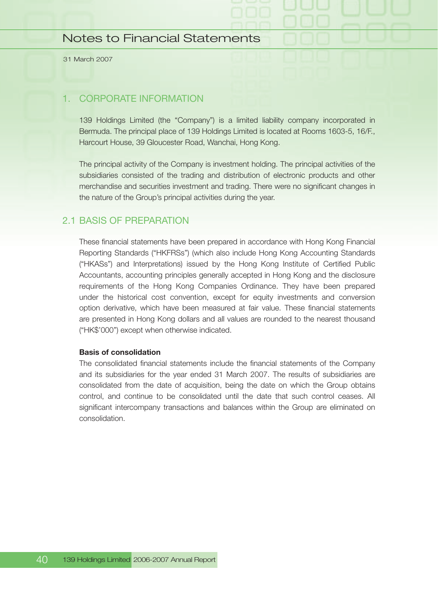31 March 2007

### 1. CORPORATE INFORMATION

139 Holdings Limited (the "Company") is a limited liability company incorporated in Bermuda. The principal place of 139 Holdings Limited is located at Rooms 1603-5, 16/F., Harcourt House, 39 Gloucester Road, Wanchai, Hong Kong.

The principal activity of the Company is investment holding. The principal activities of the subsidiaries consisted of the trading and distribution of electronic products and other merchandise and securities investment and trading. There were no significant changes in the nature of the Group's principal activities during the year.

### 2.1 BASIS OF PREPARATION

These financial statements have been prepared in accordance with Hong Kong Financial Reporting Standards ("HKFRSs") (which also include Hong Kong Accounting Standards ("HKASs") and Interpretations) issued by the Hong Kong Institute of Certified Public Accountants, accounting principles generally accepted in Hong Kong and the disclosure requirements of the Hong Kong Companies Ordinance. They have been prepared under the historical cost convention, except for equity investments and conversion option derivative, which have been measured at fair value. These financial statements are presented in Hong Kong dollars and all values are rounded to the nearest thousand ("HK\$'000") except when otherwise indicated.

### **Basis of consolidation**

The consolidated financial statements include the financial statements of the Company and its subsidiaries for the year ended 31 March 2007. The results of subsidiaries are consolidated from the date of acquisition, being the date on which the Group obtains control, and continue to be consolidated until the date that such control ceases. All significant intercompany transactions and balances within the Group are eliminated on consolidation.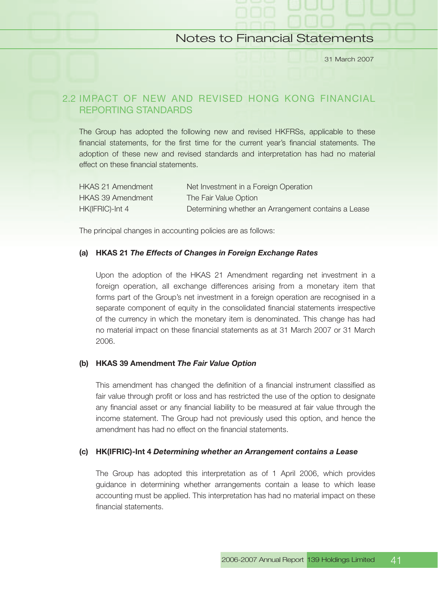31 March 2007

## 2.2 IMPACT OF NEW AND REVISED HONG KONG FINANCIAL REPORTING STANDARDS

The Group has adopted the following new and revised HKFRSs, applicable to these financial statements, for the first time for the current year's financial statements. The adoption of these new and revised standards and interpretation has had no material effect on these financial statements.

| HKAS 21 Amendment        | Net Investment in a Foreign Operation               |
|--------------------------|-----------------------------------------------------|
| <b>HKAS 39 Amendment</b> | The Fair Value Option                               |
| HK(IFRIC)-Int 4          | Determining whether an Arrangement contains a Lease |

The principal changes in accounting policies are as follows:

### **(a) HKAS 21** *The Effects of Changes in Foreign Exchange Rates*

Upon the adoption of the HKAS 21 Amendment regarding net investment in a foreign operation, all exchange differences arising from a monetary item that forms part of the Group's net investment in a foreign operation are recognised in a separate component of equity in the consolidated financial statements irrespective of the currency in which the monetary item is denominated. This change has had no material impact on these financial statements as at 31 March 2007 or 31 March 2006.

### **(b) HKAS 39 Amendment** *The Fair Value Option*

This amendment has changed the definition of a financial instrument classified as fair value through profit or loss and has restricted the use of the option to designate any financial asset or any financial liability to be measured at fair value through the income statement. The Group had not previously used this option, and hence the amendment has had no effect on the financial statements.

### **(c) HK(IFRIC)-Int 4** *Determining whether an Arrangement contains a Lease*

The Group has adopted this interpretation as of 1 April 2006, which provides guidance in determining whether arrangements contain a lease to which lease accounting must be applied. This interpretation has had no material impact on these financial statements.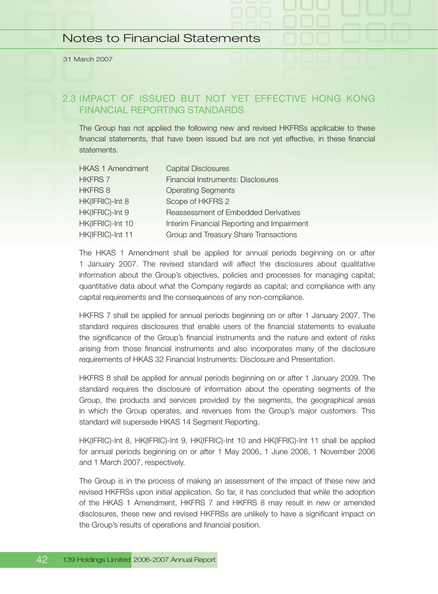31 March 2007

## 2.3 IMPACT OF ISSUED BUT NOT YET EFFECTIVE HONG KONG FINANCIAL REPORTING STANDARDS

The Group has not applied the following new and revised HKFRSs applicable to these financial statements, that have been issued but are not yet effective, in these financial statements.

| <b>HKAS 1 Amendment</b> | <b>Capital Disclosures</b>                 |
|-------------------------|--------------------------------------------|
| <b>HKFRS 7</b>          | Financial Instruments: Disclosures         |
| <b>HKFRS 8</b>          | <b>Operating Segments</b>                  |
| HK(IFRIC)-Int 8         | Scope of HKFRS 2                           |
| HK(IFRIC)-Int 9         | Reassessment of Embedded Derivatives       |
| HK(IFRIC)-Int 10        | Interim Financial Reporting and Impairment |
| HK(IFRIC)-Int 11        | Group and Treasury Share Transactions      |

The HKAS 1 Amendment shall be applied for annual periods beginning on or after 1 January 2007. The revised standard will affect the disclosures about qualitative information about the Group's objectives, policies and processes for managing capital; quantitative data about what the Company regards as capital; and compliance with any capital requirements and the consequences of any non-compliance.

HKFRS 7 shall be applied for annual periods beginning on or after 1 January 2007. The standard requires disclosures that enable users of the financial statements to evaluate the significance of the Group's financial instruments and the nature and extent of risks arising from those financial instruments and also incorporates many of the disclosure requirements of HKAS 32 Financial Instruments: Disclosure and Presentation.

HKFRS 8 shall be applied for annual periods beginning on or after 1 January 2009. The standard requires the disclosure of information about the operating segments of the Group, the products and services provided by the segments, the geographical areas in which the Group operates, and revenues from the Group's major customers. This standard will supersede HKAS 14 Segment Reporting.

HK(IFRIC)-Int 8, HK(IFRIC)-Int 9, HK(IFRIC)-Int 10 and HK(IFRIC)-Int 11 shall be applied for annual periods beginning on or after 1 May 2006, 1 June 2006, 1 November 2006 and 1 March 2007, respectively.

The Group is in the process of making an assessment of the impact of these new and revised HKFRSs upon initial application. So far, it has concluded that while the adoption of the HKAS 1 Amendment, HKFRS 7 and HKFRS 8 may result in new or amended disclosures, these new and revised HKFRSs are unlikely to have a significant impact on the Group's results of operations and financial position.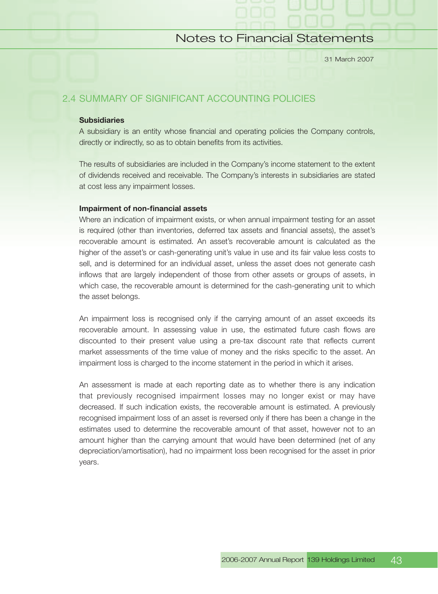31 March 2007

## 2.4 SUMMARY OF SIGNIFICANT ACCOUNTING POLICIES

#### **Subsidiaries**

A subsidiary is an entity whose financial and operating policies the Company controls, directly or indirectly, so as to obtain benefits from its activities.

The results of subsidiaries are included in the Company's income statement to the extent of dividends received and receivable. The Company's interests in subsidiaries are stated at cost less any impairment losses.

#### **Impairment of non-financial assets**

Where an indication of impairment exists, or when annual impairment testing for an asset is required (other than inventories, deferred tax assets and financial assets), the asset's recoverable amount is estimated. An asset's recoverable amount is calculated as the higher of the asset's or cash-generating unit's value in use and its fair value less costs to sell, and is determined for an individual asset, unless the asset does not generate cash inflows that are largely independent of those from other assets or groups of assets, in which case, the recoverable amount is determined for the cash-generating unit to which the asset belongs.

An impairment loss is recognised only if the carrying amount of an asset exceeds its recoverable amount. In assessing value in use, the estimated future cash flows are discounted to their present value using a pre-tax discount rate that reflects current market assessments of the time value of money and the risks specific to the asset. An impairment loss is charged to the income statement in the period in which it arises.

An assessment is made at each reporting date as to whether there is any indication that previously recognised impairment losses may no longer exist or may have decreased. If such indication exists, the recoverable amount is estimated. A previously recognised impairment loss of an asset is reversed only if there has been a change in the estimates used to determine the recoverable amount of that asset, however not to an amount higher than the carrying amount that would have been determined (net of any depreciation/amortisation), had no impairment loss been recognised for the asset in prior years.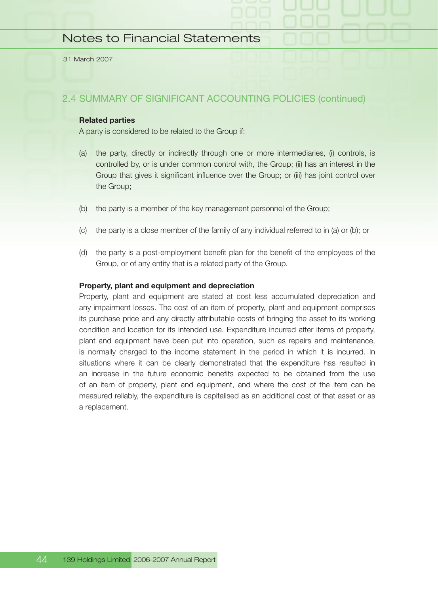31 March 2007

### 2.4 SUMMARY OF SIGNIFICANT ACCOUNTING POLICIES (continued)

### **Related parties**

A party is considered to be related to the Group if:

- (a) the party, directly or indirectly through one or more intermediaries, (i) controls, is controlled by, or is under common control with, the Group; (ii) has an interest in the Group that gives it significant influence over the Group; or (iii) has joint control over the Group;
- (b) the party is a member of the key management personnel of the Group;
- (c) the party is a close member of the family of any individual referred to in (a) or (b); or
- (d) the party is a post-employment benefit plan for the benefit of the employees of the Group, or of any entity that is a related party of the Group.

### **Property, plant and equipment and depreciation**

Property, plant and equipment are stated at cost less accumulated depreciation and any impairment losses. The cost of an item of property, plant and equipment comprises its purchase price and any directly attributable costs of bringing the asset to its working condition and location for its intended use. Expenditure incurred after items of property, plant and equipment have been put into operation, such as repairs and maintenance, is normally charged to the income statement in the period in which it is incurred. In situations where it can be clearly demonstrated that the expenditure has resulted in an increase in the future economic benefits expected to be obtained from the use of an item of property, plant and equipment, and where the cost of the item can be measured reliably, the expenditure is capitalised as an additional cost of that asset or as a replacement.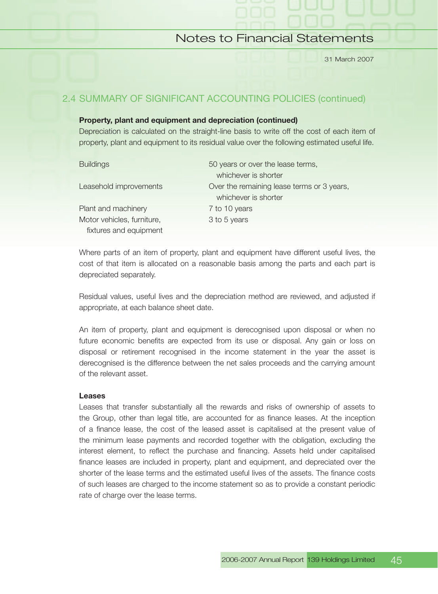31 March 2007

### 2.4 SUMMARY OF SIGNIFICANT ACCOUNTING POLICIES (continued)

### **Property, plant and equipment and depreciation (continued)**

Depreciation is calculated on the straight-line basis to write off the cost of each item of property, plant and equipment to its residual value over the following estimated useful life.

| <b>Buildings</b>           | 50 years or over the lease terms,          |
|----------------------------|--------------------------------------------|
|                            | whichever is shorter                       |
| Leasehold improvements     | Over the remaining lease terms or 3 years, |
|                            | whichever is shorter                       |
| Plant and machinery        | 7 to 10 years                              |
| Motor vehicles, furniture, | 3 to 5 years                               |
| fixtures and equipment     |                                            |

Where parts of an item of property, plant and equipment have different useful lives, the cost of that item is allocated on a reasonable basis among the parts and each part is depreciated separately.

Residual values, useful lives and the depreciation method are reviewed, and adjusted if appropriate, at each balance sheet date.

An item of property, plant and equipment is derecognised upon disposal or when no future economic benefits are expected from its use or disposal. Any gain or loss on disposal or retirement recognised in the income statement in the year the asset is derecognised is the difference between the net sales proceeds and the carrying amount of the relevant asset.

#### **Leases**

Leases that transfer substantially all the rewards and risks of ownership of assets to the Group, other than legal title, are accounted for as finance leases. At the inception of a finance lease, the cost of the leased asset is capitalised at the present value of the minimum lease payments and recorded together with the obligation, excluding the interest element, to reflect the purchase and financing. Assets held under capitalised finance leases are included in property, plant and equipment, and depreciated over the shorter of the lease terms and the estimated useful lives of the assets. The finance costs of such leases are charged to the income statement so as to provide a constant periodic rate of charge over the lease terms.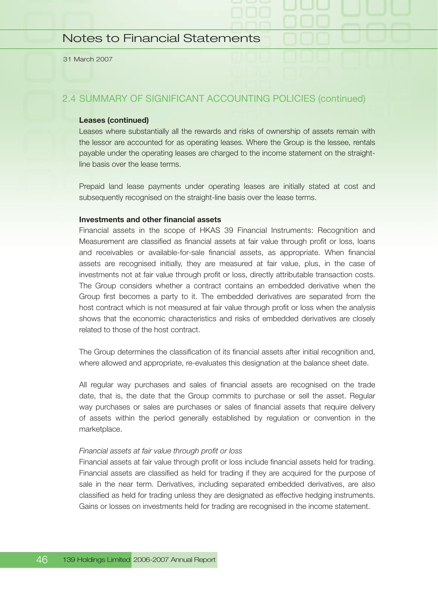31 March 2007

### 2.4 SUMMARY OF SIGNIFICANT ACCOUNTING POLICIES (continued)

#### **Leases (continued)**

Leases where substantially all the rewards and risks of ownership of assets remain with the lessor are accounted for as operating leases. Where the Group is the lessee, rentals payable under the operating leases are charged to the income statement on the straightline basis over the lease terms.

Prepaid land lease payments under operating leases are initially stated at cost and subsequently recognised on the straight-line basis over the lease terms.

#### **Investments and other financial assets**

Financial assets in the scope of HKAS 39 Financial Instruments: Recognition and Measurement are classified as financial assets at fair value through profit or loss, loans and receivables or available-for-sale financial assets, as appropriate. When financial assets are recognised initially, they are measured at fair value, plus, in the case of investments not at fair value through profit or loss, directly attributable transaction costs. The Group considers whether a contract contains an embedded derivative when the Group first becomes a party to it. The embedded derivatives are separated from the host contract which is not measured at fair value through profit or loss when the analysis shows that the economic characteristics and risks of embedded derivatives are closely related to those of the host contract.

The Group determines the classification of its financial assets after initial recognition and, where allowed and appropriate, re-evaluates this designation at the balance sheet date.

All regular way purchases and sales of financial assets are recognised on the trade date, that is, the date that the Group commits to purchase or sell the asset. Regular way purchases or sales are purchases or sales of financial assets that require delivery of assets within the period generally established by regulation or convention in the marketplace.

### *Financial assets at fair value through profit or loss*

Financial assets at fair value through profit or loss include financial assets held for trading. Financial assets are classified as held for trading if they are acquired for the purpose of sale in the near term. Derivatives, including separated embedded derivatives, are also classified as held for trading unless they are designated as effective hedging instruments. Gains or losses on investments held for trading are recognised in the income statement.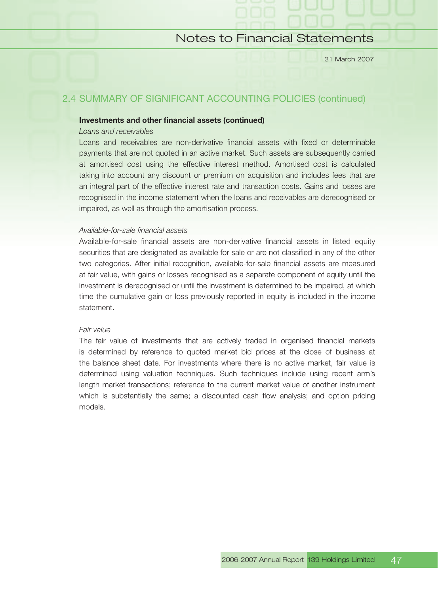31 March 2007

### 2.4 SUMMARY OF SIGNIFICANT ACCOUNTING POLICIES (continued)

### **Investments and other financial assets (continued)**

#### *Loans and receivables*

Loans and receivables are non-derivative financial assets with fixed or determinable payments that are not quoted in an active market. Such assets are subsequently carried at amortised cost using the effective interest method. Amortised cost is calculated taking into account any discount or premium on acquisition and includes fees that are an integral part of the effective interest rate and transaction costs. Gains and losses are recognised in the income statement when the loans and receivables are derecognised or impaired, as well as through the amortisation process.

### *Available-for-sale fi nancial assets*

Available-for-sale financial assets are non-derivative financial assets in listed equity securities that are designated as available for sale or are not classified in any of the other two categories. After initial recognition, available-for-sale financial assets are measured at fair value, with gains or losses recognised as a separate component of equity until the investment is derecognised or until the investment is determined to be impaired, at which time the cumulative gain or loss previously reported in equity is included in the income statement.

#### *Fair value*

The fair value of investments that are actively traded in organised financial markets is determined by reference to quoted market bid prices at the close of business at the balance sheet date. For investments where there is no active market, fair value is determined using valuation techniques. Such techniques include using recent arm's length market transactions; reference to the current market value of another instrument which is substantially the same; a discounted cash flow analysis; and option pricing models.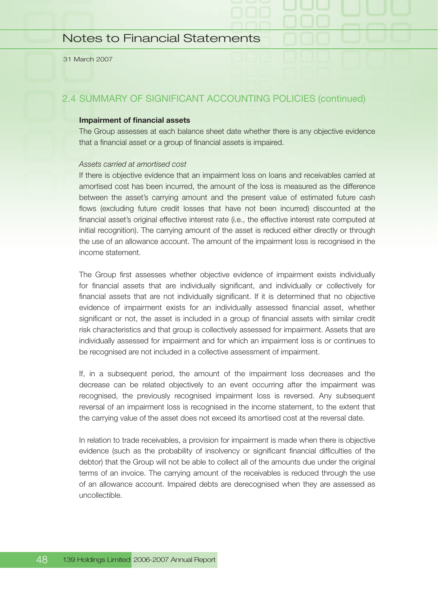31 March 2007

### 2.4 SUMMARY OF SIGNIFICANT ACCOUNTING POLICIES (continued)

#### **Impairment of financial assets**

The Group assesses at each balance sheet date whether there is any objective evidence that a financial asset or a group of financial assets is impaired.

#### *Assets carried at amortised cost*

If there is objective evidence that an impairment loss on loans and receivables carried at amortised cost has been incurred, the amount of the loss is measured as the difference between the asset's carrying amount and the present value of estimated future cash flows (excluding future credit losses that have not been incurred) discounted at the financial asset's original effective interest rate (i.e., the effective interest rate computed at initial recognition). The carrying amount of the asset is reduced either directly or through the use of an allowance account. The amount of the impairment loss is recognised in the income statement.

The Group first assesses whether objective evidence of impairment exists individually for financial assets that are individually significant, and individually or collectively for financial assets that are not individually significant. If it is determined that no objective evidence of impairment exists for an individually assessed financial asset, whether significant or not, the asset is included in a group of financial assets with similar credit risk characteristics and that group is collectively assessed for impairment. Assets that are individually assessed for impairment and for which an impairment loss is or continues to be recognised are not included in a collective assessment of impairment.

If, in a subsequent period, the amount of the impairment loss decreases and the decrease can be related objectively to an event occurring after the impairment was recognised, the previously recognised impairment loss is reversed. Any subsequent reversal of an impairment loss is recognised in the income statement, to the extent that the carrying value of the asset does not exceed its amortised cost at the reversal date.

In relation to trade receivables, a provision for impairment is made when there is objective evidence (such as the probability of insolvency or significant financial difficulties of the debtor) that the Group will not be able to collect all of the amounts due under the original terms of an invoice. The carrying amount of the receivables is reduced through the use of an allowance account. Impaired debts are derecognised when they are assessed as uncollectible.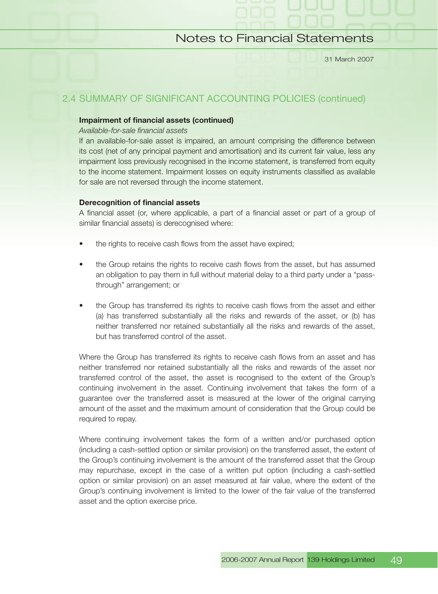31 March 2007

### 2.4 SUMMARY OF SIGNIFICANT ACCOUNTING POLICIES (continued)

### **Impairment of financial assets (continued)**

*Available-for-sale fi nancial assets*

If an available-for-sale asset is impaired, an amount comprising the difference between its cost (net of any principal payment and amortisation) and its current fair value, less any impairment loss previously recognised in the income statement, is transferred from equity to the income statement. Impairment losses on equity instruments classified as available for sale are not reversed through the income statement.

#### **Derecognition of financial assets**

A financial asset (or, where applicable, a part of a financial asset or part of a group of similar financial assets) is derecognised where:

- the rights to receive cash flows from the asset have expired;
- the Group retains the rights to receive cash flows from the asset, but has assumed an obligation to pay them in full without material delay to a third party under a "passthrough" arrangement; or
- the Group has transferred its rights to receive cash flows from the asset and either (a) has transferred substantially all the risks and rewards of the asset, or (b) has neither transferred nor retained substantially all the risks and rewards of the asset, but has transferred control of the asset.

Where the Group has transferred its rights to receive cash flows from an asset and has neither transferred nor retained substantially all the risks and rewards of the asset nor transferred control of the asset, the asset is recognised to the extent of the Group's continuing involvement in the asset. Continuing involvement that takes the form of a guarantee over the transferred asset is measured at the lower of the original carrying amount of the asset and the maximum amount of consideration that the Group could be required to repay.

Where continuing involvement takes the form of a written and/or purchased option (including a cash-settled option or similar provision) on the transferred asset, the extent of the Group's continuing involvement is the amount of the transferred asset that the Group may repurchase, except in the case of a written put option (including a cash-settled option or similar provision) on an asset measured at fair value, where the extent of the Group's continuing involvement is limited to the lower of the fair value of the transferred asset and the option exercise price.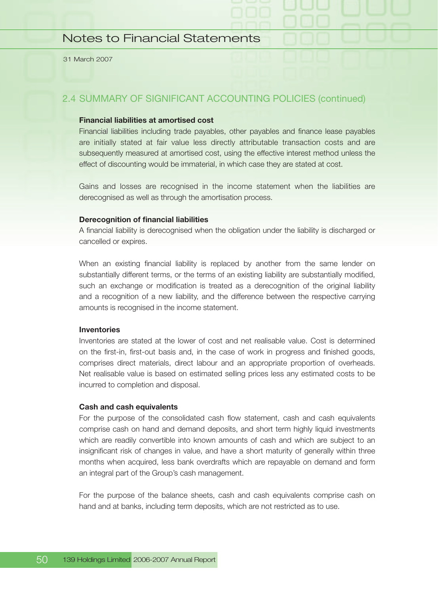31 March 2007

### 2.4 SUMMARY OF SIGNIFICANT ACCOUNTING POLICIES (continued)

### **Financial liabilities at amortised cost**

Financial liabilities including trade payables, other payables and finance lease payables are initially stated at fair value less directly attributable transaction costs and are subsequently measured at amortised cost, using the effective interest method unless the effect of discounting would be immaterial, in which case they are stated at cost.

Gains and losses are recognised in the income statement when the liabilities are derecognised as well as through the amortisation process.

#### **Derecognition of financial liabilities**

A financial liability is derecognised when the obligation under the liability is discharged or cancelled or expires.

When an existing financial liability is replaced by another from the same lender on substantially different terms, or the terms of an existing liability are substantially modified, such an exchange or modification is treated as a derecognition of the original liability and a recognition of a new liability, and the difference between the respective carrying amounts is recognised in the income statement.

### **Inventories**

Inventories are stated at the lower of cost and net realisable value. Cost is determined on the first-in, first-out basis and, in the case of work in progress and finished goods, comprises direct materials, direct labour and an appropriate proportion of overheads. Net realisable value is based on estimated selling prices less any estimated costs to be incurred to completion and disposal.

#### **Cash and cash equivalents**

For the purpose of the consolidated cash flow statement, cash and cash equivalents comprise cash on hand and demand deposits, and short term highly liquid investments which are readily convertible into known amounts of cash and which are subject to an insignificant risk of changes in value, and have a short maturity of generally within three months when acquired, less bank overdrafts which are repayable on demand and form an integral part of the Group's cash management.

For the purpose of the balance sheets, cash and cash equivalents comprise cash on hand and at banks, including term deposits, which are not restricted as to use.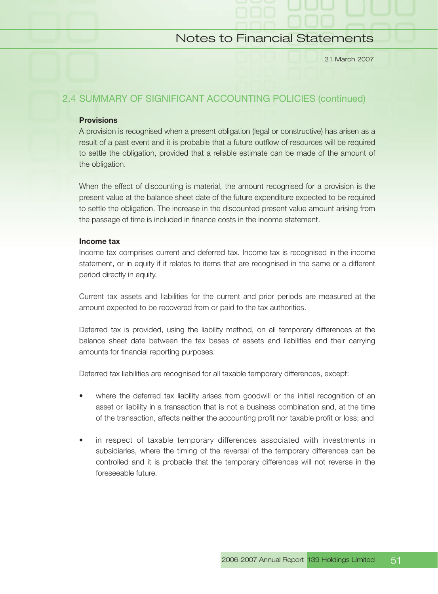31 March 2007

## 2.4 SUMMARY OF SIGNIFICANT ACCOUNTING POLICIES (continued)

### **Provisions**

A provision is recognised when a present obligation (legal or constructive) has arisen as a result of a past event and it is probable that a future outflow of resources will be required to settle the obligation, provided that a reliable estimate can be made of the amount of the obligation.

When the effect of discounting is material, the amount recognised for a provision is the present value at the balance sheet date of the future expenditure expected to be required to settle the obligation. The increase in the discounted present value amount arising from the passage of time is included in finance costs in the income statement.

### **Income tax**

Income tax comprises current and deferred tax. Income tax is recognised in the income statement, or in equity if it relates to items that are recognised in the same or a different period directly in equity.

Current tax assets and liabilities for the current and prior periods are measured at the amount expected to be recovered from or paid to the tax authorities.

Deferred tax is provided, using the liability method, on all temporary differences at the balance sheet date between the tax bases of assets and liabilities and their carrying amounts for financial reporting purposes.

Deferred tax liabilities are recognised for all taxable temporary differences, except:

- where the deferred tax liability arises from goodwill or the initial recognition of an asset or liability in a transaction that is not a business combination and, at the time of the transaction, affects neither the accounting profit nor taxable profit or loss; and
- in respect of taxable temporary differences associated with investments in subsidiaries, where the timing of the reversal of the temporary differences can be controlled and it is probable that the temporary differences will not reverse in the foreseeable future.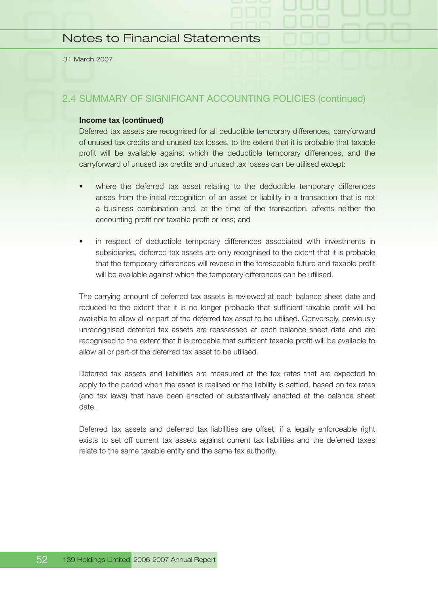31 March 2007

### 2.4 SUMMARY OF SIGNIFICANT ACCOUNTING POLICIES (continued)

#### **Income tax (continued)**

Deferred tax assets are recognised for all deductible temporary differences, carryforward of unused tax credits and unused tax losses, to the extent that it is probable that taxable profit will be available against which the deductible temporary differences, and the carryforward of unused tax credits and unused tax losses can be utilised except:

- where the deferred tax asset relating to the deductible temporary differences arises from the initial recognition of an asset or liability in a transaction that is not a business combination and, at the time of the transaction, affects neither the accounting profit nor taxable profit or loss; and
- in respect of deductible temporary differences associated with investments in subsidiaries, deferred tax assets are only recognised to the extent that it is probable that the temporary differences will reverse in the foreseeable future and taxable profit will be available against which the temporary differences can be utilised.

The carrying amount of deferred tax assets is reviewed at each balance sheet date and reduced to the extent that it is no longer probable that sufficient taxable profit will be available to allow all or part of the deferred tax asset to be utilised. Conversely, previously unrecognised deferred tax assets are reassessed at each balance sheet date and are recognised to the extent that it is probable that sufficient taxable profit will be available to allow all or part of the deferred tax asset to be utilised.

Deferred tax assets and liabilities are measured at the tax rates that are expected to apply to the period when the asset is realised or the liability is settled, based on tax rates (and tax laws) that have been enacted or substantively enacted at the balance sheet date.

Deferred tax assets and deferred tax liabilities are offset, if a legally enforceable right exists to set off current tax assets against current tax liabilities and the deferred taxes relate to the same taxable entity and the same tax authority.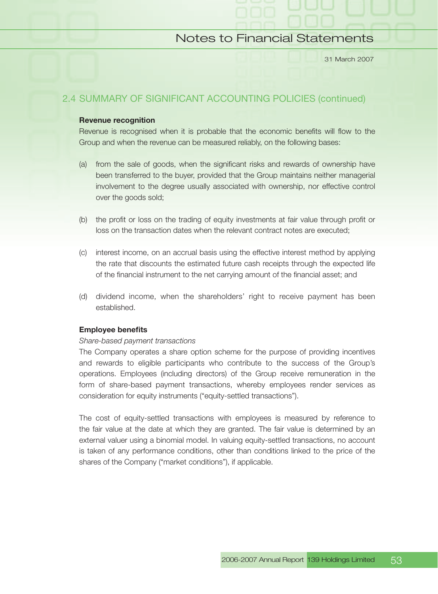31 March 2007

### 2.4 SUMMARY OF SIGNIFICANT ACCOUNTING POLICIES (continued)

### **Revenue recognition**

Revenue is recognised when it is probable that the economic benefits will flow to the Group and when the revenue can be measured reliably, on the following bases:

- (a) from the sale of goods, when the significant risks and rewards of ownership have been transferred to the buyer, provided that the Group maintains neither managerial involvement to the degree usually associated with ownership, nor effective control over the goods sold;
- (b) the profit or loss on the trading of equity investments at fair value through profit or loss on the transaction dates when the relevant contract notes are executed;
- (c) interest income, on an accrual basis using the effective interest method by applying the rate that discounts the estimated future cash receipts through the expected life of the financial instrument to the net carrying amount of the financial asset; and
- (d) dividend income, when the shareholders' right to receive payment has been established.

### **Employee benefits**

#### *Share-based payment transactions*

The Company operates a share option scheme for the purpose of providing incentives and rewards to eligible participants who contribute to the success of the Group's operations. Employees (including directors) of the Group receive remuneration in the form of share-based payment transactions, whereby employees render services as consideration for equity instruments ("equity-settled transactions").

The cost of equity-settled transactions with employees is measured by reference to the fair value at the date at which they are granted. The fair value is determined by an external valuer using a binomial model. In valuing equity-settled transactions, no account is taken of any performance conditions, other than conditions linked to the price of the shares of the Company ("market conditions"), if applicable.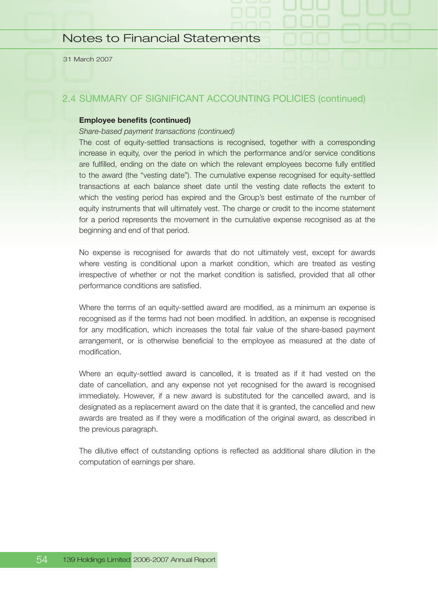31 March 2007

### 2.4 SUMMARY OF SIGNIFICANT ACCOUNTING POLICIES (continued)

### **Employee benefits (continued)**

#### *Share-based payment transactions (continued)*

The cost of equity-settled transactions is recognised, together with a corresponding increase in equity, over the period in which the performance and/or service conditions are fulfilled, ending on the date on which the relevant employees become fully entitled to the award (the "vesting date"). The cumulative expense recognised for equity-settled transactions at each balance sheet date until the vesting date reflects the extent to which the vesting period has expired and the Group's best estimate of the number of equity instruments that will ultimately vest. The charge or credit to the income statement for a period represents the movement in the cumulative expense recognised as at the beginning and end of that period.

No expense is recognised for awards that do not ultimately vest, except for awards where vesting is conditional upon a market condition, which are treated as vesting irrespective of whether or not the market condition is satisfied, provided that all other performance conditions are satisfied.

Where the terms of an equity-settled award are modified, as a minimum an expense is recognised as if the terms had not been modified. In addition, an expense is recognised for any modification, which increases the total fair value of the share-based payment arrangement, or is otherwise beneficial to the employee as measured at the date of modification.

Where an equity-settled award is cancelled, it is treated as if it had vested on the date of cancellation, and any expense not yet recognised for the award is recognised immediately. However, if a new award is substituted for the cancelled award, and is designated as a replacement award on the date that it is granted, the cancelled and new awards are treated as if they were a modification of the original award, as described in the previous paragraph.

The dilutive effect of outstanding options is reflected as additional share dilution in the computation of earnings per share.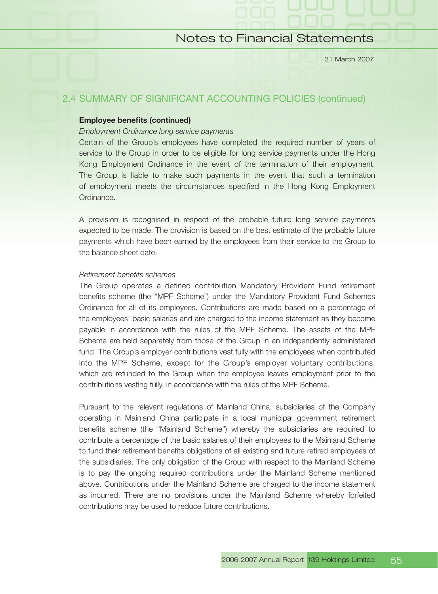31 March 2007

### 2.4 SUMMARY OF SIGNIFICANT ACCOUNTING POLICIES (continued)

### **Employee benefits (continued)**

### *Employment Ordinance long service payments*

Certain of the Group's employees have completed the required number of years of service to the Group in order to be eligible for long service payments under the Hong Kong Employment Ordinance in the event of the termination of their employment. The Group is liable to make such payments in the event that such a termination of employment meets the circumstances specified in the Hong Kong Employment Ordinance.

A provision is recognised in respect of the probable future long service payments expected to be made. The provision is based on the best estimate of the probable future payments which have been earned by the employees from their service to the Group to the balance sheet date.

#### *Retirement benefits schemes*

The Group operates a defined contribution Mandatory Provident Fund retirement benefits scheme (the "MPF Scheme") under the Mandatory Provident Fund Schemes Ordinance for all of its employees. Contributions are made based on a percentage of the employees' basic salaries and are charged to the income statement as they become payable in accordance with the rules of the MPF Scheme. The assets of the MPF Scheme are held separately from those of the Group in an independently administered fund. The Group's employer contributions vest fully with the employees when contributed into the MPF Scheme, except for the Group's employer voluntary contributions, which are refunded to the Group when the employee leaves employment prior to the contributions vesting fully, in accordance with the rules of the MPF Scheme.

Pursuant to the relevant regulations of Mainland China, subsidiaries of the Company operating in Mainland China participate in a local municipal government retirement benefits scheme (the "Mainland Scheme") whereby the subsidiaries are required to contribute a percentage of the basic salaries of their employees to the Mainland Scheme to fund their retirement benefits obligations of all existing and future retired employees of the subsidiaries. The only obligation of the Group with respect to the Mainland Scheme is to pay the ongoing required contributions under the Mainland Scheme mentioned above. Contributions under the Mainland Scheme are charged to the income statement as incurred. There are no provisions under the Mainland Scheme whereby forfeited contributions may be used to reduce future contributions.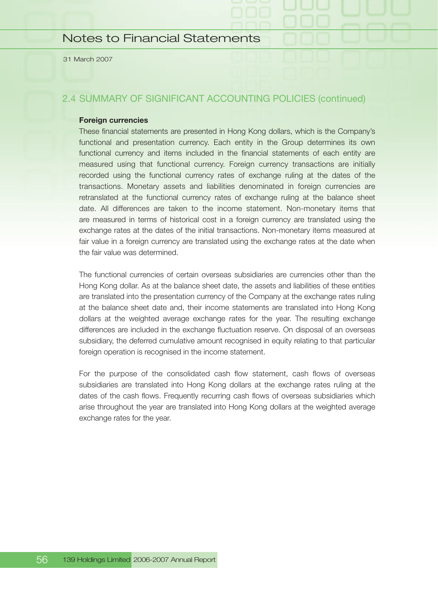31 March 2007

### 2.4 SUMMARY OF SIGNIFICANT ACCOUNTING POLICIES (continued)

### **Foreign currencies**

These financial statements are presented in Hong Kong dollars, which is the Company's functional and presentation currency. Each entity in the Group determines its own functional currency and items included in the financial statements of each entity are measured using that functional currency. Foreign currency transactions are initially recorded using the functional currency rates of exchange ruling at the dates of the transactions. Monetary assets and liabilities denominated in foreign currencies are retranslated at the functional currency rates of exchange ruling at the balance sheet date. All differences are taken to the income statement. Non-monetary items that are measured in terms of historical cost in a foreign currency are translated using the exchange rates at the dates of the initial transactions. Non-monetary items measured at fair value in a foreign currency are translated using the exchange rates at the date when the fair value was determined.

The functional currencies of certain overseas subsidiaries are currencies other than the Hong Kong dollar. As at the balance sheet date, the assets and liabilities of these entities are translated into the presentation currency of the Company at the exchange rates ruling at the balance sheet date and, their income statements are translated into Hong Kong dollars at the weighted average exchange rates for the year. The resulting exchange differences are included in the exchange fluctuation reserve. On disposal of an overseas subsidiary, the deferred cumulative amount recognised in equity relating to that particular foreign operation is recognised in the income statement.

For the purpose of the consolidated cash flow statement, cash flows of overseas subsidiaries are translated into Hong Kong dollars at the exchange rates ruling at the dates of the cash flows. Frequently recurring cash flows of overseas subsidiaries which arise throughout the year are translated into Hong Kong dollars at the weighted average exchange rates for the year.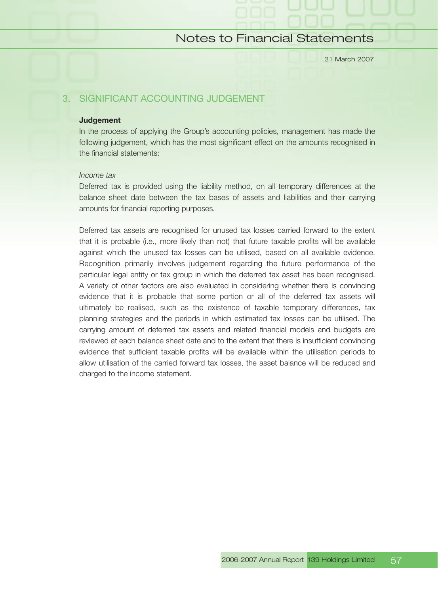31 March 2007

## 3. SIGNIFICANT ACCOUNTING JUDGEMENT

### **Judgement**

In the process of applying the Group's accounting policies, management has made the following judgement, which has the most significant effect on the amounts recognised in the financial statements:

#### *Income tax*

Deferred tax is provided using the liability method, on all temporary differences at the balance sheet date between the tax bases of assets and liabilities and their carrying amounts for financial reporting purposes.

Deferred tax assets are recognised for unused tax losses carried forward to the extent that it is probable (i.e., more likely than not) that future taxable profits will be available against which the unused tax losses can be utilised, based on all available evidence. Recognition primarily involves judgement regarding the future performance of the particular legal entity or tax group in which the deferred tax asset has been recognised. A variety of other factors are also evaluated in considering whether there is convincing evidence that it is probable that some portion or all of the deferred tax assets will ultimately be realised, such as the existence of taxable temporary differences, tax planning strategies and the periods in which estimated tax losses can be utilised. The carrying amount of deferred tax assets and related financial models and budgets are reviewed at each balance sheet date and to the extent that there is insufficient convincing evidence that sufficient taxable profits will be available within the utilisation periods to allow utilisation of the carried forward tax losses, the asset balance will be reduced and charged to the income statement.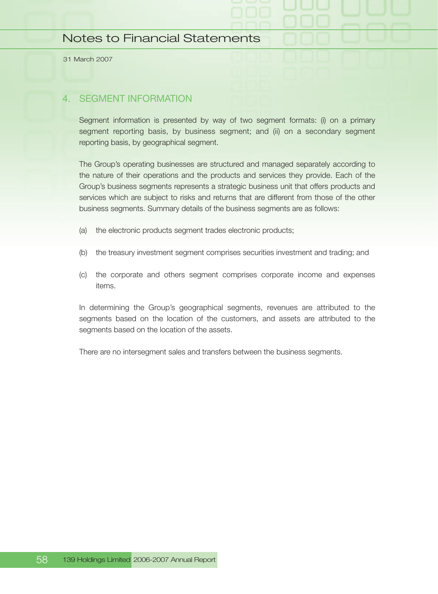31 March 2007

### 4. SEGMENT INFORMATION

Segment information is presented by way of two segment formats: (i) on a primary segment reporting basis, by business segment; and (ii) on a secondary segment reporting basis, by geographical segment.

The Group's operating businesses are structured and managed separately according to the nature of their operations and the products and services they provide. Each of the Group's business segments represents a strategic business unit that offers products and services which are subject to risks and returns that are different from those of the other business segments. Summary details of the business segments are as follows:

- (a) the electronic products segment trades electronic products;
- (b) the treasury investment segment comprises securities investment and trading; and
- (c) the corporate and others segment comprises corporate income and expenses items.

In determining the Group's geographical segments, revenues are attributed to the segments based on the location of the customers, and assets are attributed to the segments based on the location of the assets.

There are no intersegment sales and transfers between the business segments.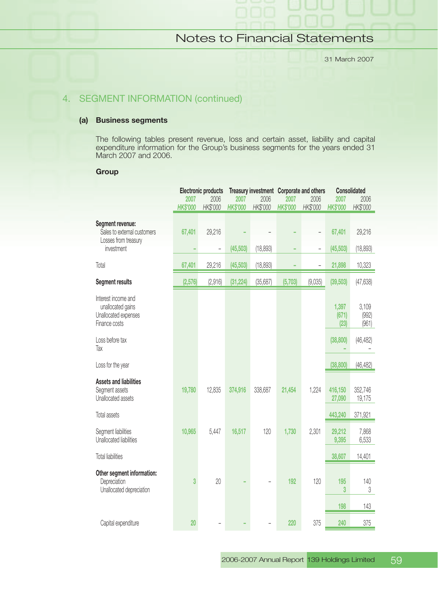31 March 2007

## 4. SEGMENT INFORMATION (continued)

### **(a) Business segments**

The following tables present revenue, loss and certain asset, liability and capital expenditure information for the Group's business segments for the years ended 31 March 2007 and 2006.

### **Group**

|                                                                                   | <b>Electronic products</b> |                  |                         |                  | Treasury investment Corporate and others |                          | <b>Consolidated</b>     |                         |
|-----------------------------------------------------------------------------------|----------------------------|------------------|-------------------------|------------------|------------------------------------------|--------------------------|-------------------------|-------------------------|
|                                                                                   | 2007<br><b>HK\$'000</b>    | 2006<br>HK\$'000 | 2007<br><b>HK\$'000</b> | 2006<br>HK\$'000 | 2007<br><b>HK\$'000</b>                  | 2006<br>HK\$'000         | 2007<br><b>HK\$'000</b> | 2006<br>HK\$'000        |
| Segment revenue:<br>Sales to external customers                                   | 67,401                     | 29,216           |                         |                  |                                          |                          | 67,401                  | 29,216                  |
| Losses from treasury<br>investment                                                |                            |                  | (45, 503)               | (18, 893)        |                                          | $\overline{\phantom{0}}$ | (45, 503)               | (18, 893)               |
| Total                                                                             | 67,401                     | 29,216           | (45, 503)               | (18, 893)        |                                          |                          | 21,898                  | 10,323                  |
| Segment results                                                                   | (2,576)                    | (2,916)          | (31, 224)               | (35, 687)        | (5,703)                                  | (9,035)                  | (39, 503)               | (47, 638)               |
| Interest income and<br>unallocated gains<br>Unallocated expenses<br>Finance costs |                            |                  |                         |                  |                                          |                          | 1,397<br>(671)<br>(23)  | 3,109<br>(992)<br>(961) |
| Loss before tax<br>Tax                                                            |                            |                  |                         |                  |                                          |                          | (38, 800)               | (46, 482)               |
| Loss for the year                                                                 |                            |                  |                         |                  |                                          |                          | (38, 800)               | (46, 482)               |
| <b>Assets and liabilities</b><br>Segment assets<br>Unallocated assets             | 19,780                     | 12,835           | 374,916                 | 338,687          | 21,454                                   | 1,224                    | 416,150<br>27,090       | 352,746<br>19,175       |
| Total assets                                                                      |                            |                  |                         |                  |                                          |                          | 443,240                 | 371,921                 |
| Segment liabilities<br>Unallocated liabilities                                    | 10,965                     | 5,447            | 16,517                  | 120              | 1,730                                    | 2,301                    | 29,212<br>9,395         | 7,868<br>6,533          |
| <b>Total liabilities</b>                                                          |                            |                  |                         |                  |                                          |                          | 38,607                  | 14,401                  |
| Other segment information:<br>Depreciation<br>Unallocated depreciation            | 3                          | 20               |                         |                  | 192                                      | 120                      | 195<br>3                | 140<br>3                |
|                                                                                   |                            |                  |                         |                  |                                          |                          | 198                     | 143                     |
| Capital expenditure                                                               | 20                         |                  |                         |                  | 220                                      | 375                      | 240                     | 375                     |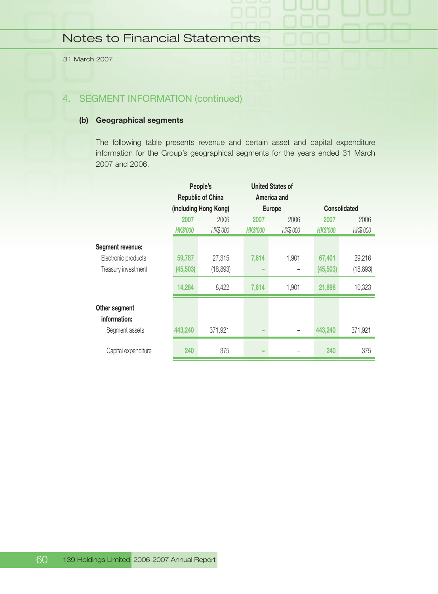31 March 2007

# 4. SEGMENT INFORMATION (continued)

### **(b) Geographical segments**

The following table presents revenue and certain asset and capital expenditure information for the Group's geographical segments for the years ended 31 March 2007 and 2006.

|                               | People's<br><b>Republic of China</b> |           |                 | <b>United States of</b><br>America and |                     |           |  |
|-------------------------------|--------------------------------------|-----------|-----------------|----------------------------------------|---------------------|-----------|--|
|                               | (including Hong Kong)                |           |                 | <b>Europe</b>                          | <b>Consolidated</b> |           |  |
|                               | 2007                                 | 2006      | 2007            | 2006                                   | 2007                | 2006      |  |
|                               | <b>HK\$'000</b>                      | HK\$'000  | <b>HK\$'000</b> | HK\$'000                               | <b>HK\$'000</b>     | HK\$'000  |  |
| Segment revenue:              |                                      |           |                 |                                        |                     |           |  |
| Electronic products           | 59,787                               | 27,315    | 7,614           | 1,901                                  | 67,401              | 29,216    |  |
| Treasury investment           | (45, 503)                            | (18, 893) |                 |                                        | (45, 503)           | (18, 893) |  |
|                               | 14,284                               | 8,422     | 7,614           | 1,901                                  | 21,898              | 10,323    |  |
| Other segment<br>information: |                                      |           |                 |                                        |                     |           |  |
| Segment assets                | 443,240                              | 371,921   |                 |                                        | 443,240             | 371,921   |  |
| Capital expenditure           | 240                                  | 375       |                 |                                        | 240                 | 375       |  |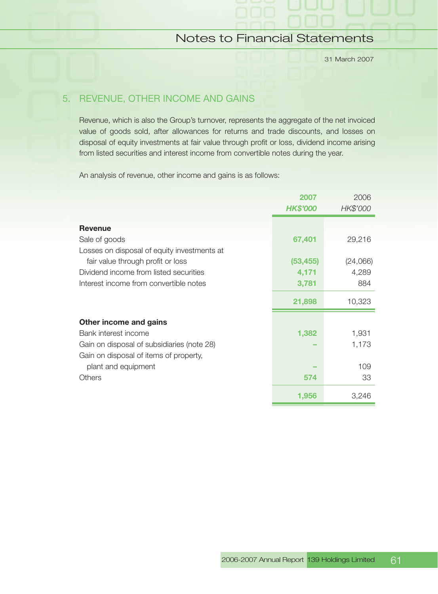31 March 2007

## 5. REVENUE, OTHER INCOME AND GAINS

Revenue, which is also the Group's turnover, represents the aggregate of the net invoiced value of goods sold, after allowances for returns and trade discounts, and losses on disposal of equity investments at fair value through profit or loss, dividend income arising from listed securities and interest income from convertible notes during the year.

An analysis of revenue, other income and gains is as follows:

|                                             | 2007<br><b>HK\$'000</b> | 2006<br>HK\$'000 |
|---------------------------------------------|-------------------------|------------------|
| <b>Revenue</b>                              |                         |                  |
| Sale of goods                               | 67,401                  | 29,216           |
| Losses on disposal of equity investments at |                         |                  |
| fair value through profit or loss           | (53, 455)               | (24,066)         |
| Dividend income from listed securities      | 4,171                   | 4,289            |
| Interest income from convertible notes      | 3,781                   | 884              |
|                                             | 21,898                  | 10,323           |
| Other income and gains                      |                         |                  |
| Bank interest income                        | 1,382                   | 1,931            |
| Gain on disposal of subsidiaries (note 28)  |                         | 1,173            |
| Gain on disposal of items of property,      |                         |                  |
| plant and equipment                         |                         | 109              |
| Others                                      | 574                     | 33               |
|                                             | 1,956                   | 3,246            |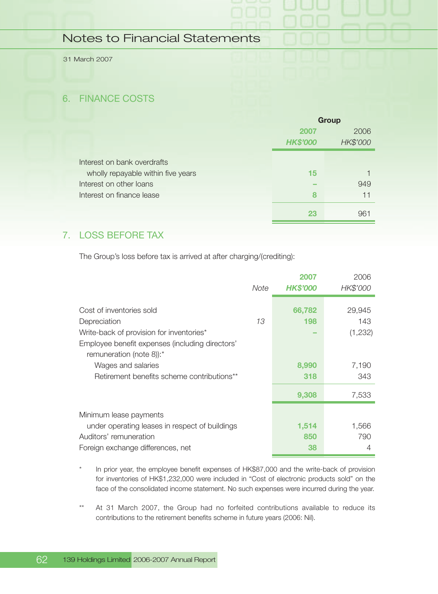31 March 2007

### 6. FINANCE COSTS

|                                    | <b>Group</b>    |          |  |
|------------------------------------|-----------------|----------|--|
|                                    | 2007            | 2006     |  |
|                                    | <b>HK\$'000</b> | HK\$'000 |  |
| Interest on bank overdrafts        |                 |          |  |
| wholly repayable within five years | 15              |          |  |
| Interest on other loans            |                 | 949      |  |
| Interest on finance lease          | 8               | 11       |  |
|                                    | 23              | 961      |  |

# 7. LOSS BEFORE TAX

The Group's loss before tax is arrived at after charging/(crediting):

|                                                                                                                                                 | Note | 2007<br><b>HK\$'000</b> | 2006<br>HK\$'000         |
|-------------------------------------------------------------------------------------------------------------------------------------------------|------|-------------------------|--------------------------|
| Cost of inventories sold<br>Depreciation<br>Write-back of provision for inventories*                                                            | 13   | 66,782<br>198           | 29,945<br>143<br>(1,232) |
| Employee benefit expenses (including directors'<br>remuneration (note 8)):*<br>Wages and salaries<br>Retirement benefits scheme contributions** |      | 8,990<br>318            | 7,190<br>343             |
|                                                                                                                                                 |      | 9,308                   | 7,533                    |
| Minimum lease payments<br>under operating leases in respect of buildings<br>Auditors' remuneration                                              |      | 1,514<br>850            | 1,566<br>790             |
| Foreign exchange differences, net                                                                                                               |      | 38                      | 4                        |

- \* In prior year, the employee benefit expenses of HK\$87,000 and the write-back of provision for inventories of HK\$1,232,000 were included in "Cost of electronic products sold" on the face of the consolidated income statement. No such expenses were incurred during the year.
- At 31 March 2007, the Group had no forfeited contributions available to reduce its contributions to the retirement benefits scheme in future years (2006: Nil).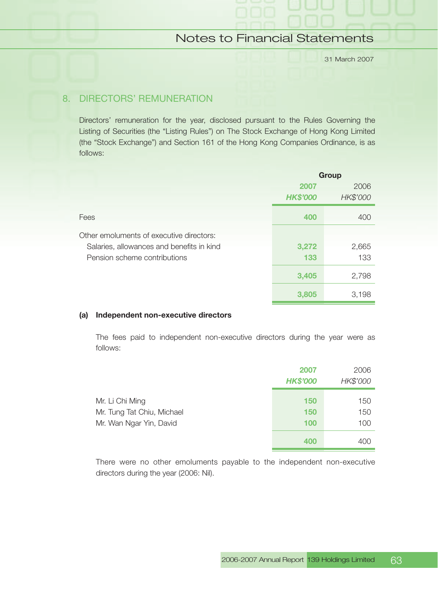31 March 2007

## 8. DIRECTORS' REMUNERATION

Directors' remuneration for the year, disclosed pursuant to the Rules Governing the Listing of Securities (the "Listing Rules") on The Stock Exchange of Hong Kong Limited (the "Stock Exchange") and Section 161 of the Hong Kong Companies Ordinance, is as follows:

|                                           | <b>Group</b>    |          |  |
|-------------------------------------------|-----------------|----------|--|
|                                           | 2007            | 2006     |  |
|                                           | <b>HK\$'000</b> | HK\$'000 |  |
| Fees                                      | 400             | 400      |  |
| Other emoluments of executive directors:  |                 |          |  |
| Salaries, allowances and benefits in kind | 3,272           | 2,665    |  |
| Pension scheme contributions              | 133             | 133      |  |
|                                           | 3,405           | 2,798    |  |
|                                           | 3,805           | 3,198    |  |

### **(a) Independent non-executive directors**

The fees paid to independent non-executive directors during the year were as follows:

|                            | 2007<br><b>HK\$'000</b> | 2006<br>HK\$'000 |
|----------------------------|-------------------------|------------------|
| Mr. Li Chi Ming            | 150                     | 150              |
| Mr. Tung Tat Chiu, Michael | 150                     | 150              |
| Mr. Wan Ngar Yin, David    | 100                     | 100              |
|                            |                         |                  |
|                            | 400                     | 400              |

There were no other emoluments payable to the independent non-executive directors during the year (2006: Nil).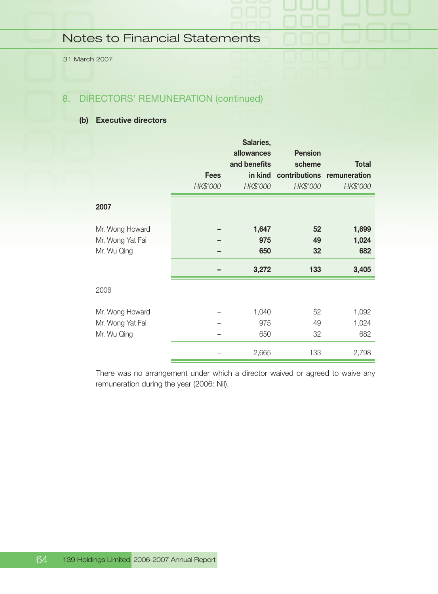31 March 2007

# 8. DIRECTORS' REMUNERATION (continued)

### **(b) Executive directors**

|                  |             | Salaries,<br>allowances<br>and benefits | <b>Pension</b><br>scheme | <b>Total</b>               |
|------------------|-------------|-----------------------------------------|--------------------------|----------------------------|
|                  | <b>Fees</b> | in kind                                 |                          | contributions remuneration |
|                  | HK\$'000    | HK\$'000                                | HK\$'000                 | HK\$'000                   |
| 2007             |             |                                         |                          |                            |
| Mr. Wong Howard  |             | 1,647                                   | 52                       | 1,699                      |
| Mr. Wong Yat Fai |             | 975                                     | 49                       | 1,024                      |
| Mr. Wu Qing      |             | 650                                     | 32                       | 682                        |
|                  |             | 3,272                                   | 133                      | 3,405                      |
| 2006             |             |                                         |                          |                            |
| Mr. Wong Howard  |             | 1,040                                   | 52                       | 1,092                      |
| Mr. Wong Yat Fai |             | 975                                     | 49                       | 1,024                      |
| Mr. Wu Qing      |             | 650                                     | 32                       | 682                        |
|                  |             | 2,665                                   | 133                      | 2,798                      |

There was no arrangement under which a director waived or agreed to waive any remuneration during the year (2006: Nil).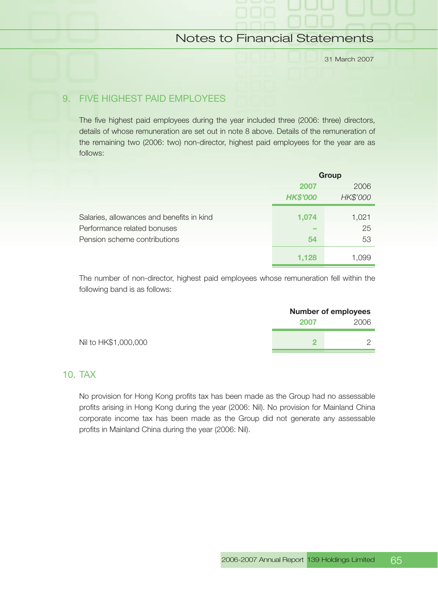31 March 2007

## 9. FIVE HIGHEST PAID EMPLOYEES

The five highest paid employees during the year included three (2006: three) directors, details of whose remuneration are set out in note 8 above. Details of the remuneration of the remaining two (2006: two) non-director, highest paid employees for the year are as follows:

|                                           | Group           |          |  |
|-------------------------------------------|-----------------|----------|--|
|                                           | 2007            | 2006     |  |
|                                           | <b>HK\$'000</b> | HK\$'000 |  |
|                                           |                 |          |  |
| Salaries, allowances and benefits in kind | 1,074           | 1,021    |  |
| Performance related bonuses               |                 | 25       |  |
| Pension scheme contributions              | 54              | 53       |  |
|                                           | 1,128           | J99      |  |

The number of non-director, highest paid employees whose remuneration fell within the following band is as follows:

|                      | <b>Number of employees</b> |  |  |
|----------------------|----------------------------|--|--|
|                      | 2006<br>2007               |  |  |
| Nil to HK\$1,000,000 |                            |  |  |
|                      |                            |  |  |

### 10. TAX

No provision for Hong Kong profits tax has been made as the Group had no assessable profits arising in Hong Kong during the year (2006: Nil). No provision for Mainland China corporate income tax has been made as the Group did not generate any assessable profits in Mainland China during the year (2006: Nil).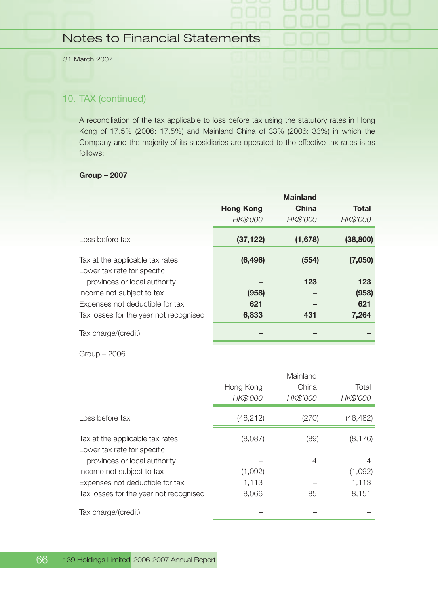31 March 2007

## 10. TAX (continued)

A reconciliation of the tax applicable to loss before tax using the statutory rates in Hong Kong of 17.5% (2006: 17.5%) and Mainland China of 33% (2006: 33%) in which the Company and the majority of its subsidiaries are operated to the effective tax rates is as follows:

### **Group – 2007**

|                                                                | <b>Hong Kong</b><br>HK\$'000 | <b>Mainland</b><br><b>China</b><br>HK\$'000 | Total<br>HK\$'000 |
|----------------------------------------------------------------|------------------------------|---------------------------------------------|-------------------|
| Loss before tax                                                | (37, 122)                    | (1,678)                                     | (38, 800)         |
| Tax at the applicable tax rates<br>Lower tax rate for specific | (6, 496)                     | (554)                                       | (7,050)           |
| provinces or local authority                                   |                              | 123                                         | 123               |
| Income not subject to tax                                      | (958)                        |                                             | (958)             |
| Expenses not deductible for tax                                | 621                          |                                             | 621               |
| Tax losses for the year not recognised                         | 6,833                        | 431                                         | 7,264             |
| Tax charge/(credit)                                            |                              |                                             |                   |

Group – 2006

|                                        | Hong Kong<br>HK\$'000 | Mainland<br>China<br>HK\$'000 | Total<br>HK\$'000 |
|----------------------------------------|-----------------------|-------------------------------|-------------------|
| Loss before tax                        | (46, 212)             | (270)                         | (46, 482)         |
| Tax at the applicable tax rates        | (8,087)               | (89)                          | (8, 176)          |
| Lower tax rate for specific            |                       |                               |                   |
| provinces or local authority           |                       | 4                             | 4                 |
| Income not subject to tax              | (1,092)               |                               | (1,092)           |
| Expenses not deductible for tax        | 1,113                 |                               | 1,113             |
| Tax losses for the year not recognised | 8,066                 | 85                            | 8,151             |
| Tax charge/(credit)                    |                       |                               |                   |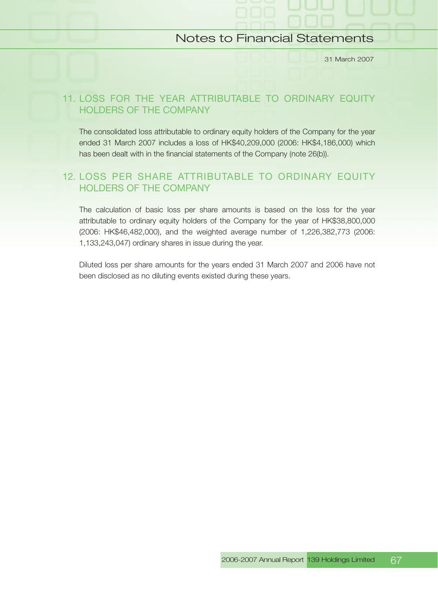31 March 2007

## 11. LOSS FOR THE YEAR ATTRIBUTABLE TO ORDINARY EQUITY HOLDERS OF THE COMPANY

The consolidated loss attributable to ordinary equity holders of the Company for the year ended 31 March 2007 includes a loss of HK\$40,209,000 (2006: HK\$4,186,000) which has been dealt with in the financial statements of the Company (note 26(b)).

## 12. LOSS PER SHARE ATTRIBUTABLE TO ORDINARY EQUITY HOLDERS OF THE COMPANY

The calculation of basic loss per share amounts is based on the loss for the year attributable to ordinary equity holders of the Company for the year of HK\$38,800,000 (2006: HK\$46,482,000), and the weighted average number of 1,226,382,773 (2006: 1,133,243,047) ordinary shares in issue during the year.

Diluted loss per share amounts for the years ended 31 March 2007 and 2006 have not been disclosed as no diluting events existed during these years.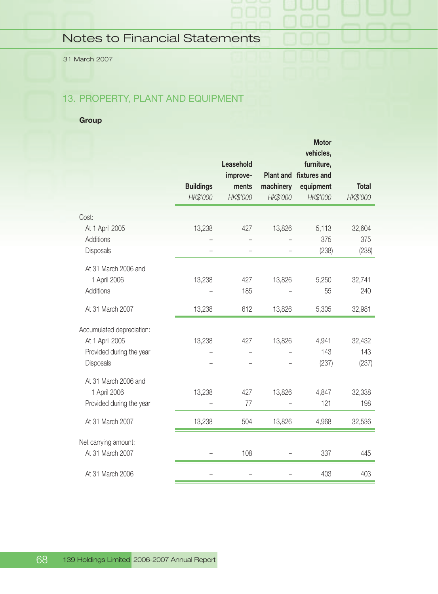31 March 2007

# 13. PROPERTY, PLANT AND EQUIPMENT

### **Group**

|                           | <b>Buildings</b><br>HK\$'000 | Leasehold<br>improve-<br>ments<br>HK\$'000 | machinery<br>HK\$'000 | <b>Motor</b><br>vehicles,<br>furniture,<br>Plant and fixtures and<br>equipment<br>HK\$'000 | <b>Total</b><br>HK\$'000 |
|---------------------------|------------------------------|--------------------------------------------|-----------------------|--------------------------------------------------------------------------------------------|--------------------------|
| Cost:                     |                              |                                            |                       |                                                                                            |                          |
| At 1 April 2005           | 13,238                       | 427                                        | 13,826                | 5,113                                                                                      | 32,604                   |
| <b>Additions</b>          |                              |                                            |                       | 375                                                                                        | 375                      |
| Disposals                 |                              |                                            |                       | (238)                                                                                      | (238)                    |
| At 31 March 2006 and      |                              |                                            |                       |                                                                                            |                          |
| 1 April 2006              | 13,238                       | 427                                        | 13,826                | 5,250                                                                                      | 32,741                   |
| <b>Additions</b>          |                              | 185                                        |                       | 55                                                                                         | 240                      |
| At 31 March 2007          | 13,238                       | 612                                        | 13,826                | 5,305                                                                                      | 32,981                   |
| Accumulated depreciation: |                              |                                            |                       |                                                                                            |                          |
| At 1 April 2005           | 13,238                       | 427                                        | 13,826                | 4,941                                                                                      | 32,432                   |
| Provided during the year  |                              |                                            |                       | 143                                                                                        | 143                      |
| Disposals                 |                              |                                            |                       | (237)                                                                                      | (237)                    |
| At 31 March 2006 and      |                              |                                            |                       |                                                                                            |                          |
| 1 April 2006              | 13,238                       | 427                                        | 13,826                | 4,847                                                                                      | 32,338                   |
| Provided during the year  |                              | 77                                         |                       | 121                                                                                        | 198                      |
| At 31 March 2007          | 13,238                       | 504                                        | 13,826                | 4,968                                                                                      | 32,536                   |
| Net carrying amount:      |                              |                                            |                       |                                                                                            |                          |
| At 31 March 2007          |                              | 108                                        |                       | 337                                                                                        | 445                      |
| At 31 March 2006          |                              |                                            |                       | 403                                                                                        | 403                      |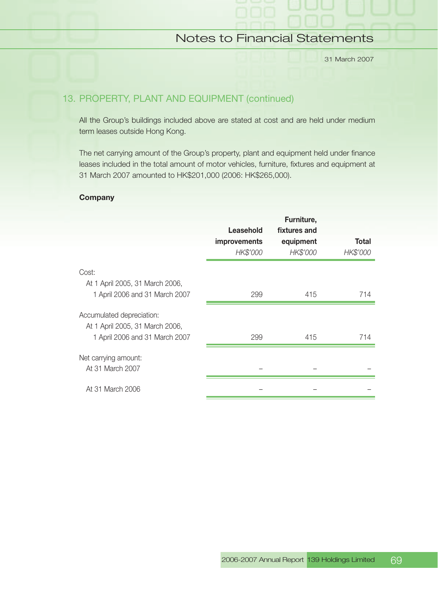31 March 2007

# 13. PROPERTY, PLANT AND EQUIPMENT (continued)

All the Group's buildings included above are stated at cost and are held under medium term leases outside Hong Kong.

The net carrying amount of the Group's property, plant and equipment held under finance leases included in the total amount of motor vehicles, furniture, fixtures and equipment at 31 March 2007 amounted to HK\$201,000 (2006: HK\$265,000).

### **Company**

|                                 | Leasehold           | Furniture,<br>fixtures and |              |
|---------------------------------|---------------------|----------------------------|--------------|
|                                 | <b>improvements</b> | equipment                  | <b>Total</b> |
|                                 | HK\$'000            | HK\$'000                   | HK\$'000     |
| Cost:                           |                     |                            |              |
| At 1 April 2005, 31 March 2006, |                     |                            |              |
| 1 April 2006 and 31 March 2007  | 299                 | 415                        | 714          |
| Accumulated depreciation:       |                     |                            |              |
| At 1 April 2005, 31 March 2006, |                     |                            |              |
| 1 April 2006 and 31 March 2007  | 299                 | 415                        | 714          |
| Net carrying amount:            |                     |                            |              |
| At 31 March 2007                |                     |                            |              |
| At 31 March 2006                |                     |                            |              |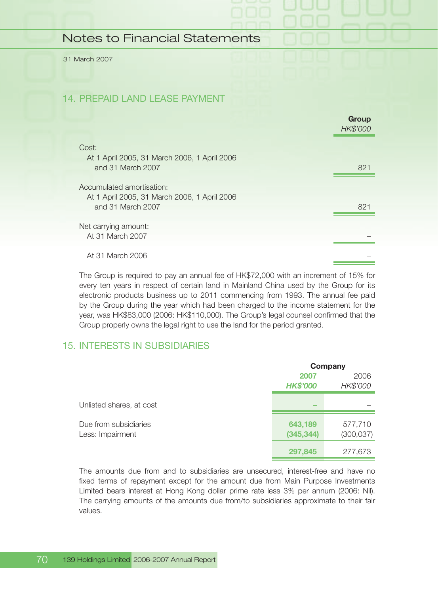31 March 2007

### 14. PREPAID LAND LEASE PAYMENT

|                                              | <b>Group</b><br>HK\$'000 |
|----------------------------------------------|--------------------------|
| Cost:                                        |                          |
| At 1 April 2005, 31 March 2006, 1 April 2006 |                          |
| and 31 March 2007                            | 821                      |
|                                              |                          |
| Accumulated amortisation:                    |                          |
| At 1 April 2005, 31 March 2006, 1 April 2006 |                          |
| and 31 March 2007                            | 821                      |
|                                              |                          |
| Net carrying amount:                         |                          |
| At 31 March 2007                             |                          |
|                                              |                          |
| At 31 March 2006                             |                          |

The Group is required to pay an annual fee of HK\$72,000 with an increment of 15% for every ten years in respect of certain land in Mainland China used by the Group for its electronic products business up to 2011 commencing from 1993. The annual fee paid by the Group during the year which had been charged to the income statement for the year, was HK\$83,000 (2006: HK\$110,000). The Group's legal counsel confirmed that the Group properly owns the legal right to use the land for the period granted.

### 15. INTERESTS IN SUBSIDIARIES

|                                           |                         | <b>Company</b>        |  |  |
|-------------------------------------------|-------------------------|-----------------------|--|--|
|                                           | 2007<br><b>HK\$'000</b> | 2006<br>HK\$'000      |  |  |
| Unlisted shares, at cost                  |                         |                       |  |  |
| Due from subsidiaries<br>Less: Impairment | 643,189<br>(345, 344)   | 577,710<br>(300, 037) |  |  |
|                                           | 297,845                 | 277,673               |  |  |

The amounts due from and to subsidiaries are unsecured, interest-free and have no fixed terms of repayment except for the amount due from Main Purpose Investments Limited bears interest at Hong Kong dollar prime rate less 3% per annum (2006: Nil). The carrying amounts of the amounts due from/to subsidiaries approximate to their fair values.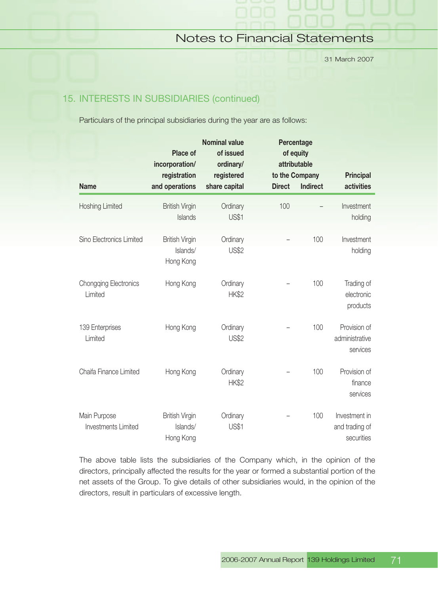31 March 2007

# 15. INTERESTS IN SUBSIDIARIES (continued)

Particulars of the principal subsidiaries during the year are as follows:

|                                            | <b>Place of</b><br>incorporation/<br>registration | <b>Nominal value</b><br>of issued<br>ordinary/<br>registered |               | Percentage<br>of equity<br>attributable<br>to the Company | <b>Principal</b>                              |
|--------------------------------------------|---------------------------------------------------|--------------------------------------------------------------|---------------|-----------------------------------------------------------|-----------------------------------------------|
| <b>Name</b>                                | and operations                                    | share capital                                                | <b>Direct</b> | <b>Indirect</b>                                           | activities                                    |
| <b>Hoshing Limited</b>                     | <b>British Virgin</b><br><b>Islands</b>           | Ordinary<br><b>US\$1</b>                                     | 100           |                                                           | Investment<br>holding                         |
| Sino Electronics Limited                   | <b>British Virgin</b><br>Islands/<br>Hong Kong    | Ordinary<br><b>US\$2</b>                                     |               | 100                                                       | Investment<br>holding                         |
| <b>Chongqing Electronics</b><br>Limited    | Hong Kong                                         | Ordinary<br><b>HK\$2</b>                                     |               | 100                                                       | Trading of<br>electronic<br>products          |
| 139 Enterprises<br>Limited                 | Hong Kong                                         | Ordinary<br><b>US\$2</b>                                     |               | 100                                                       | Provision of<br>administrative<br>services    |
| Chaifa Finance Limited                     | Hong Kong                                         | Ordinary<br><b>HK\$2</b>                                     |               | 100                                                       | Provision of<br>finance<br>services           |
| Main Purpose<br><b>Investments Limited</b> | <b>British Virgin</b><br>Islands/<br>Hong Kong    | Ordinary<br><b>US\$1</b>                                     |               | 100                                                       | Investment in<br>and trading of<br>securities |

The above table lists the subsidiaries of the Company which, in the opinion of the directors, principally affected the results for the year or formed a substantial portion of the net assets of the Group. To give details of other subsidiaries would, in the opinion of the directors, result in particulars of excessive length.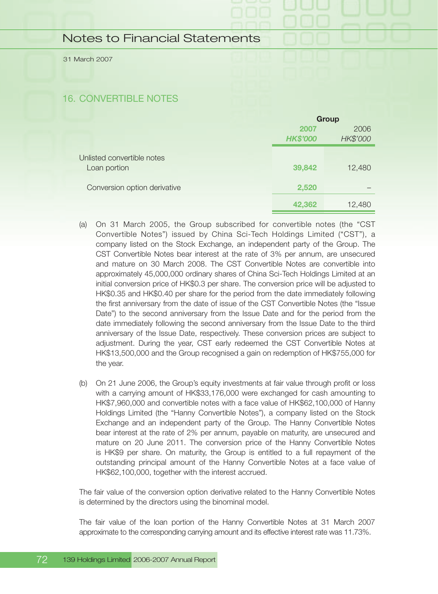31 March 2007

### 16. CONVERTIBLE NOTES

|                                            |                         | Group            |  |  |
|--------------------------------------------|-------------------------|------------------|--|--|
|                                            | 2007<br><b>HK\$'000</b> | 2006<br>HK\$'000 |  |  |
| Unlisted convertible notes<br>Loan portion | 39,842                  | 12,480           |  |  |
| Conversion option derivative               | 2,520                   |                  |  |  |
|                                            | 42,362                  | 12,480           |  |  |

- (a) On 31 March 2005, the Group subscribed for convertible notes (the "CST Convertible Notes") issued by China Sci-Tech Holdings Limited ("CST"), a company listed on the Stock Exchange, an independent party of the Group. The CST Convertible Notes bear interest at the rate of 3% per annum, are unsecured and mature on 30 March 2008. The CST Convertible Notes are convertible into approximately 45,000,000 ordinary shares of China Sci-Tech Holdings Limited at an initial conversion price of HK\$0.3 per share. The conversion price will be adjusted to HK\$0.35 and HK\$0.40 per share for the period from the date immediately following the first anniversary from the date of issue of the CST Convertible Notes (the "Issue Date") to the second anniversary from the Issue Date and for the period from the date immediately following the second anniversary from the Issue Date to the third anniversary of the Issue Date, respectively. These conversion prices are subject to adjustment. During the year, CST early redeemed the CST Convertible Notes at HK\$13,500,000 and the Group recognised a gain on redemption of HK\$755,000 for the year.
- (b) On 21 June 2006, the Group's equity investments at fair value through profit or loss with a carrying amount of HK\$33,176,000 were exchanged for cash amounting to HK\$7,960,000 and convertible notes with a face value of HK\$62,100,000 of Hanny Holdings Limited (the "Hanny Convertible Notes"), a company listed on the Stock Exchange and an independent party of the Group. The Hanny Convertible Notes bear interest at the rate of 2% per annum, payable on maturity, are unsecured and mature on 20 June 2011. The conversion price of the Hanny Convertible Notes is HK\$9 per share. On maturity, the Group is entitled to a full repayment of the outstanding principal amount of the Hanny Convertible Notes at a face value of HK\$62,100,000, together with the interest accrued.

The fair value of the conversion option derivative related to the Hanny Convertible Notes is determined by the directors using the binominal model.

The fair value of the loan portion of the Hanny Convertible Notes at 31 March 2007 approximate to the corresponding carrying amount and its effective interest rate was 11.73%.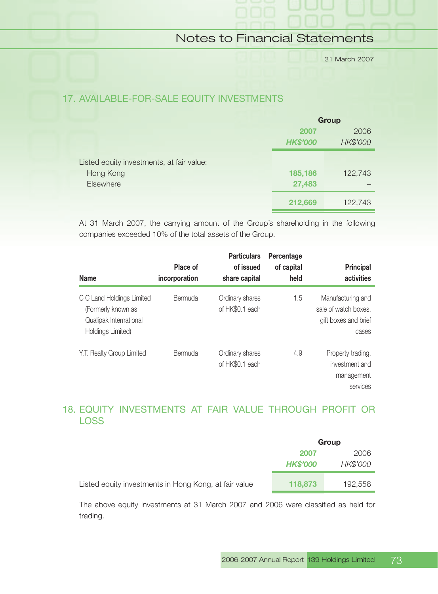31 March 2007

# 17. AVAILABLE-FOR-SALE EQUITY INVESTMENTS

|                                           |                 | <b>Group</b> |  |  |
|-------------------------------------------|-----------------|--------------|--|--|
|                                           | 2007            | 2006         |  |  |
|                                           | <b>HK\$'000</b> | HK\$'000     |  |  |
| Listed equity investments, at fair value: |                 |              |  |  |
| Hong Kong                                 | 185,186         | 122,743      |  |  |
| Elsewhere                                 | 27,483          |              |  |  |
|                                           | 212,669         | 122,743      |  |  |

At 31 March 2007, the carrying amount of the Group's shareholding in the following companies exceeded 10% of the total assets of the Group.

| <b>Name</b>                                                                                    | Place of<br>incorporation | <b>Particulars</b><br>of issued<br>share capital | Percentage<br>of capital<br>held | <b>Principal</b><br>activities                                             |
|------------------------------------------------------------------------------------------------|---------------------------|--------------------------------------------------|----------------------------------|----------------------------------------------------------------------------|
| C C Land Holdings Limited<br>(Formerly known as<br>Qualipak International<br>Holdings Limited) | Bermuda                   | Ordinary shares<br>of HK\$0.1 each               | 1.5                              | Manufacturing and<br>sale of watch boxes,<br>gift boxes and brief<br>cases |
| Y.T. Realty Group Limited                                                                      | Bermuda                   | Ordinary shares<br>of HK\$0.1 each               | 4.9                              | Property trading,<br>investment and<br>management<br>services              |

# 18. EQUITY INVESTMENTS AT FAIR VALUE THROUGH PROFIT OR LOSS

|                                                       | Group                   |                  |
|-------------------------------------------------------|-------------------------|------------------|
|                                                       | 2007<br><b>HK\$'000</b> | 2006<br>HK\$'000 |
| Listed equity investments in Hong Kong, at fair value | 118,873                 | 192,558          |

The above equity investments at 31 March 2007 and 2006 were classified as held for trading.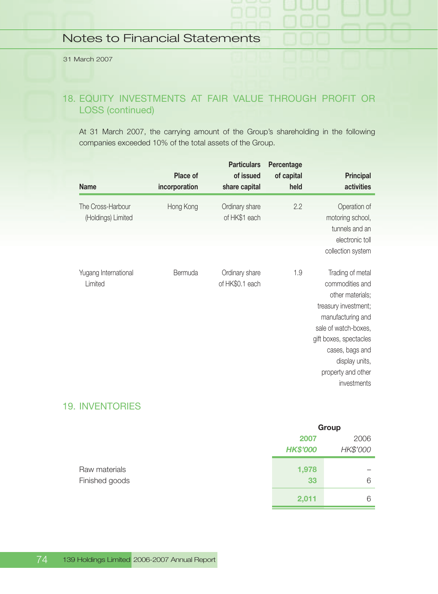31 March 2007

# 18. EQUITY INVESTMENTS AT FAIR VALUE THROUGH PROFIT OR LOSS (continued)

At 31 March 2007, the carrying amount of the Group's shareholding in the following companies exceeded 10% of the total assets of the Group.

| <b>Name</b>                             | Place of<br>incorporation | <b>Particulars</b><br>of issued<br>share capital | Percentage<br>of capital<br>held | <b>Principal</b><br>activities                                                                                                                                                                                                   |
|-----------------------------------------|---------------------------|--------------------------------------------------|----------------------------------|----------------------------------------------------------------------------------------------------------------------------------------------------------------------------------------------------------------------------------|
| The Cross-Harbour<br>(Holdings) Limited | Hong Kong                 | Ordinary share<br>of HK\$1 each                  | 2.2                              | Operation of<br>motoring school,<br>tunnels and an<br>electronic toll<br>collection system                                                                                                                                       |
| Yugang International<br>Limited         | Bermuda                   | Ordinary share<br>of HK\$0.1 each                | 1.9                              | Trading of metal<br>commodities and<br>other materials;<br>treasury investment;<br>manufacturing and<br>sale of watch-boxes,<br>gift boxes, spectacles<br>cases, bags and<br>display units,<br>property and other<br>investments |

## 19. INVENTORIES

|                | Group           |          |
|----------------|-----------------|----------|
|                | 2007            | 2006     |
|                | <b>HK\$'000</b> | HK\$'000 |
|                |                 |          |
| Raw materials  | 1,978           |          |
| Finished goods | 33              | 6        |
|                | 2,011           | 6        |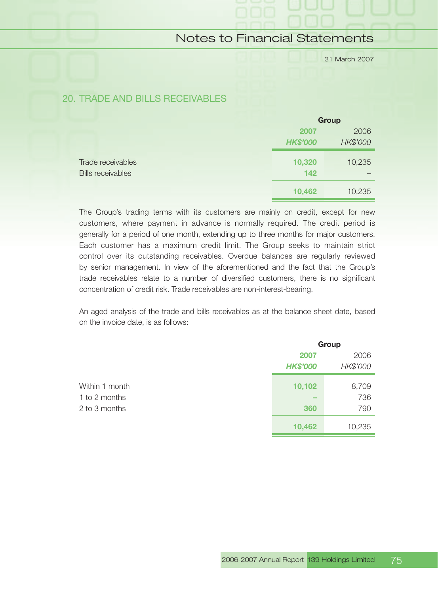31 March 2007

## 20. TRADE AND BILLS RECEIVABLES

|                                               |                         | <b>Group</b>     |  |  |
|-----------------------------------------------|-------------------------|------------------|--|--|
|                                               | 2007<br><b>HK\$'000</b> | 2006<br>HK\$'000 |  |  |
| Trade receivables<br><b>Bills receivables</b> | 10,320<br>142           | 10,235           |  |  |
|                                               | 10,462                  | 10,235           |  |  |

The Group's trading terms with its customers are mainly on credit, except for new customers, where payment in advance is normally required. The credit period is generally for a period of one month, extending up to three months for major customers. Each customer has a maximum credit limit. The Group seeks to maintain strict control over its outstanding receivables. Overdue balances are regularly reviewed by senior management. In view of the aforementioned and the fact that the Group's trade receivables relate to a number of diversified customers, there is no significant concentration of credit risk. Trade receivables are non-interest-bearing.

An aged analysis of the trade and bills receivables as at the balance sheet date, based on the invoice date, is as follows:

|                | Group                    |          |
|----------------|--------------------------|----------|
|                | 2007                     | 2006     |
|                | <b>HK\$'000</b>          | HK\$'000 |
|                |                          |          |
| Within 1 month | 10,102                   | 8,709    |
| 1 to 2 months  | $\overline{\phantom{a}}$ | 736      |
| 2 to 3 months  | 360                      | 790      |
|                | 10,462                   | 10,235   |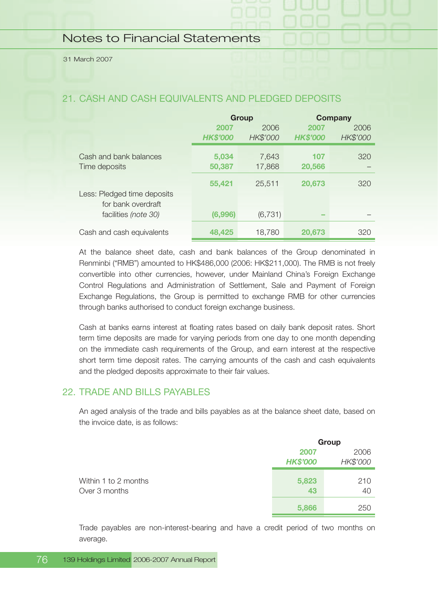31 March 2007

|                                                   | <b>Group</b>    |          | <b>Company</b>  |          |
|---------------------------------------------------|-----------------|----------|-----------------|----------|
|                                                   | 2007            | 2006     | 2007            | 2006     |
|                                                   | <b>HK\$'000</b> | HK\$'000 | <b>HK\$'000</b> | HK\$'000 |
| Cash and bank balances                            | 5,034           | 7,643    | 107             | 320      |
| Time deposits                                     | 50,387          | 17,868   | 20,566          |          |
|                                                   | 55,421          | 25,511   | 20,673          | 320      |
| Less: Pledged time deposits<br>for bank overdraft |                 |          |                 |          |
| facilities (note 30)                              | (6,996)         | (6, 731) |                 |          |
| Cash and cash equivalents                         | 48.425          | 18,780   | 20,673          | 320      |

# 21. CASH AND CASH EQUIVALENTS AND PLEDGED DEPOSITS

At the balance sheet date, cash and bank balances of the Group denominated in Renminbi ("RMB") amounted to HK\$486,000 (2006: HK\$211,000). The RMB is not freely convertible into other currencies, however, under Mainland China's Foreign Exchange Control Regulations and Administration of Settlement, Sale and Payment of Foreign Exchange Regulations, the Group is permitted to exchange RMB for other currencies through banks authorised to conduct foreign exchange business.

Cash at banks earns interest at floating rates based on daily bank deposit rates. Short term time deposits are made for varying periods from one day to one month depending on the immediate cash requirements of the Group, and earn interest at the respective short term time deposit rates. The carrying amounts of the cash and cash equivalents and the pledged deposits approximate to their fair values.

## 22. TRADE AND BILLS PAYABLES

An aged analysis of the trade and bills payables as at the balance sheet date, based on the invoice date, is as follows:

|                                       |                         | Group            |  |
|---------------------------------------|-------------------------|------------------|--|
|                                       | 2007<br><b>HK\$'000</b> | 2006<br>HK\$'000 |  |
| Within 1 to 2 months<br>Over 3 months | 5,823<br>43             | 210<br>40        |  |
|                                       | 5,866                   | 250              |  |

Trade payables are non-interest-bearing and have a credit period of two months on average.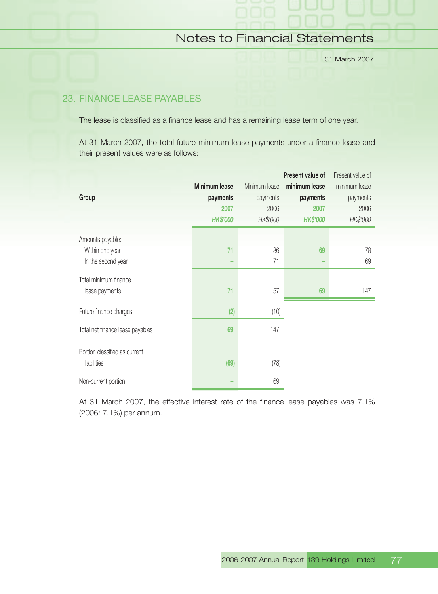31 March 2007

# 23. FINANCE LEASE PAYABLES

The lease is classified as a finance lease and has a remaining lease term of one year.

At 31 March 2007, the total future minimum lease payments under a finance lease and their present values were as follows:

|                                  |                      |               | Present value of | Present value of |
|----------------------------------|----------------------|---------------|------------------|------------------|
|                                  | <b>Minimum lease</b> | Minimum lease | minimum lease    | minimum lease    |
| Group                            | payments             | payments      | payments         | payments         |
|                                  | 2007                 | 2006          | 2007             | 2006             |
|                                  | <b>HK\$'000</b>      | HK\$'000      | <b>HK\$'000</b>  | HK\$'000         |
| Amounts payable:                 |                      |               |                  |                  |
| Within one year                  | 71                   | 86            | 69               | 78               |
| In the second year               |                      | 71            |                  | 69               |
| Total minimum finance            |                      |               |                  |                  |
| lease payments                   | 71                   | 157           | 69               | 147              |
| Future finance charges           | (2)                  | (10)          |                  |                  |
| Total net finance lease payables | 69                   | 147           |                  |                  |
| Portion classified as current    |                      |               |                  |                  |
| liabilities                      | (69)                 | (78)          |                  |                  |
| Non-current portion              |                      | 69            |                  |                  |

At 31 March 2007, the effective interest rate of the finance lease payables was 7.1% (2006: 7.1%) per annum.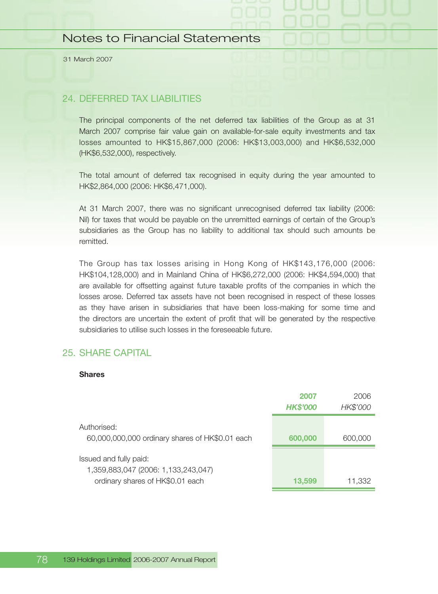31 March 2007

### 24. DEFERRED TAX LIABILITIES

The principal components of the net deferred tax liabilities of the Group as at 31 March 2007 comprise fair value gain on available-for-sale equity investments and tax losses amounted to HK\$15,867,000 (2006: HK\$13,003,000) and HK\$6,532,000 (HK\$6,532,000), respectively.

The total amount of deferred tax recognised in equity during the year amounted to HK\$2,864,000 (2006: HK\$6,471,000).

At 31 March 2007, there was no significant unrecognised deferred tax liability (2006: Nil) for taxes that would be payable on the unremitted earnings of certain of the Group's subsidiaries as the Group has no liability to additional tax should such amounts be remitted.

The Group has tax losses arising in Hong Kong of HK\$143,176,000 (2006: HK\$104,128,000) and in Mainland China of HK\$6,272,000 (2006: HK\$4,594,000) that are available for offsetting against future taxable profits of the companies in which the losses arose. Deferred tax assets have not been recognised in respect of these losses as they have arisen in subsidiaries that have been loss-making for some time and the directors are uncertain the extent of profit that will be generated by the respective subsidiaries to utilise such losses in the foreseeable future.

### 25. SHARE CAPITAL

#### **Shares**

|                                                                                                   | 2007<br><b>HK\$'000</b> | 2006<br>HK\$'000 |
|---------------------------------------------------------------------------------------------------|-------------------------|------------------|
| Authorised:<br>60,000,000,000 ordinary shares of HK\$0.01 each                                    | 600,000                 | 600,000          |
| Issued and fully paid:<br>1,359,883,047 (2006: 1,133,243,047)<br>ordinary shares of HK\$0.01 each | 13,599                  | 11,332           |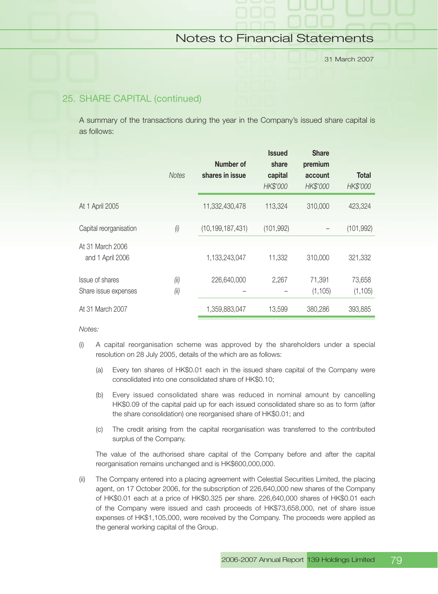31 March 2007

### 25. SHARE CAPITAL (continued)

A summary of the transactions during the year in the Company's issued share capital is as follows:

|                                                |              |                     | <b>Issued</b>       | <b>Share</b>        |                          |
|------------------------------------------------|--------------|---------------------|---------------------|---------------------|--------------------------|
|                                                |              | <b>Number of</b>    | share               | premium             |                          |
|                                                | <b>Notes</b> | shares in issue     | capital<br>HK\$'000 | account<br>HK\$'000 | <b>Total</b><br>HK\$'000 |
| At 1 April 2005                                |              | 11,332,430,478      | 113,324             | 310,000             | 423,324                  |
| Capital reorganisation                         | (i)          | (10, 199, 187, 431) | (101, 992)          |                     | (101, 992)               |
| At 31 March 2006<br>and 1 April 2006           |              | 1,133,243,047       | 11,332              | 310,000             | 321,332                  |
| <b>Issue of shares</b><br>Share issue expenses | (ii)<br>(ii) | 226,640,000         | 2,267               | 71,391<br>(1, 105)  | 73,658<br>(1, 105)       |
| At 31 March 2007                               |              | 1,359,883,047       | 13,599              | 380,286             | 393,885                  |

*Notes:*

- (i) A capital reorganisation scheme was approved by the shareholders under a special resolution on 28 July 2005, details of the which are as follows:
	- (a) Every ten shares of HK\$0.01 each in the issued share capital of the Company were consolidated into one consolidated share of HK\$0.10;
	- (b) Every issued consolidated share was reduced in nominal amount by cancelling HK\$0.09 of the capital paid up for each issued consolidated share so as to form (after the share consolidation) one reorganised share of HK\$0.01; and
	- (c) The credit arising from the capital reorganisation was transferred to the contributed surplus of the Company.

 The value of the authorised share capital of the Company before and after the capital reorganisation remains unchanged and is HK\$600,000,000.

(ii) The Company entered into a placing agreement with Celestial Securities Limited, the placing agent, on 17 October 2006, for the subscription of 226,640,000 new shares of the Company of HK\$0.01 each at a price of HK\$0.325 per share. 226,640,000 shares of HK\$0.01 each of the Company were issued and cash proceeds of HK\$73,658,000, net of share issue expenses of HK\$1,105,000, were received by the Company. The proceeds were applied as the general working capital of the Group.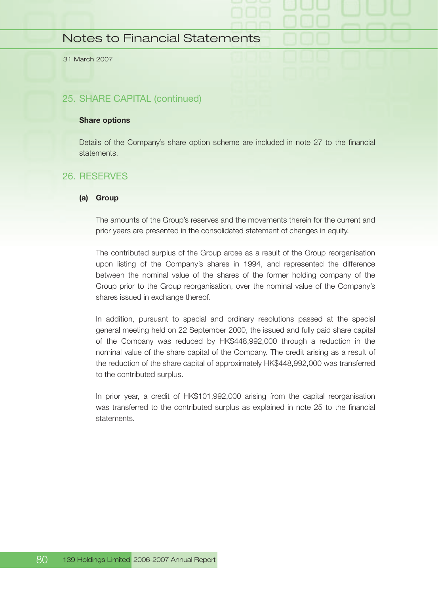31 March 2007

#### 25. SHARE CAPITAL (continued)

#### **Share options**

Details of the Company's share option scheme are included in note 27 to the financial statements.

### 26. RESERVES

#### **(a) Group**

The amounts of the Group's reserves and the movements therein for the current and prior years are presented in the consolidated statement of changes in equity.

The contributed surplus of the Group arose as a result of the Group reorganisation upon listing of the Company's shares in 1994, and represented the difference between the nominal value of the shares of the former holding company of the Group prior to the Group reorganisation, over the nominal value of the Company's shares issued in exchange thereof.

In addition, pursuant to special and ordinary resolutions passed at the special general meeting held on 22 September 2000, the issued and fully paid share capital of the Company was reduced by HK\$448,992,000 through a reduction in the nominal value of the share capital of the Company. The credit arising as a result of the reduction of the share capital of approximately HK\$448,992,000 was transferred to the contributed surplus.

In prior year, a credit of HK\$101,992,000 arising from the capital reorganisation was transferred to the contributed surplus as explained in note 25 to the financial statements.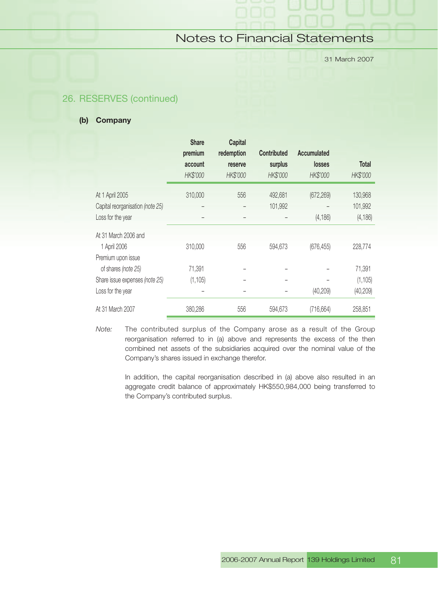31 March 2007

# 26. RESERVES (continued)

#### **(b) Company**

|                                  | <b>Share</b><br>premium<br>account<br>HK\$'000 | <b>Capital</b><br>redemption<br>reserve<br>HK\$'000 | <b>Contributed</b><br>surplus<br>HK\$'000 | Accumulated<br><b>losses</b><br>HK\$'000 | Total<br>HK\$'000 |
|----------------------------------|------------------------------------------------|-----------------------------------------------------|-------------------------------------------|------------------------------------------|-------------------|
| At 1 April 2005                  | 310,000                                        | 556                                                 | 492,681                                   | (672, 269)                               | 130,968           |
| Capital reorganisation (note 25) |                                                |                                                     | 101,992                                   |                                          | 101,992           |
| Loss for the year                |                                                |                                                     |                                           | (4, 186)                                 | (4, 186)          |
| At 31 March 2006 and             |                                                |                                                     |                                           |                                          |                   |
| 1 April 2006                     | 310,000                                        | 556                                                 | 594,673                                   | (676, 455)                               | 228,774           |
| Premium upon issue               |                                                |                                                     |                                           |                                          |                   |
| of shares (note 25)              | 71,391                                         |                                                     |                                           |                                          | 71,391            |
| Share issue expenses (note 25)   | (1, 105)                                       |                                                     |                                           |                                          | (1, 105)          |
| Loss for the year                |                                                |                                                     |                                           | (40, 209)                                | (40, 209)         |
| At 31 March 2007                 | 380,286                                        | 556                                                 | 594,673                                   | (716, 664)                               | 258,851           |

*Note:* The contributed surplus of the Company arose as a result of the Group reorganisation referred to in (a) above and represents the excess of the then combined net assets of the subsidiaries acquired over the nominal value of the Company's shares issued in exchange therefor.

> In addition, the capital reorganisation described in (a) above also resulted in an aggregate credit balance of approximately HK\$550,984,000 being transferred to the Company's contributed surplus.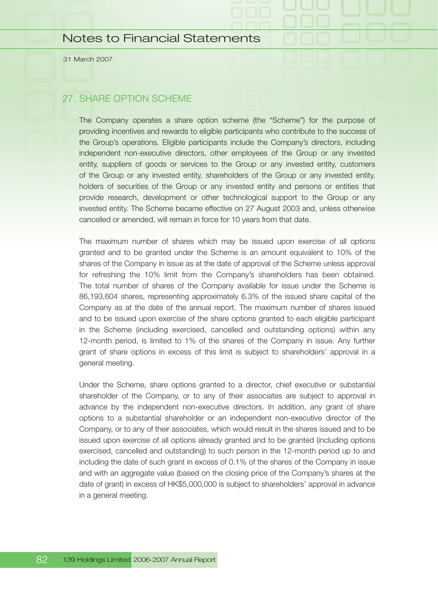31 March 2007

### 27. SHARE OPTION SCHEME

The Company operates a share option scheme (the "Scheme") for the purpose of providing incentives and rewards to eligible participants who contribute to the success of the Group's operations. Eligible participants include the Company's directors, including independent non-executive directors, other employees of the Group or any invested entity, suppliers of goods or services to the Group or any invested entity, customers of the Group or any invested entity, shareholders of the Group or any invested entity, holders of securities of the Group or any invested entity and persons or entities that provide research, development or other technological support to the Group or any invested entity. The Scheme became effective on 27 August 2003 and, unless otherwise cancelled or amended, will remain in force for 10 years from that date.

The maximum number of shares which may be issued upon exercise of all options granted and to be granted under the Scheme is an amount equivalent to 10% of the shares of the Company in issue as at the date of approval of the Scheme unless approval for refreshing the 10% limit from the Company's shareholders has been obtained. The total number of shares of the Company available for issue under the Scheme is 86,193,604 shares, representing approximately 6.3% of the issued share capital of the Company as at the date of the annual report. The maximum number of shares issued and to be issued upon exercise of the share options granted to each eligible participant in the Scheme (including exercised, cancelled and outstanding options) within any 12-month period, is limited to 1% of the shares of the Company in issue. Any further grant of share options in excess of this limit is subject to shareholders' approval in a general meeting.

Under the Scheme, share options granted to a director, chief executive or substantial shareholder of the Company, or to any of their associates are subject to approval in advance by the independent non-executive directors. In addition, any grant of share options to a substantial shareholder or an independent non-executive director of the Company, or to any of their associates, which would result in the shares issued and to be issued upon exercise of all options already granted and to be granted (including options exercised, cancelled and outstanding) to such person in the 12-month period up to and including the date of such grant in excess of 0.1% of the shares of the Company in issue and with an aggregate value (based on the closing price of the Company's shares at the date of grant) in excess of HK\$5,000,000 is subject to shareholders' approval in advance in a general meeting.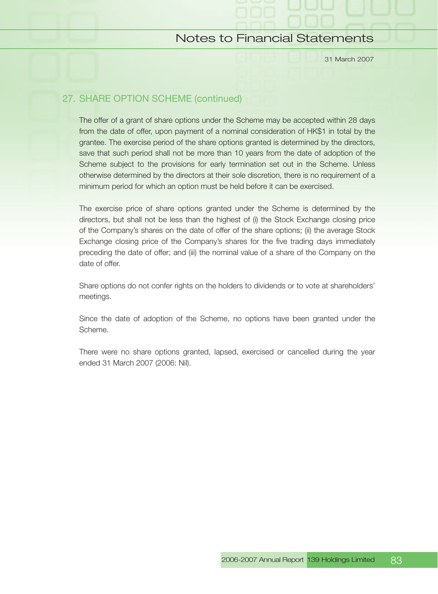31 March 2007

### 27. SHARE OPTION SCHEME (continued)

The offer of a grant of share options under the Scheme may be accepted within 28 days from the date of offer, upon payment of a nominal consideration of HK\$1 in total by the grantee. The exercise period of the share options granted is determined by the directors, save that such period shall not be more than 10 years from the date of adoption of the Scheme subject to the provisions for early termination set out in the Scheme. Unless otherwise determined by the directors at their sole discretion, there is no requirement of a minimum period for which an option must be held before it can be exercised.

The exercise price of share options granted under the Scheme is determined by the directors, but shall not be less than the highest of (i) the Stock Exchange closing price of the Company's shares on the date of offer of the share options; (ii) the average Stock Exchange closing price of the Company's shares for the five trading days immediately preceding the date of offer; and (iii) the nominal value of a share of the Company on the date of offer.

Share options do not confer rights on the holders to dividends or to vote at shareholders' meetings.

Since the date of adoption of the Scheme, no options have been granted under the Scheme.

There were no share options granted, lapsed, exercised or cancelled during the year ended 31 March 2007 (2006: Nil).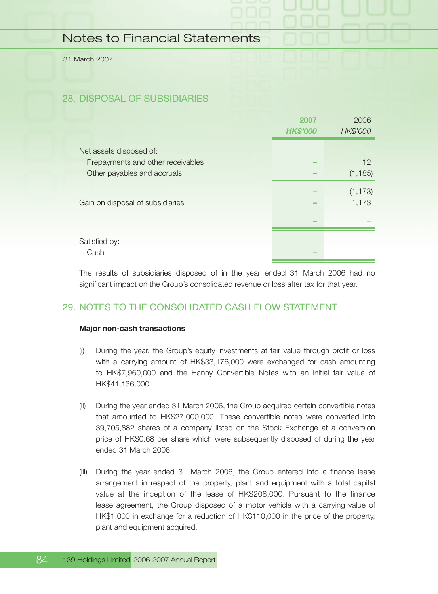31 March 2007

### 28. DISPOSAL OF SUBSIDIARIES

|                                   | 2007<br><b>HK\$'000</b> | 2006<br>HK\$'000 |
|-----------------------------------|-------------------------|------------------|
| Net assets disposed of:           |                         |                  |
| Prepayments and other receivables |                         | 12               |
| Other payables and accruals       |                         | (1, 185)         |
|                                   |                         | (1, 173)         |
| Gain on disposal of subsidiaries  |                         | 1,173            |
|                                   |                         |                  |
| Satisfied by:                     |                         |                  |
| Cash                              |                         |                  |

The results of subsidiaries disposed of in the year ended 31 March 2006 had no significant impact on the Group's consolidated revenue or loss after tax for that year.

## 29. NOTES TO THE CONSOLIDATED CASH FLOW STATEMENT

#### **Major non-cash transactions**

- (i) During the year, the Group's equity investments at fair value through profit or loss with a carrying amount of HK\$33,176,000 were exchanged for cash amounting to HK\$7,960,000 and the Hanny Convertible Notes with an initial fair value of HK\$41,136,000.
- (ii) During the year ended 31 March 2006, the Group acquired certain convertible notes that amounted to HK\$27,000,000. These convertible notes were converted into 39,705,882 shares of a company listed on the Stock Exchange at a conversion price of HK\$0.68 per share which were subsequently disposed of during the year ended 31 March 2006.
- (iii) During the year ended 31 March 2006, the Group entered into a finance lease arrangement in respect of the property, plant and equipment with a total capital value at the inception of the lease of HK\$208,000. Pursuant to the finance lease agreement, the Group disposed of a motor vehicle with a carrying value of HK\$1,000 in exchange for a reduction of HK\$110,000 in the price of the property, plant and equipment acquired.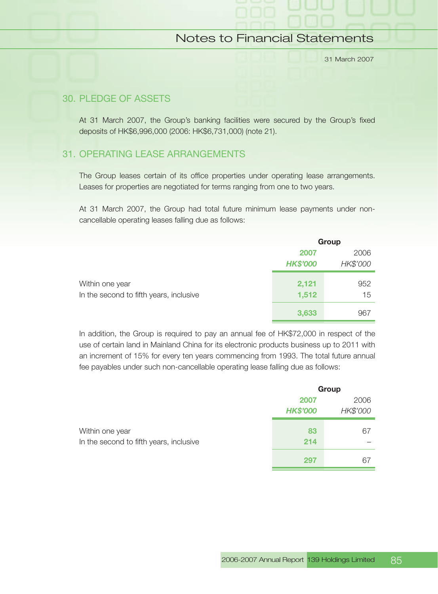31 March 2007

## 30. PLEDGE OF ASSETS

At 31 March 2007, the Group's banking facilities were secured by the Group's fixed deposits of HK\$6,996,000 (2006: HK\$6,731,000) (note 21).

### 31. OPERATING LEASE ARRANGEMENTS

The Group leases certain of its office properties under operating lease arrangements. Leases for properties are negotiated for terms ranging from one to two years.

At 31 March 2007, the Group had total future minimum lease payments under noncancellable operating leases falling due as follows:

|                                                            | Group                   |                  |
|------------------------------------------------------------|-------------------------|------------------|
|                                                            | 2007<br><b>HK\$'000</b> | 2006<br>HK\$'000 |
| Within one year<br>In the second to fifth years, inclusive | 2,121<br>1,512          | 952<br>15        |
|                                                            | 3,633                   | 967              |

In addition, the Group is required to pay an annual fee of HK\$72,000 in respect of the use of certain land in Mainland China for its electronic products business up to 2011 with an increment of 15% for every ten years commencing from 1993. The total future annual fee payables under such non-cancellable operating lease falling due as follows:

|                                         |                 | Group    |  |
|-----------------------------------------|-----------------|----------|--|
|                                         | 2007            | 2006     |  |
|                                         | <b>HK\$'000</b> | HK\$'000 |  |
| Within one year                         | 83              | 67       |  |
| In the second to fifth years, inclusive | 214             |          |  |
|                                         | 297             | 67       |  |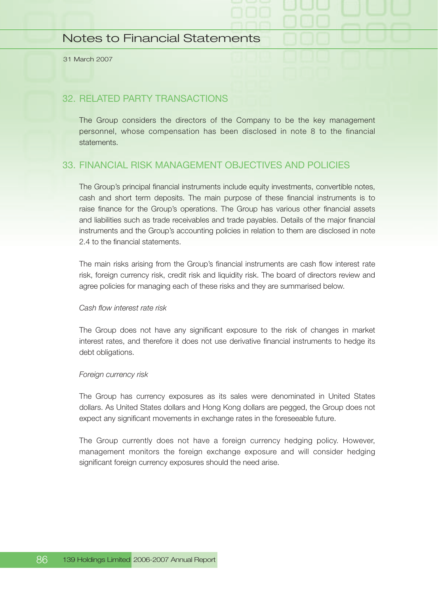31 March 2007

### 32. RELATED PARTY TRANSACTIONS

The Group considers the directors of the Company to be the key management personnel, whose compensation has been disclosed in note 8 to the financial statements.

#### 33. FINANCIAL RISK MANAGEMENT OBJECTIVES AND POLICIES

The Group's principal financial instruments include equity investments, convertible notes, cash and short term deposits. The main purpose of these financial instruments is to raise finance for the Group's operations. The Group has various other financial assets and liabilities such as trade receivables and trade payables. Details of the major financial instruments and the Group's accounting policies in relation to them are disclosed in note 2.4 to the financial statements.

The main risks arising from the Group's financial instruments are cash flow interest rate risk, foreign currency risk, credit risk and liquidity risk. The board of directors review and agree policies for managing each of these risks and they are summarised below.

#### *Cash flow interest rate risk*

The Group does not have any significant exposure to the risk of changes in market interest rates, and therefore it does not use derivative financial instruments to hedge its debt obligations.

#### *Foreign currency risk*

The Group has currency exposures as its sales were denominated in United States dollars. As United States dollars and Hong Kong dollars are pegged, the Group does not expect any significant movements in exchange rates in the foreseeable future.

The Group currently does not have a foreign currency hedging policy. However, management monitors the foreign exchange exposure and will consider hedging significant foreign currency exposures should the need arise.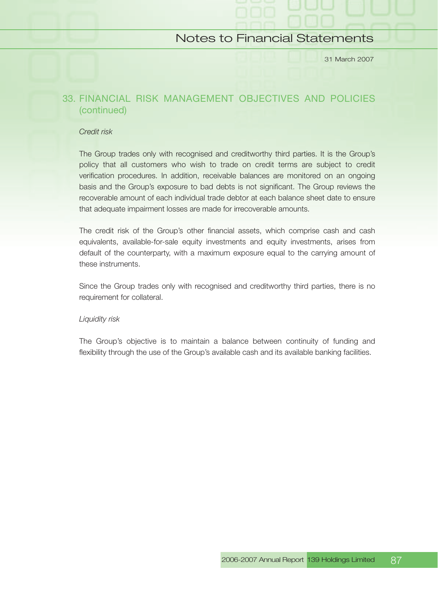31 March 2007

# 33. FINANCIAL RISK MANAGEMENT OBJECTIVES AND POLICIES (continued)

#### *Credit risk*

The Group trades only with recognised and creditworthy third parties. It is the Group's policy that all customers who wish to trade on credit terms are subject to credit verification procedures. In addition, receivable balances are monitored on an ongoing basis and the Group's exposure to bad debts is not significant. The Group reviews the recoverable amount of each individual trade debtor at each balance sheet date to ensure that adequate impairment losses are made for irrecoverable amounts.

The credit risk of the Group's other financial assets, which comprise cash and cash equivalents, available-for-sale equity investments and equity investments, arises from default of the counterparty, with a maximum exposure equal to the carrying amount of these instruments.

Since the Group trades only with recognised and creditworthy third parties, there is no requirement for collateral.

#### *Liquidity risk*

The Group's objective is to maintain a balance between continuity of funding and flexibility through the use of the Group's available cash and its available banking facilities.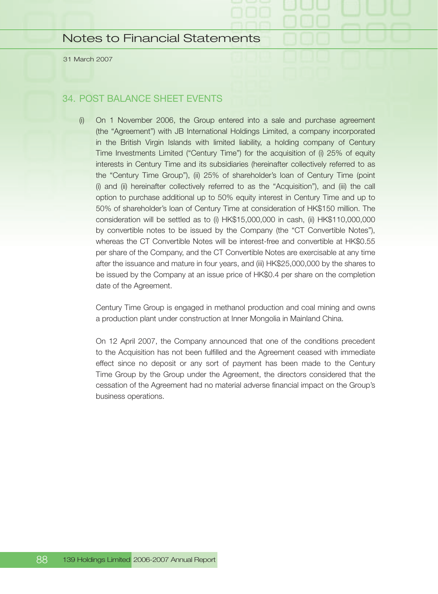31 March 2007

### 34. POST BALANCE SHEET EVENTS

(i) On 1 November 2006, the Group entered into a sale and purchase agreement (the "Agreement") with JB International Holdings Limited, a company incorporated in the British Virgin Islands with limited liability, a holding company of Century Time Investments Limited ("Century Time") for the acquisition of (i) 25% of equity interests in Century Time and its subsidiaries (hereinafter collectively referred to as the "Century Time Group"), (ii) 25% of shareholder's loan of Century Time (point (i) and (ii) hereinafter collectively referred to as the "Acquisition"), and (iii) the call option to purchase additional up to 50% equity interest in Century Time and up to 50% of shareholder's loan of Century Time at consideration of HK\$150 million. The consideration will be settled as to (i) HK\$15,000,000 in cash, (ii) HK\$110,000,000 by convertible notes to be issued by the Company (the "CT Convertible Notes"), whereas the CT Convertible Notes will be interest-free and convertible at HK\$0.55 per share of the Company, and the CT Convertible Notes are exercisable at any time after the issuance and mature in four years, and (iii) HK\$25,000,000 by the shares to be issued by the Company at an issue price of HK\$0.4 per share on the completion date of the Agreement.

Century Time Group is engaged in methanol production and coal mining and owns a production plant under construction at Inner Mongolia in Mainland China.

On 12 April 2007, the Company announced that one of the conditions precedent to the Acquisition has not been fulfilled and the Agreement ceased with immediate effect since no deposit or any sort of payment has been made to the Century Time Group by the Group under the Agreement, the directors considered that the cessation of the Agreement had no material adverse financial impact on the Group's business operations.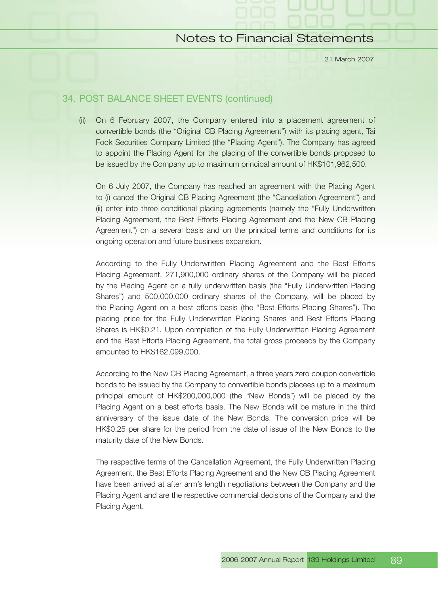31 March 2007

### 34. POST BALANCE SHEET EVENTS (continued)

(ii) On 6 February 2007, the Company entered into a placement agreement of convertible bonds (the "Original CB Placing Agreement") with its placing agent, Tai Fook Securities Company Limited (the "Placing Agent"). The Company has agreed to appoint the Placing Agent for the placing of the convertible bonds proposed to be issued by the Company up to maximum principal amount of HK\$101,962,500.

On 6 July 2007, the Company has reached an agreement with the Placing Agent to (i) cancel the Original CB Placing Agreement (the "Cancellation Agreement") and (ii) enter into three conditional placing agreements (namely the "Fully Underwritten Placing Agreement, the Best Efforts Placing Agreement and the New CB Placing Agreement") on a several basis and on the principal terms and conditions for its ongoing operation and future business expansion.

According to the Fully Underwritten Placing Agreement and the Best Efforts Placing Agreement, 271,900,000 ordinary shares of the Company will be placed by the Placing Agent on a fully underwritten basis (the "Fully Underwritten Placing Shares") and 500,000,000 ordinary shares of the Company, will be placed by the Placing Agent on a best efforts basis (the "Best Efforts Placing Shares"). The placing price for the Fully Underwritten Placing Shares and Best Efforts Placing Shares is HK\$0.21. Upon completion of the Fully Underwritten Placing Agreement and the Best Efforts Placing Agreement, the total gross proceeds by the Company amounted to HK\$162,099,000.

According to the New CB Placing Agreement, a three years zero coupon convertible bonds to be issued by the Company to convertible bonds placees up to a maximum principal amount of HK\$200,000,000 (the "New Bonds") will be placed by the Placing Agent on a best efforts basis. The New Bonds will be mature in the third anniversary of the issue date of the New Bonds. The conversion price will be HK\$0.25 per share for the period from the date of issue of the New Bonds to the maturity date of the New Bonds.

The respective terms of the Cancellation Agreement, the Fully Underwritten Placing Agreement, the Best Efforts Placing Agreement and the New CB Placing Agreement have been arrived at after arm's length negotiations between the Company and the Placing Agent and are the respective commercial decisions of the Company and the Placing Agent.